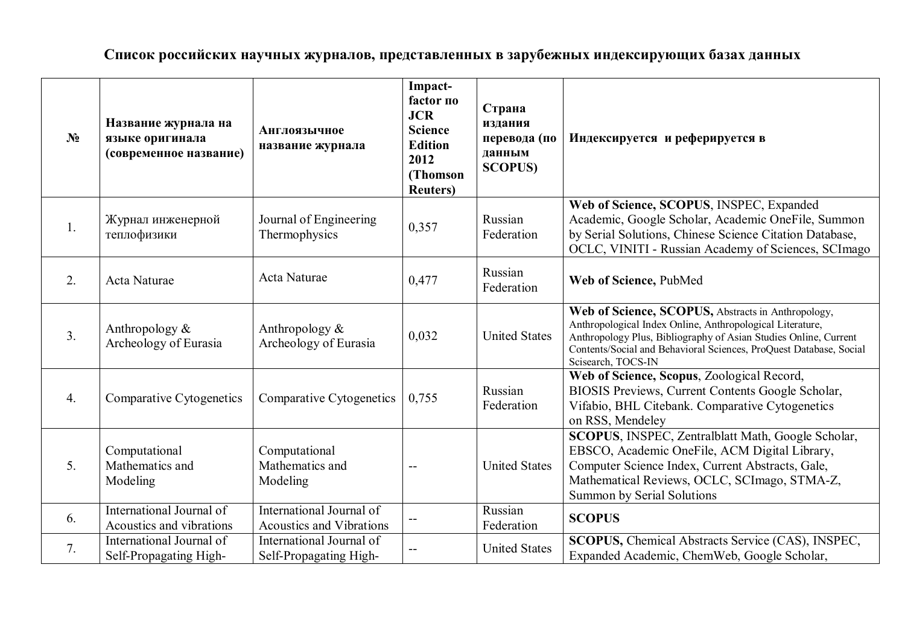**Список российских научных журналов, представленных в зарубежных индексирующих базах данных**

| $N_2$            | Название журнала на<br>языке оригинала<br>(современное название) | <b>Англоязычное</b><br>название журнала                     | Impact-<br>factor no<br><b>JCR</b><br><b>Science</b><br><b>Edition</b><br>2012<br>(Thomson<br><b>Reuters</b> ) | Страна<br>издания<br>перевода (по<br>данным<br><b>SCOPUS)</b> | Индексируется и реферируется в                                                                                                                                                                                                                                                  |
|------------------|------------------------------------------------------------------|-------------------------------------------------------------|----------------------------------------------------------------------------------------------------------------|---------------------------------------------------------------|---------------------------------------------------------------------------------------------------------------------------------------------------------------------------------------------------------------------------------------------------------------------------------|
| 1.               | Журнал инженерной<br>теплофизики                                 | Journal of Engineering<br>Thermophysics                     | 0,357                                                                                                          | Russian<br>Federation                                         | Web of Science, SCOPUS, INSPEC, Expanded<br>Academic, Google Scholar, Academic OneFile, Summon<br>by Serial Solutions, Chinese Science Citation Database,<br>OCLC, VINITI - Russian Academy of Sciences, SCImago                                                                |
| 2.               | Acta Naturae                                                     | Acta Naturae                                                | 0,477                                                                                                          | Russian<br>Federation                                         | Web of Science, PubMed                                                                                                                                                                                                                                                          |
| 3.               | Anthropology $&$<br>Archeology of Eurasia                        | Anthropology $\&$<br>Archeology of Eurasia                  | 0,032                                                                                                          | <b>United States</b>                                          | Web of Science, SCOPUS, Abstracts in Anthropology,<br>Anthropological Index Online, Anthropological Literature,<br>Anthropology Plus, Bibliography of Asian Studies Online, Current<br>Contents/Social and Behavioral Sciences, ProQuest Database, Social<br>Scisearch, TOCS-IN |
| $\overline{4}$ . | Comparative Cytogenetics                                         | Comparative Cytogenetics                                    | 0,755                                                                                                          | Russian<br>Federation                                         | Web of Science, Scopus, Zoological Record,<br>BIOSIS Previews, Current Contents Google Scholar,<br>Vifabio, BHL Citebank. Comparative Cytogenetics<br>on RSS, Mendeley                                                                                                          |
| 5 <sub>1</sub>   | Computational<br>Mathematics and<br>Modeling                     | Computational<br>Mathematics and<br>Modeling                |                                                                                                                | <b>United States</b>                                          | SCOPUS, INSPEC, Zentralblatt Math, Google Scholar,<br>EBSCO, Academic OneFile, ACM Digital Library,<br>Computer Science Index, Current Abstracts, Gale,<br>Mathematical Reviews, OCLC, SCImago, STMA-Z,<br><b>Summon by Serial Solutions</b>                                    |
| 6.               | International Journal of<br>Acoustics and vibrations             | International Journal of<br><b>Acoustics and Vibrations</b> |                                                                                                                | Russian<br>Federation                                         | <b>SCOPUS</b>                                                                                                                                                                                                                                                                   |
| 7.               | International Journal of<br>Self-Propagating High-               | International Journal of<br>Self-Propagating High-          |                                                                                                                | <b>United States</b>                                          | SCOPUS, Chemical Abstracts Service (CAS), INSPEC,<br>Expanded Academic, ChemWeb, Google Scholar,                                                                                                                                                                                |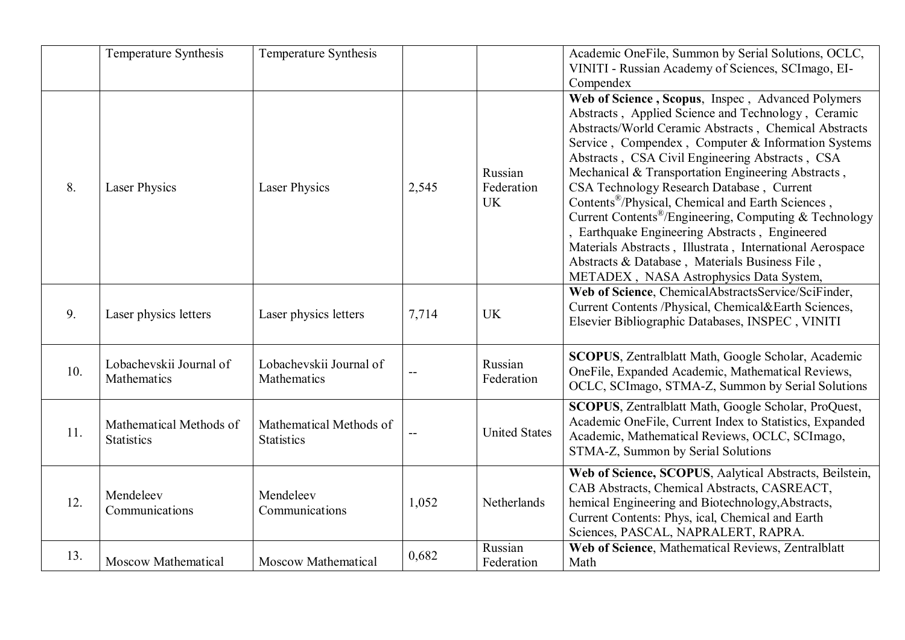|     | Temperature Synthesis                        | Temperature Synthesis                        |       |                                    | Academic OneFile, Summon by Serial Solutions, OCLC,<br>VINITI - Russian Academy of Sciences, SCImago, EI-<br>Compendex                                                                                                                                                                                                                                                                                                                                                                                                                                                                                                                                                                                                         |
|-----|----------------------------------------------|----------------------------------------------|-------|------------------------------------|--------------------------------------------------------------------------------------------------------------------------------------------------------------------------------------------------------------------------------------------------------------------------------------------------------------------------------------------------------------------------------------------------------------------------------------------------------------------------------------------------------------------------------------------------------------------------------------------------------------------------------------------------------------------------------------------------------------------------------|
| 8.  | <b>Laser Physics</b>                         | <b>Laser Physics</b>                         | 2,545 | Russian<br>Federation<br><b>UK</b> | Web of Science, Scopus, Inspec, Advanced Polymers<br>Abstracts, Applied Science and Technology, Ceramic<br>Abstracts/World Ceramic Abstracts, Chemical Abstracts<br>Service, Compendex, Computer & Information Systems<br>Abstracts, CSA Civil Engineering Abstracts, CSA<br>Mechanical & Transportation Engineering Abstracts,<br>CSA Technology Research Database, Current<br>Contents <sup>®</sup> /Physical, Chemical and Earth Sciences,<br>Current Contents <sup>®</sup> /Engineering, Computing & Technology<br>, Earthquake Engineering Abstracts, Engineered<br>Materials Abstracts, Illustrata, International Aerospace<br>Abstracts & Database, Materials Business File,<br>METADEX, NASA Astrophysics Data System, |
| 9.  | Laser physics letters                        | Laser physics letters                        | 7,714 | <b>UK</b>                          | Web of Science, ChemicalAbstractsService/SciFinder,<br>Current Contents /Physical, Chemical&Earth Sciences,<br>Elsevier Bibliographic Databases, INSPEC, VINITI                                                                                                                                                                                                                                                                                                                                                                                                                                                                                                                                                                |
| 10. | Lobachevskii Journal of<br>Mathematics       | Lobachevskii Journal of<br>Mathematics       |       | Russian<br>Federation              | SCOPUS, Zentralblatt Math, Google Scholar, Academic<br>OneFile, Expanded Academic, Mathematical Reviews,<br>OCLC, SCImago, STMA-Z, Summon by Serial Solutions                                                                                                                                                                                                                                                                                                                                                                                                                                                                                                                                                                  |
| 11. | Mathematical Methods of<br><b>Statistics</b> | Mathematical Methods of<br><b>Statistics</b> | $-$   | <b>United States</b>               | SCOPUS, Zentralblatt Math, Google Scholar, ProQuest,<br>Academic OneFile, Current Index to Statistics, Expanded<br>Academic, Mathematical Reviews, OCLC, SCImago,<br>STMA-Z, Summon by Serial Solutions                                                                                                                                                                                                                                                                                                                                                                                                                                                                                                                        |
| 12. | Mendeleev<br>Communications                  | Mendeleev<br>Communications                  | 1,052 | Netherlands                        | Web of Science, SCOPUS, Aalytical Abstracts, Beilstein,<br>CAB Abstracts, Chemical Abstracts, CASREACT,<br>hemical Engineering and Biotechnology, Abstracts,<br>Current Contents: Phys, ical, Chemical and Earth<br>Sciences, PASCAL, NAPRALERT, RAPRA.                                                                                                                                                                                                                                                                                                                                                                                                                                                                        |
| 13. | <b>Moscow Mathematical</b>                   | <b>Moscow Mathematical</b>                   | 0,682 | Russian<br>Federation              | Web of Science, Mathematical Reviews, Zentralblatt<br>Math                                                                                                                                                                                                                                                                                                                                                                                                                                                                                                                                                                                                                                                                     |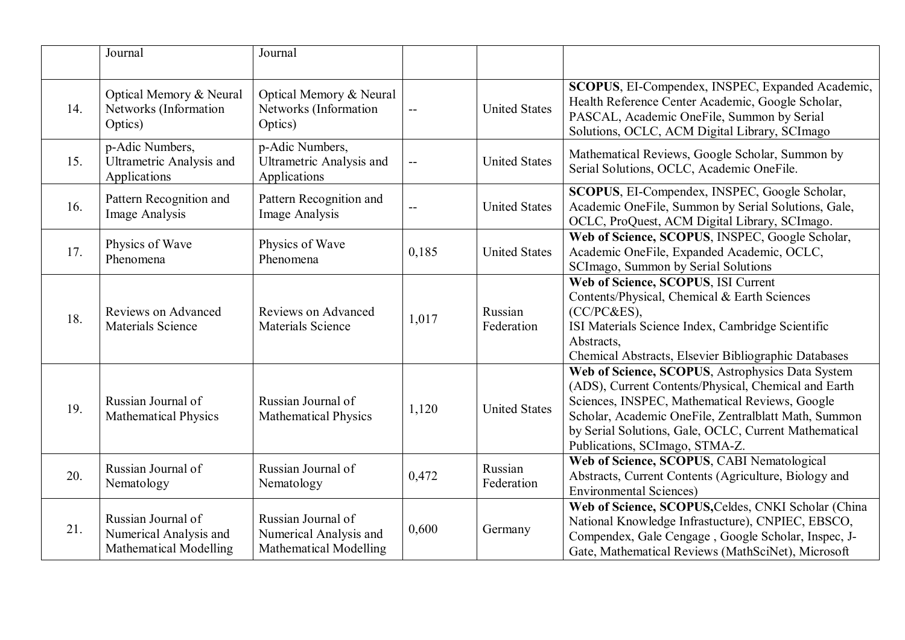|     | Journal                                                                       | Journal                                                                       |       |                       |                                                                                                                                                                                                                                                                                                               |
|-----|-------------------------------------------------------------------------------|-------------------------------------------------------------------------------|-------|-----------------------|---------------------------------------------------------------------------------------------------------------------------------------------------------------------------------------------------------------------------------------------------------------------------------------------------------------|
| 14. | Optical Memory & Neural<br>Networks (Information<br>Optics)                   | Optical Memory & Neural<br>Networks (Information<br>Optics)                   | $-$   | <b>United States</b>  | SCOPUS, EI-Compendex, INSPEC, Expanded Academic,<br>Health Reference Center Academic, Google Scholar,<br>PASCAL, Academic OneFile, Summon by Serial<br>Solutions, OCLC, ACM Digital Library, SCImago                                                                                                          |
| 15. | p-Adic Numbers,<br><b>Ultrametric Analysis and</b><br>Applications            | p-Adic Numbers,<br><b>Ultrametric Analysis and</b><br>Applications            |       | <b>United States</b>  | Mathematical Reviews, Google Scholar, Summon by<br>Serial Solutions, OCLC, Academic OneFile.                                                                                                                                                                                                                  |
| 16. | Pattern Recognition and<br>Image Analysis                                     | Pattern Recognition and<br>Image Analysis                                     | $-$   | <b>United States</b>  | <b>SCOPUS, EI-Compendex, INSPEC, Google Scholar,</b><br>Academic OneFile, Summon by Serial Solutions, Gale,<br>OCLC, ProQuest, ACM Digital Library, SCImago.                                                                                                                                                  |
| 17. | Physics of Wave<br>Phenomena                                                  | Physics of Wave<br>Phenomena                                                  | 0,185 | <b>United States</b>  | Web of Science, SCOPUS, INSPEC, Google Scholar,<br>Academic OneFile, Expanded Academic, OCLC,<br>SCImago, Summon by Serial Solutions                                                                                                                                                                          |
| 18. | Reviews on Advanced<br><b>Materials Science</b>                               | <b>Reviews on Advanced</b><br><b>Materials Science</b>                        | 1,017 | Russian<br>Federation | Web of Science, SCOPUS, ISI Current<br>Contents/Physical, Chemical & Earth Sciences<br>(CC/PC&ES),<br>ISI Materials Science Index, Cambridge Scientific<br>Abstracts,<br>Chemical Abstracts, Elsevier Bibliographic Databases                                                                                 |
| 19. | Russian Journal of<br><b>Mathematical Physics</b>                             | Russian Journal of<br><b>Mathematical Physics</b>                             | 1,120 | <b>United States</b>  | Web of Science, SCOPUS, Astrophysics Data System<br>(ADS), Current Contents/Physical, Chemical and Earth<br>Sciences, INSPEC, Mathematical Reviews, Google<br>Scholar, Academic OneFile, Zentralblatt Math, Summon<br>by Serial Solutions, Gale, OCLC, Current Mathematical<br>Publications, SCImago, STMA-Z. |
| 20. | Russian Journal of<br>Nematology                                              | Russian Journal of<br>Nematology                                              | 0,472 | Russian<br>Federation | Web of Science, SCOPUS, CABI Nematological<br>Abstracts, Current Contents (Agriculture, Biology and<br><b>Environmental Sciences)</b>                                                                                                                                                                         |
| 21. | Russian Journal of<br>Numerical Analysis and<br><b>Mathematical Modelling</b> | Russian Journal of<br>Numerical Analysis and<br><b>Mathematical Modelling</b> | 0,600 | Germany               | Web of Science, SCOPUS, Celdes, CNKI Scholar (China<br>National Knowledge Infrastucture), CNPIEC, EBSCO,<br>Compendex, Gale Cengage, Google Scholar, Inspec, J-<br>Gate, Mathematical Reviews (MathSciNet), Microsoft                                                                                         |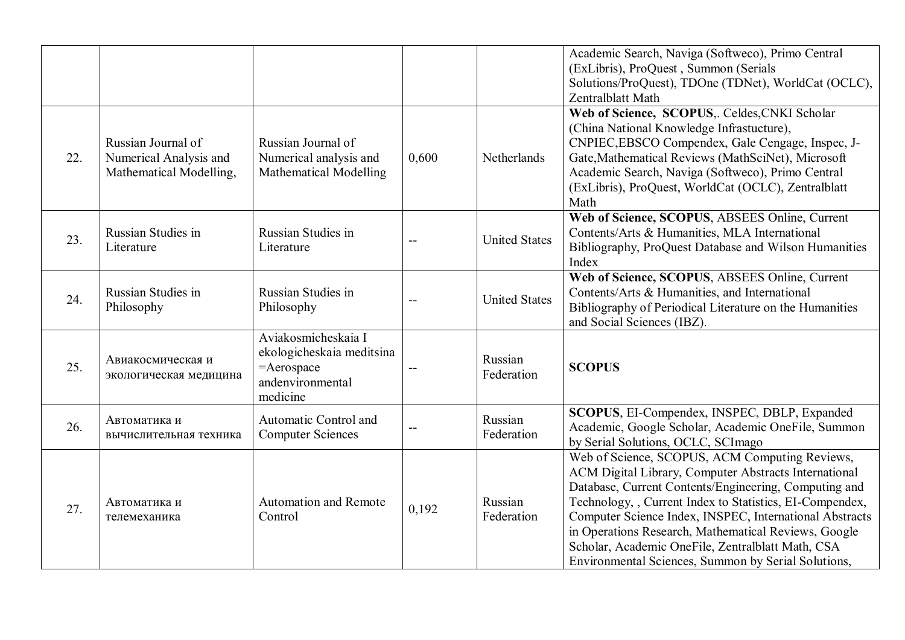|     |                                                                         |                                                                                                |       |                       | Academic Search, Naviga (Softweco), Primo Central<br>(ExLibris), ProQuest, Summon (Serials<br>Solutions/ProQuest), TDOne (TDNet), WorldCat (OCLC),<br>Zentralblatt Math                                                                                                                                                                                                                                                                                     |
|-----|-------------------------------------------------------------------------|------------------------------------------------------------------------------------------------|-------|-----------------------|-------------------------------------------------------------------------------------------------------------------------------------------------------------------------------------------------------------------------------------------------------------------------------------------------------------------------------------------------------------------------------------------------------------------------------------------------------------|
| 22. | Russian Journal of<br>Numerical Analysis and<br>Mathematical Modelling, | Russian Journal of<br>Numerical analysis and<br><b>Mathematical Modelling</b>                  | 0,600 | Netherlands           | Web of Science, SCOPUS,. Celdes, CNKI Scholar<br>(China National Knowledge Infrastucture),<br>CNPIEC, EBSCO Compendex, Gale Cengage, Inspec, J-<br>Gate, Mathematical Reviews (MathSciNet), Microsoft<br>Academic Search, Naviga (Softweco), Primo Central<br>(ExLibris), ProQuest, WorldCat (OCLC), Zentralblatt<br>Math                                                                                                                                   |
| 23. | Russian Studies in<br>Literature                                        | Russian Studies in<br>Literature                                                               |       | <b>United States</b>  | Web of Science, SCOPUS, ABSEES Online, Current<br>Contents/Arts & Humanities, MLA International<br>Bibliography, ProQuest Database and Wilson Humanities<br>Index                                                                                                                                                                                                                                                                                           |
| 24. | Russian Studies in<br>Philosophy                                        | Russian Studies in<br>Philosophy                                                               |       | <b>United States</b>  | Web of Science, SCOPUS, ABSEES Online, Current<br>Contents/Arts & Humanities, and International<br>Bibliography of Periodical Literature on the Humanities<br>and Social Sciences (IBZ).                                                                                                                                                                                                                                                                    |
| 25. | Авиакосмическая и<br>экологическая медицина                             | Aviakosmicheskaia I<br>ekologicheskaia meditsina<br>=Aerospace<br>andenvironmental<br>medicine |       | Russian<br>Federation | <b>SCOPUS</b>                                                                                                                                                                                                                                                                                                                                                                                                                                               |
| 26. | Автоматика и<br>вычислительная техника                                  | Automatic Control and<br><b>Computer Sciences</b>                                              |       | Russian<br>Federation | SCOPUS, EI-Compendex, INSPEC, DBLP, Expanded<br>Academic, Google Scholar, Academic OneFile, Summon<br>by Serial Solutions, OCLC, SCImago                                                                                                                                                                                                                                                                                                                    |
| 27. | Автоматика и<br>телемеханика                                            | <b>Automation and Remote</b><br>Control                                                        | 0,192 | Russian<br>Federation | Web of Science, SCOPUS, ACM Computing Reviews,<br>ACM Digital Library, Computer Abstracts International<br>Database, Current Contents/Engineering, Computing and<br>Technology, , Current Index to Statistics, EI-Compendex,<br>Computer Science Index, INSPEC, International Abstracts<br>in Operations Research, Mathematical Reviews, Google<br>Scholar, Academic OneFile, Zentralblatt Math, CSA<br>Environmental Sciences, Summon by Serial Solutions, |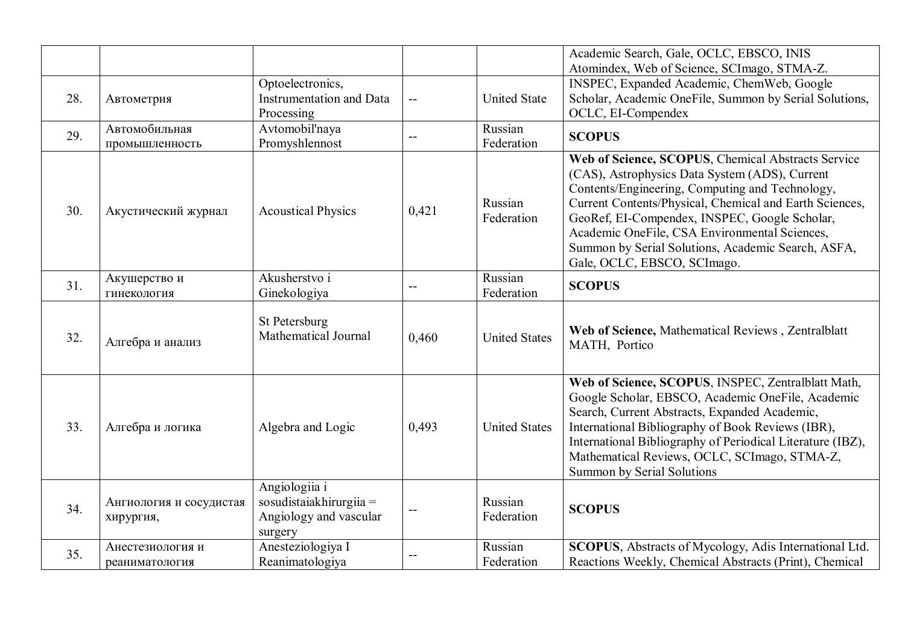|     |                                      | Optoelectronics,                                                              |       |                       | Academic Search, Gale, OCLC, EBSCO, INIS<br>Atomindex, Web of Science, SCImago, STMA-Z.<br>INSPEC, Expanded Academic, ChemWeb, Google                                                                                                                                                                                                                                                                     |
|-----|--------------------------------------|-------------------------------------------------------------------------------|-------|-----------------------|-----------------------------------------------------------------------------------------------------------------------------------------------------------------------------------------------------------------------------------------------------------------------------------------------------------------------------------------------------------------------------------------------------------|
| 28. | Автометрия                           | <b>Instrumentation and Data</b><br>Processing                                 | $-$   | <b>United State</b>   | Scholar, Academic OneFile, Summon by Serial Solutions,<br>OCLC, EI-Compendex                                                                                                                                                                                                                                                                                                                              |
| 29. | Автомобильная<br>промышленность      | Avtomobil'naya<br>Promyshlennost                                              | $-$   | Russian<br>Federation | <b>SCOPUS</b>                                                                                                                                                                                                                                                                                                                                                                                             |
| 30. | Акустический журнал                  | <b>Acoustical Physics</b>                                                     | 0,421 | Russian<br>Federation | Web of Science, SCOPUS, Chemical Abstracts Service<br>(CAS), Astrophysics Data System (ADS), Current<br>Contents/Engineering, Computing and Technology,<br>Current Contents/Physical, Chemical and Earth Sciences,<br>GeoRef, EI-Compendex, INSPEC, Google Scholar,<br>Academic OneFile, CSA Environmental Sciences,<br>Summon by Serial Solutions, Academic Search, ASFA,<br>Gale, OCLC, EBSCO, SCImago. |
| 31. | Акушерство и<br>гинекология          | Akusherstvo i<br>Ginekologiya                                                 | $-$   | Russian<br>Federation | <b>SCOPUS</b>                                                                                                                                                                                                                                                                                                                                                                                             |
| 32. | Алгебра и анализ                     | St Petersburg<br>Mathematical Journal                                         | 0.460 | <b>United States</b>  | Web of Science, Mathematical Reviews, Zentralblatt<br>MATH, Portico                                                                                                                                                                                                                                                                                                                                       |
| 33. | Алгебра и логика                     | Algebra and Logic                                                             | 0,493 | <b>United States</b>  | Web of Science, SCOPUS, INSPEC, Zentralblatt Math,<br>Google Scholar, EBSCO, Academic OneFile, Academic<br>Search, Current Abstracts, Expanded Academic,<br>International Bibliography of Book Reviews (IBR),<br>International Bibliography of Periodical Literature (IBZ),<br>Mathematical Reviews, OCLC, SCImago, STMA-Z,<br><b>Summon by Serial Solutions</b>                                          |
| 34. | Ангиология и сосудистая<br>хирургия, | Angiologiia i<br>sosudistaiakhirurgiia =<br>Angiology and vascular<br>surgery |       | Russian<br>Federation | <b>SCOPUS</b>                                                                                                                                                                                                                                                                                                                                                                                             |
| 35. | Анестезиология и<br>реаниматология   | Anesteziologiya I<br>Reanimatologiya                                          |       | Russian<br>Federation | SCOPUS, Abstracts of Mycology, Adis International Ltd.<br>Reactions Weekly, Chemical Abstracts (Print), Chemical                                                                                                                                                                                                                                                                                          |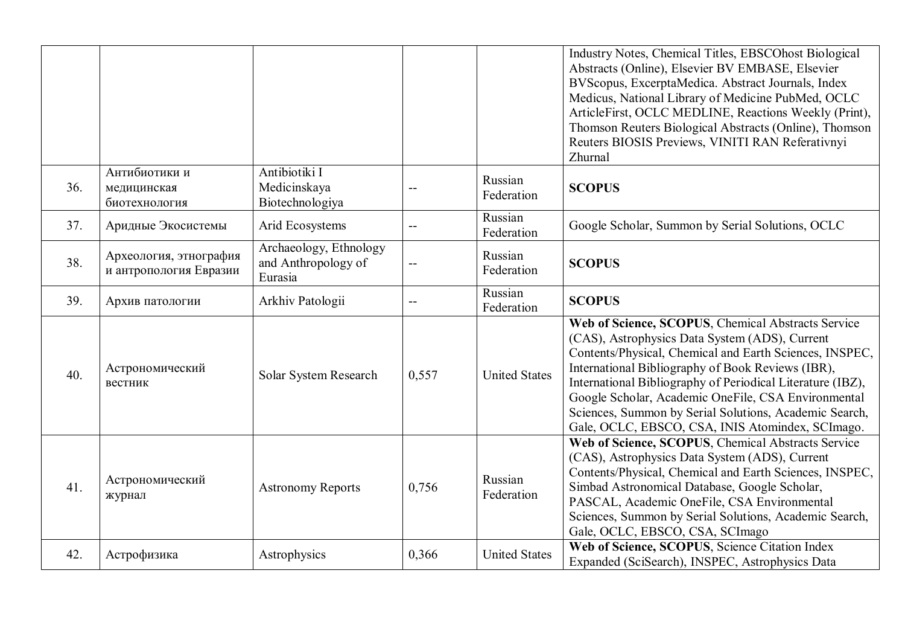|     |                                                  |                                                          |       |                       | Industry Notes, Chemical Titles, EBSCOhost Biological<br>Abstracts (Online), Elsevier BV EMBASE, Elsevier<br>BVScopus, ExcerptaMedica. Abstract Journals, Index<br>Medicus, National Library of Medicine PubMed, OCLC<br>ArticleFirst, OCLC MEDLINE, Reactions Weekly (Print),<br>Thomson Reuters Biological Abstracts (Online), Thomson<br>Reuters BIOSIS Previews, VINITI RAN Referativnyi<br>Zhurnal                                                 |
|-----|--------------------------------------------------|----------------------------------------------------------|-------|-----------------------|---------------------------------------------------------------------------------------------------------------------------------------------------------------------------------------------------------------------------------------------------------------------------------------------------------------------------------------------------------------------------------------------------------------------------------------------------------|
| 36. | Антибиотики и<br>медицинская<br>биотехнология    | Antibiotiki I<br>Medicinskaya<br>Biotechnologiya         |       | Russian<br>Federation | <b>SCOPUS</b>                                                                                                                                                                                                                                                                                                                                                                                                                                           |
| 37. | Аридные Экосистемы                               | Arid Ecosystems                                          |       | Russian<br>Federation | Google Scholar, Summon by Serial Solutions, OCLC                                                                                                                                                                                                                                                                                                                                                                                                        |
| 38. | Археология, этнография<br>и антропология Евразии | Archaeology, Ethnology<br>and Anthropology of<br>Eurasia |       | Russian<br>Federation | <b>SCOPUS</b>                                                                                                                                                                                                                                                                                                                                                                                                                                           |
| 39. | Архив патологии                                  | Arkhiv Patologii                                         |       | Russian<br>Federation | <b>SCOPUS</b>                                                                                                                                                                                                                                                                                                                                                                                                                                           |
| 40. | Астрономический<br>вестник                       | Solar System Research                                    | 0,557 | <b>United States</b>  | Web of Science, SCOPUS, Chemical Abstracts Service<br>(CAS), Astrophysics Data System (ADS), Current<br>Contents/Physical, Chemical and Earth Sciences, INSPEC,<br>International Bibliography of Book Reviews (IBR),<br>International Bibliography of Periodical Literature (IBZ),<br>Google Scholar, Academic OneFile, CSA Environmental<br>Sciences, Summon by Serial Solutions, Academic Search,<br>Gale, OCLC, EBSCO, CSA, INIS Atomindex, SCImago. |
| 41. | Астрономический<br>журнал                        | <b>Astronomy Reports</b>                                 | 0,756 | Russian<br>Federation | Web of Science, SCOPUS, Chemical Abstracts Service<br>(CAS), Astrophysics Data System (ADS), Current<br>Contents/Physical, Chemical and Earth Sciences, INSPEC,<br>Simbad Astronomical Database, Google Scholar,<br>PASCAL, Academic OneFile, CSA Environmental<br>Sciences, Summon by Serial Solutions, Academic Search,<br>Gale, OCLC, EBSCO, CSA, SCImago                                                                                            |
| 42. | Астрофизика                                      | Astrophysics                                             | 0,366 | <b>United States</b>  | Web of Science, SCOPUS, Science Citation Index<br>Expanded (SciSearch), INSPEC, Astrophysics Data                                                                                                                                                                                                                                                                                                                                                       |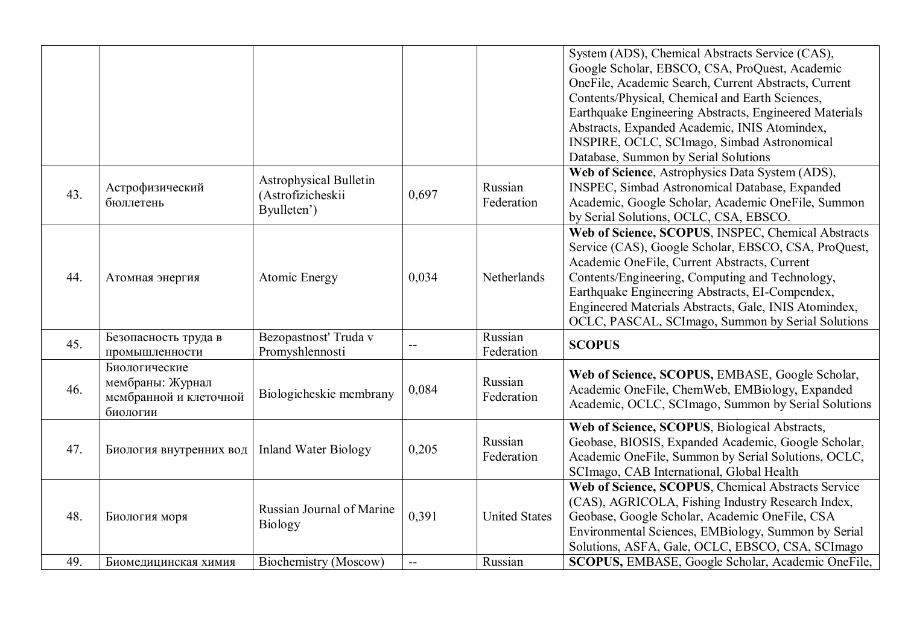|     |                                                                         |                                                                   |       |                       | System (ADS), Chemical Abstracts Service (CAS),<br>Google Scholar, EBSCO, CSA, ProQuest, Academic<br>OneFile, Academic Search, Current Abstracts, Current<br>Contents/Physical, Chemical and Earth Sciences,<br>Earthquake Engineering Abstracts, Engineered Materials<br>Abstracts, Expanded Academic, INIS Atomindex,<br>INSPIRE, OCLC, SCImago, Simbad Astronomical         |
|-----|-------------------------------------------------------------------------|-------------------------------------------------------------------|-------|-----------------------|--------------------------------------------------------------------------------------------------------------------------------------------------------------------------------------------------------------------------------------------------------------------------------------------------------------------------------------------------------------------------------|
|     |                                                                         |                                                                   |       |                       | Database, Summon by Serial Solutions                                                                                                                                                                                                                                                                                                                                           |
| 43. | Астрофизический<br>бюллетень                                            | <b>Astrophysical Bulletin</b><br>(Astrofizicheskii<br>Byulleten') | 0,697 | Russian<br>Federation | Web of Science, Astrophysics Data System (ADS),<br><b>INSPEC, Simbad Astronomical Database, Expanded</b><br>Academic, Google Scholar, Academic OneFile, Summon<br>by Serial Solutions, OCLC, CSA, EBSCO.                                                                                                                                                                       |
| 44. | Атомная энергия                                                         | Atomic Energy                                                     | 0,034 | Netherlands           | Web of Science, SCOPUS, INSPEC, Chemical Abstracts<br>Service (CAS), Google Scholar, EBSCO, CSA, ProQuest,<br>Academic OneFile, Current Abstracts, Current<br>Contents/Engineering, Computing and Technology,<br>Earthquake Engineering Abstracts, EI-Compendex,<br>Engineered Materials Abstracts, Gale, INIS Atomindex,<br>OCLC, PASCAL, SCImago, Summon by Serial Solutions |
| 45. | Безопасность труда в<br>промышленности                                  | Bezopastnosť Truda v<br>Promyshlennosti                           |       | Russian<br>Federation | <b>SCOPUS</b>                                                                                                                                                                                                                                                                                                                                                                  |
| 46. | Биологические<br>мембраны: Журнал<br>мембранной и клеточной<br>биологии | Biologicheskie membrany                                           | 0,084 | Russian<br>Federation | Web of Science, SCOPUS, EMBASE, Google Scholar,<br>Academic OneFile, ChemWeb, EMBiology, Expanded<br>Academic, OCLC, SCImago, Summon by Serial Solutions                                                                                                                                                                                                                       |
| 47. | Биология внутренних вод                                                 | <b>Inland Water Biology</b>                                       | 0,205 | Russian<br>Federation | Web of Science, SCOPUS, Biological Abstracts,<br>Geobase, BIOSIS, Expanded Academic, Google Scholar,<br>Academic OneFile, Summon by Serial Solutions, OCLC,<br>SCImago, CAB International, Global Health                                                                                                                                                                       |
| 48. | Биология моря                                                           | Russian Journal of Marine<br><b>Biology</b>                       | 0,391 | <b>United States</b>  | Web of Science, SCOPUS, Chemical Abstracts Service<br>(CAS), AGRICOLA, Fishing Industry Research Index,<br>Geobase, Google Scholar, Academic OneFile, CSA<br>Environmental Sciences, EMBiology, Summon by Serial<br>Solutions, ASFA, Gale, OCLC, EBSCO, CSA, SCImago                                                                                                           |
| 49. | Биомедицинская химия                                                    | Biochemistry (Moscow)                                             | $-$   | Russian               | SCOPUS, EMBASE, Google Scholar, Academic OneFile,                                                                                                                                                                                                                                                                                                                              |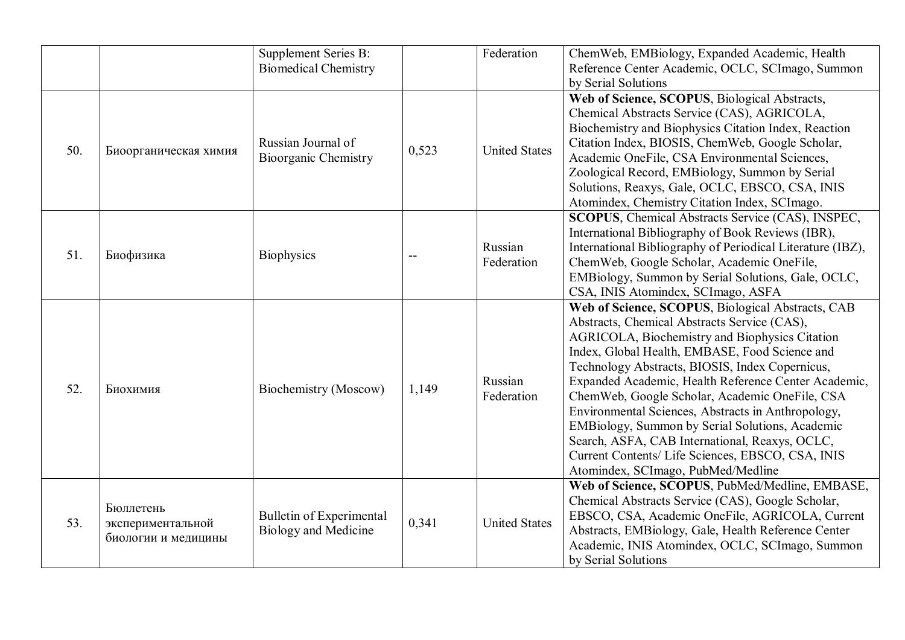|     |                                                       | Supplement Series B:<br><b>Biomedical Chemistry</b>     |       | Federation            | ChemWeb, EMBiology, Expanded Academic, Health<br>Reference Center Academic, OCLC, SCImago, Summon<br>by Serial Solutions                                                                                                                                                                                                                                                                                                                                                                                                                                                                                                 |
|-----|-------------------------------------------------------|---------------------------------------------------------|-------|-----------------------|--------------------------------------------------------------------------------------------------------------------------------------------------------------------------------------------------------------------------------------------------------------------------------------------------------------------------------------------------------------------------------------------------------------------------------------------------------------------------------------------------------------------------------------------------------------------------------------------------------------------------|
| 50. | Биоорганическая химия                                 | Russian Journal of<br><b>Bioorganic Chemistry</b>       | 0,523 | <b>United States</b>  | Web of Science, SCOPUS, Biological Abstracts,<br>Chemical Abstracts Service (CAS), AGRICOLA,<br>Biochemistry and Biophysics Citation Index, Reaction<br>Citation Index, BIOSIS, ChemWeb, Google Scholar,<br>Academic OneFile, CSA Environmental Sciences,<br>Zoological Record, EMBiology, Summon by Serial<br>Solutions, Reaxys, Gale, OCLC, EBSCO, CSA, INIS<br>Atomindex, Chemistry Citation Index, SCImago.                                                                                                                                                                                                          |
| 51. | Биофизика                                             | <b>Biophysics</b>                                       |       | Russian<br>Federation | SCOPUS, Chemical Abstracts Service (CAS), INSPEC,<br>International Bibliography of Book Reviews (IBR),<br>International Bibliography of Periodical Literature (IBZ),<br>ChemWeb, Google Scholar, Academic OneFile,<br>EMBiology, Summon by Serial Solutions, Gale, OCLC,<br>CSA, INIS Atomindex, SCImago, ASFA                                                                                                                                                                                                                                                                                                           |
| 52. | Биохимия                                              | Biochemistry (Moscow)                                   | 1,149 | Russian<br>Federation | Web of Science, SCOPUS, Biological Abstracts, CAB<br>Abstracts, Chemical Abstracts Service (CAS),<br>AGRICOLA, Biochemistry and Biophysics Citation<br>Index, Global Health, EMBASE, Food Science and<br>Technology Abstracts, BIOSIS, Index Copernicus,<br>Expanded Academic, Health Reference Center Academic,<br>ChemWeb, Google Scholar, Academic OneFile, CSA<br>Environmental Sciences, Abstracts in Anthropology,<br>EMBiology, Summon by Serial Solutions, Academic<br>Search, ASFA, CAB International, Reaxys, OCLC,<br>Current Contents/ Life Sciences, EBSCO, CSA, INIS<br>Atomindex, SCImago, PubMed/Medline |
| 53. | Бюллетень<br>экспериментальной<br>биологии и медицины | Bulletin of Experimental<br><b>Biology and Medicine</b> | 0,341 | <b>United States</b>  | Web of Science, SCOPUS, PubMed/Medline, EMBASE,<br>Chemical Abstracts Service (CAS), Google Scholar,<br>EBSCO, CSA, Academic OneFile, AGRICOLA, Current<br>Abstracts, EMBiology, Gale, Health Reference Center<br>Academic, INIS Atomindex, OCLC, SCImago, Summon<br>by Serial Solutions                                                                                                                                                                                                                                                                                                                                 |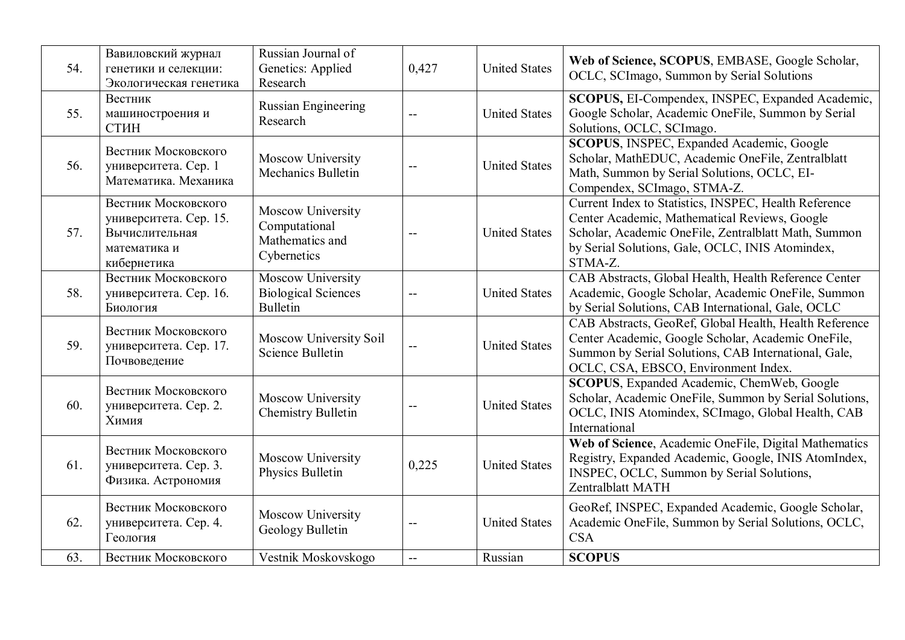| 54. | Вавиловский журнал<br>генетики и селекции:<br>Экологическая генетика                           | Russian Journal of<br>Genetics: Applied<br>Research                  | 0,427                    | <b>United States</b> | Web of Science, SCOPUS, EMBASE, Google Scholar,<br>OCLC, SCImago, Summon by Serial Solutions                                                                                                                                  |
|-----|------------------------------------------------------------------------------------------------|----------------------------------------------------------------------|--------------------------|----------------------|-------------------------------------------------------------------------------------------------------------------------------------------------------------------------------------------------------------------------------|
| 55. | Вестник<br>машиностроения и<br>СТИН                                                            | <b>Russian Engineering</b><br>Research                               |                          | <b>United States</b> | SCOPUS, EI-Compendex, INSPEC, Expanded Academic,<br>Google Scholar, Academic OneFile, Summon by Serial<br>Solutions, OCLC, SCImago.                                                                                           |
| 56. | Вестник Московского<br>университета. Сер. 1<br>Математика. Механика                            | Moscow University<br>Mechanics Bulletin                              | $-$                      | <b>United States</b> | SCOPUS, INSPEC, Expanded Academic, Google<br>Scholar, MathEDUC, Academic OneFile, Zentralblatt<br>Math, Summon by Serial Solutions, OCLC, EI-<br>Compendex, SCImago, STMA-Z.                                                  |
| 57. | Вестник Московского<br>университета. Сер. 15.<br>Вычислительная<br>математика и<br>кибернетика | Moscow University<br>Computational<br>Mathematics and<br>Cybernetics |                          | <b>United States</b> | Current Index to Statistics, INSPEC, Health Reference<br>Center Academic, Mathematical Reviews, Google<br>Scholar, Academic OneFile, Zentralblatt Math, Summon<br>by Serial Solutions, Gale, OCLC, INIS Atomindex,<br>STMA-Z. |
| 58. | Вестник Московского<br>университета. Сер. 16.<br>Биология                                      | Moscow University<br><b>Biological Sciences</b><br><b>Bulletin</b>   | $-$                      | <b>United States</b> | CAB Abstracts, Global Health, Health Reference Center<br>Academic, Google Scholar, Academic OneFile, Summon<br>by Serial Solutions, CAB International, Gale, OCLC                                                             |
| 59. | Вестник Московского<br>университета. Сер. 17.<br>Почвоведение                                  | Moscow University Soil<br>Science Bulletin                           | $-$                      | <b>United States</b> | CAB Abstracts, GeoRef, Global Health, Health Reference<br>Center Academic, Google Scholar, Academic OneFile,<br>Summon by Serial Solutions, CAB International, Gale,<br>OCLC, CSA, EBSCO, Environment Index.                  |
| 60. | Вестник Московского<br>университета. Сер. 2.<br>Химия                                          | Moscow University<br><b>Chemistry Bulletin</b>                       |                          | <b>United States</b> | <b>SCOPUS</b> , Expanded Academic, ChemWeb, Google<br>Scholar, Academic OneFile, Summon by Serial Solutions,<br>OCLC, INIS Atomindex, SCImago, Global Health, CAB<br>International                                            |
| 61. | Вестник Московского<br>университета. Сер. 3.<br>Физика. Астрономия                             | Moscow University<br>Physics Bulletin                                | 0,225                    | <b>United States</b> | Web of Science, Academic OneFile, Digital Mathematics<br>Registry, Expanded Academic, Google, INIS AtomIndex,<br>INSPEC, OCLC, Summon by Serial Solutions,<br>Zentralblatt MATH                                               |
| 62. | Вестник Московского<br>университета. Сер. 4.<br>Геология                                       | Moscow University<br>Geology Bulletin                                |                          | <b>United States</b> | GeoRef, INSPEC, Expanded Academic, Google Scholar,<br>Academic OneFile, Summon by Serial Solutions, OCLC,<br><b>CSA</b>                                                                                                       |
| 63. | Вестник Московского                                                                            | Vestnik Moskovskogo                                                  | $\overline{\phantom{a}}$ | Russian              | <b>SCOPUS</b>                                                                                                                                                                                                                 |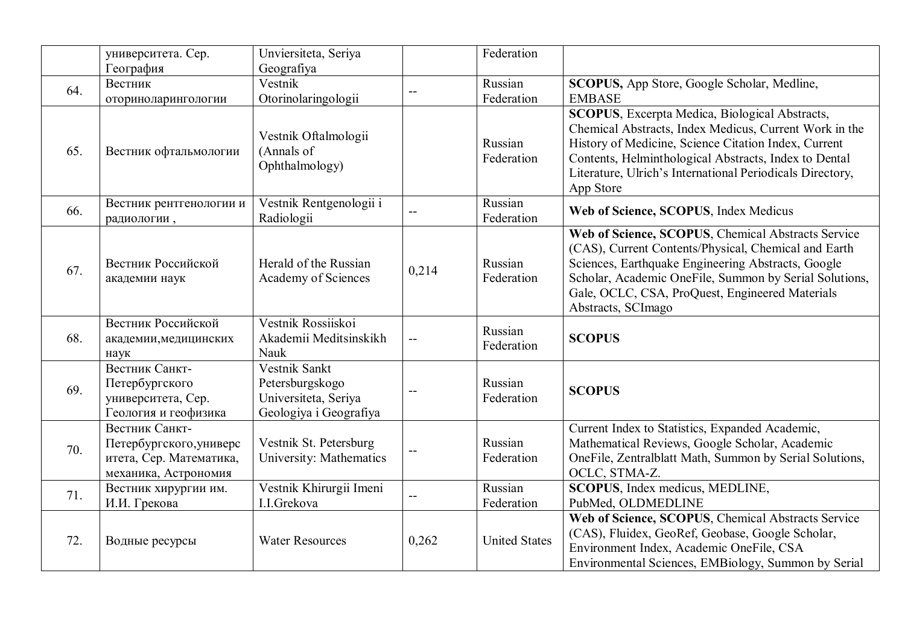|     | университета. Сер.                                                                           | Unviersiteta, Seriya                                                               |                          | Federation            |                                                                                                                                                                                                                                                                                                             |
|-----|----------------------------------------------------------------------------------------------|------------------------------------------------------------------------------------|--------------------------|-----------------------|-------------------------------------------------------------------------------------------------------------------------------------------------------------------------------------------------------------------------------------------------------------------------------------------------------------|
|     | География                                                                                    | Geografiya                                                                         |                          |                       |                                                                                                                                                                                                                                                                                                             |
| 64. | Вестник                                                                                      | Vestnik                                                                            |                          | Russian               | SCOPUS, App Store, Google Scholar, Medline,                                                                                                                                                                                                                                                                 |
|     | оториноларингологии                                                                          | Otorinolaringologii                                                                |                          | Federation            | <b>EMBASE</b>                                                                                                                                                                                                                                                                                               |
| 65. | Вестник офтальмологии                                                                        | Vestnik Oftalmologii<br>(Annals of<br>Ophthalmology)                               |                          | Russian<br>Federation | <b>SCOPUS</b> , Excerpta Medica, Biological Abstracts,<br>Chemical Abstracts, Index Medicus, Current Work in the<br>History of Medicine, Science Citation Index, Current<br>Contents, Helminthological Abstracts, Index to Dental<br>Literature, Ulrich's International Periodicals Directory,<br>App Store |
| 66. | Вестник рентгенологии и<br>радиологии,                                                       | Vestnik Rentgenologii i<br>Radiologii                                              |                          | Russian<br>Federation | Web of Science, SCOPUS, Index Medicus                                                                                                                                                                                                                                                                       |
| 67. | Вестник Российской<br>академии наук                                                          | Herald of the Russian<br>Academy of Sciences                                       | 0,214                    | Russian<br>Federation | Web of Science, SCOPUS, Chemical Abstracts Service<br>(CAS), Current Contents/Physical, Chemical and Earth<br>Sciences, Earthquake Engineering Abstracts, Google<br>Scholar, Academic OneFile, Summon by Serial Solutions,<br>Gale, OCLC, CSA, ProQuest, Engineered Materials<br>Abstracts, SCImago         |
| 68. | Вестник Российской<br>академии, медицинских<br>наук                                          | Vestnik Rossiiskoi<br>Akademii Meditsinskikh<br>Nauk                               |                          | Russian<br>Federation | <b>SCOPUS</b>                                                                                                                                                                                                                                                                                               |
| 69. | Вестник Санкт-<br>Петербургского<br>университета, Сер.<br>Геология и геофизика               | Vestnik Sankt<br>Petersburgskogo<br>Universiteta, Seriya<br>Geologiya i Geografiya | $\overline{a}$           | Russian<br>Federation | <b>SCOPUS</b>                                                                                                                                                                                                                                                                                               |
| 70. | Вестник Санкт-<br>Петербургского, универс<br>итета, Сер. Математика,<br>механика, Астрономия | Vestnik St. Petersburg<br>University: Mathematics                                  | $\overline{\phantom{m}}$ | Russian<br>Federation | Current Index to Statistics, Expanded Academic,<br>Mathematical Reviews, Google Scholar, Academic<br>OneFile, Zentralblatt Math, Summon by Serial Solutions,<br>OCLC, STMA-Z.                                                                                                                               |
| 71. | Вестник хирургии им.<br>И.И. Грекова                                                         | Vestnik Khirurgii Imeni<br>I.I.Grekova                                             |                          | Russian<br>Federation | <b>SCOPUS</b> , Index medicus, MEDLINE,<br>PubMed, OLDMEDLINE                                                                                                                                                                                                                                               |
| 72. | Водные ресурсы                                                                               | <b>Water Resources</b>                                                             | 0,262                    | <b>United States</b>  | Web of Science, SCOPUS, Chemical Abstracts Service<br>(CAS), Fluidex, GeoRef, Geobase, Google Scholar,<br>Environment Index, Academic OneFile, CSA<br>Environmental Sciences, EMBiology, Summon by Serial                                                                                                   |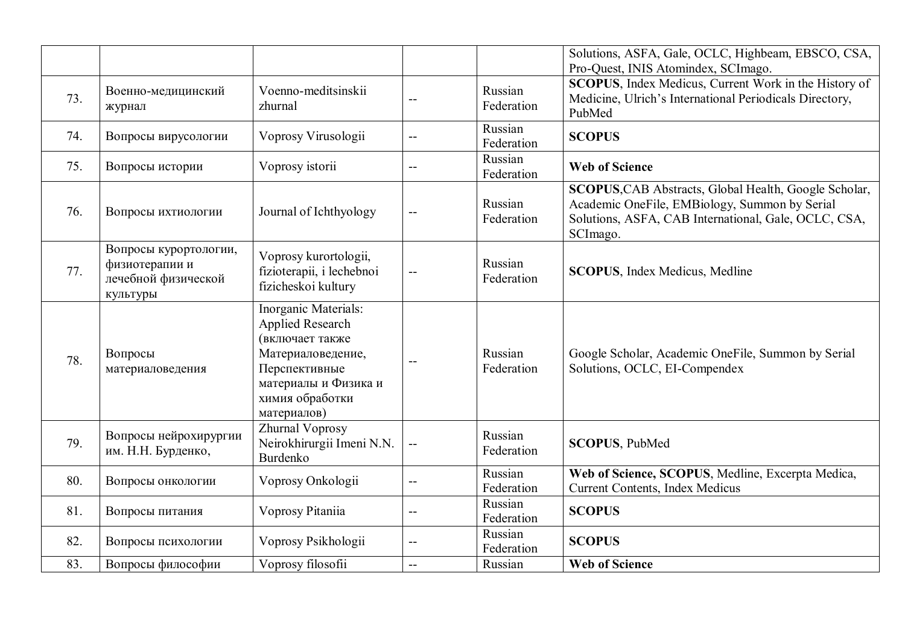|     |                                                                            |                                                                                                                                                             |                |                       | Solutions, ASFA, Gale, OCLC, Highbeam, EBSCO, CSA,<br>Pro-Quest, INIS Atomindex, SCImago.                                                                                  |
|-----|----------------------------------------------------------------------------|-------------------------------------------------------------------------------------------------------------------------------------------------------------|----------------|-----------------------|----------------------------------------------------------------------------------------------------------------------------------------------------------------------------|
| 73. | Военно-медицинский<br>журнал                                               | Voenno-meditsinskii<br>zhurnal                                                                                                                              |                | Russian<br>Federation | <b>SCOPUS</b> , Index Medicus, Current Work in the History of<br>Medicine, Ulrich's International Periodicals Directory,<br>PubMed                                         |
| 74. | Вопросы вирусологии                                                        | Voprosy Virusologii                                                                                                                                         | $-$            | Russian<br>Federation | <b>SCOPUS</b>                                                                                                                                                              |
| 75. | Вопросы истории                                                            | Voprosy istorii                                                                                                                                             | $-$            | Russian<br>Federation | <b>Web of Science</b>                                                                                                                                                      |
| 76. | Вопросы ихтиологии                                                         | Journal of Ichthyology                                                                                                                                      |                | Russian<br>Federation | SCOPUS, CAB Abstracts, Global Health, Google Scholar,<br>Academic OneFile, EMBiology, Summon by Serial<br>Solutions, ASFA, CAB International, Gale, OCLC, CSA,<br>SCImago. |
| 77. | Вопросы курортологии,<br>физиотерапии и<br>лечебной физической<br>культуры | Voprosy kurortologii,<br>fizioterapii, i lechebnoi<br>fizicheskoi kultury                                                                                   | $-$            | Russian<br>Federation | <b>SCOPUS</b> , Index Medicus, Medline                                                                                                                                     |
| 78. | Вопросы<br>материаловедения                                                | Inorganic Materials:<br>Applied Research<br>(включает также<br>Материаловедение,<br>Перспективные<br>материалы и Физика и<br>химия обработки<br>материалов) |                | Russian<br>Federation | Google Scholar, Academic OneFile, Summon by Serial<br>Solutions, OCLC, EI-Compendex                                                                                        |
| 79. | Вопросы нейрохирургии<br>им. Н.Н. Бурденко,                                | Zhurnal Voprosy<br>Neirokhirurgii Imeni N.N.<br><b>Burdenko</b>                                                                                             | $-$            | Russian<br>Federation | <b>SCOPUS, PubMed</b>                                                                                                                                                      |
| 80. | Вопросы онкологии                                                          | Voprosy Onkologii                                                                                                                                           | $-$            | Russian<br>Federation | Web of Science, SCOPUS, Medline, Excerpta Medica,<br><b>Current Contents, Index Medicus</b>                                                                                |
| 81. | Вопросы питания                                                            | Voprosy Pitaniia                                                                                                                                            | $\overline{a}$ | Russian<br>Federation | <b>SCOPUS</b>                                                                                                                                                              |
| 82. | Вопросы психологии                                                         | Voprosy Psikhologii                                                                                                                                         | $-$            | Russian<br>Federation | <b>SCOPUS</b>                                                                                                                                                              |
| 83. | Вопросы философии                                                          | Voprosy filosofii                                                                                                                                           | $-$            | Russian               | <b>Web of Science</b>                                                                                                                                                      |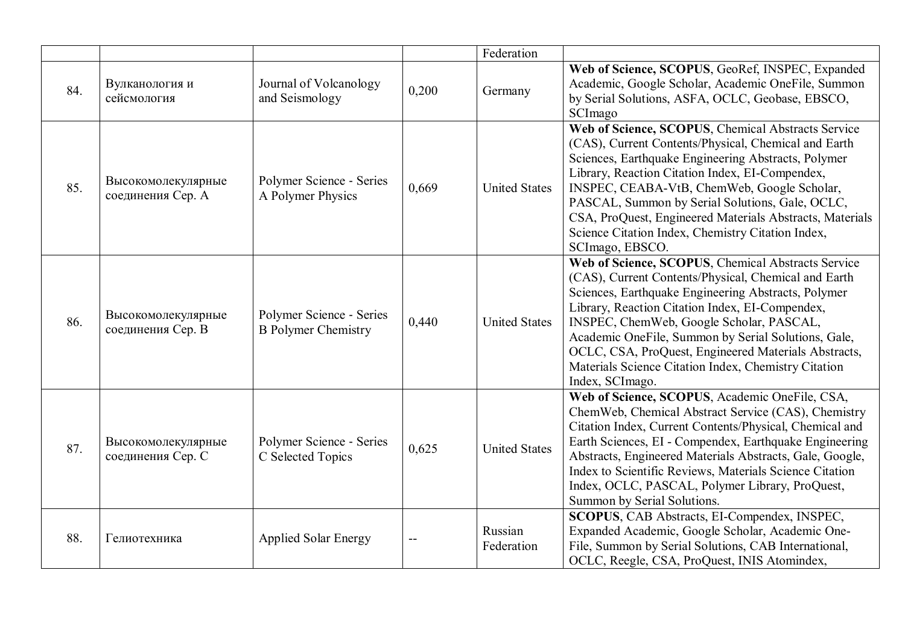|     |                                         |                                                        |       | Federation            |                                                                                                                                                                                                                                                                                                                                                                                                                                                            |
|-----|-----------------------------------------|--------------------------------------------------------|-------|-----------------------|------------------------------------------------------------------------------------------------------------------------------------------------------------------------------------------------------------------------------------------------------------------------------------------------------------------------------------------------------------------------------------------------------------------------------------------------------------|
| 84. | Вулканология и<br>сейсмология           | Journal of Volcanology<br>and Seismology               | 0,200 | Germany               | Web of Science, SCOPUS, GeoRef, INSPEC, Expanded<br>Academic, Google Scholar, Academic OneFile, Summon<br>by Serial Solutions, ASFA, OCLC, Geobase, EBSCO,<br>SCImago                                                                                                                                                                                                                                                                                      |
| 85. | Высокомолекулярные<br>соединения Сер. А | Polymer Science - Series<br>A Polymer Physics          | 0,669 | <b>United States</b>  | Web of Science, SCOPUS, Chemical Abstracts Service<br>(CAS), Current Contents/Physical, Chemical and Earth<br>Sciences, Earthquake Engineering Abstracts, Polymer<br>Library, Reaction Citation Index, EI-Compendex,<br>INSPEC, CEABA-VtB, ChemWeb, Google Scholar,<br>PASCAL, Summon by Serial Solutions, Gale, OCLC,<br>CSA, ProQuest, Engineered Materials Abstracts, Materials<br>Science Citation Index, Chemistry Citation Index,<br>SCImago, EBSCO. |
| 86. | Высокомолекулярные<br>соединения Сер. В | Polymer Science - Series<br><b>B</b> Polymer Chemistry | 0,440 | <b>United States</b>  | Web of Science, SCOPUS, Chemical Abstracts Service<br>(CAS), Current Contents/Physical, Chemical and Earth<br>Sciences, Earthquake Engineering Abstracts, Polymer<br>Library, Reaction Citation Index, EI-Compendex,<br>INSPEC, ChemWeb, Google Scholar, PASCAL,<br>Academic OneFile, Summon by Serial Solutions, Gale,<br>OCLC, CSA, ProQuest, Engineered Materials Abstracts,<br>Materials Science Citation Index, Chemistry Citation<br>Index, SCImago. |
| 87. | Высокомолекулярные<br>соединения Сер. С | Polymer Science - Series<br>C Selected Topics          | 0,625 | <b>United States</b>  | Web of Science, SCOPUS, Academic OneFile, CSA,<br>ChemWeb, Chemical Abstract Service (CAS), Chemistry<br>Citation Index, Current Contents/Physical, Chemical and<br>Earth Sciences, EI - Compendex, Earthquake Engineering<br>Abstracts, Engineered Materials Abstracts, Gale, Google,<br>Index to Scientific Reviews, Materials Science Citation<br>Index, OCLC, PASCAL, Polymer Library, ProQuest,<br>Summon by Serial Solutions.                        |
| 88. | Гелиотехника                            | <b>Applied Solar Energy</b>                            |       | Russian<br>Federation | SCOPUS, CAB Abstracts, EI-Compendex, INSPEC,<br>Expanded Academic, Google Scholar, Academic One-<br>File, Summon by Serial Solutions, CAB International,<br>OCLC, Reegle, CSA, ProQuest, INIS Atomindex,                                                                                                                                                                                                                                                   |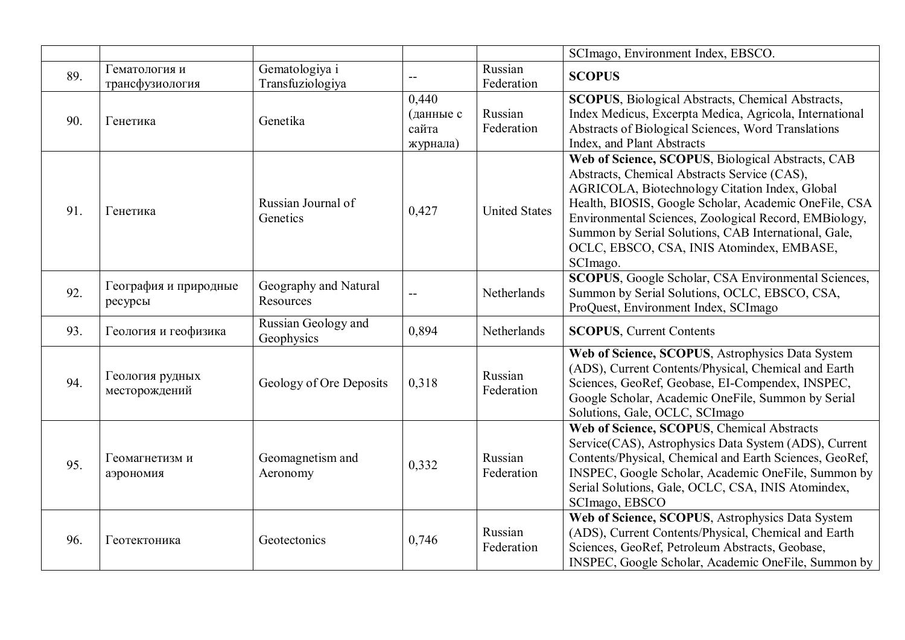|     |                                  |                                    |                                         |                       | SCImago, Environment Index, EBSCO.                                                                                                                                                                                                                                                                                                                                                     |
|-----|----------------------------------|------------------------------------|-----------------------------------------|-----------------------|----------------------------------------------------------------------------------------------------------------------------------------------------------------------------------------------------------------------------------------------------------------------------------------------------------------------------------------------------------------------------------------|
| 89. | Гематология и<br>трансфузиология | Gematologiya i<br>Transfuziologiya | $-$                                     | Russian<br>Federation | <b>SCOPUS</b>                                                                                                                                                                                                                                                                                                                                                                          |
| 90. | Генетика                         | Genetika                           | 0,440<br>(данные с<br>сайта<br>журнала) | Russian<br>Federation | <b>SCOPUS</b> , Biological Abstracts, Chemical Abstracts,<br>Index Medicus, Excerpta Medica, Agricola, International<br>Abstracts of Biological Sciences, Word Translations<br>Index, and Plant Abstracts                                                                                                                                                                              |
| 91. | Генетика                         | Russian Journal of<br>Genetics     | 0,427                                   | <b>United States</b>  | Web of Science, SCOPUS, Biological Abstracts, CAB<br>Abstracts, Chemical Abstracts Service (CAS),<br>AGRICOLA, Biotechnology Citation Index, Global<br>Health, BIOSIS, Google Scholar, Academic OneFile, CSA<br>Environmental Sciences, Zoological Record, EMBiology,<br>Summon by Serial Solutions, CAB International, Gale,<br>OCLC, EBSCO, CSA, INIS Atomindex, EMBASE,<br>SCImago. |
| 92. | География и природные<br>ресурсы | Geography and Natural<br>Resources | $-$                                     | Netherlands           | SCOPUS, Google Scholar, CSA Environmental Sciences,<br>Summon by Serial Solutions, OCLC, EBSCO, CSA,<br>ProQuest, Environment Index, SCImago                                                                                                                                                                                                                                           |
| 93. | Геология и геофизика             | Russian Geology and<br>Geophysics  | 0,894                                   | Netherlands           | <b>SCOPUS, Current Contents</b>                                                                                                                                                                                                                                                                                                                                                        |
| 94. | Геология рудных<br>месторождений | Geology of Ore Deposits            | 0,318                                   | Russian<br>Federation | Web of Science, SCOPUS, Astrophysics Data System<br>(ADS), Current Contents/Physical, Chemical and Earth<br>Sciences, GeoRef, Geobase, EI-Compendex, INSPEC,<br>Google Scholar, Academic OneFile, Summon by Serial<br>Solutions, Gale, OCLC, SCImago                                                                                                                                   |
| 95. | Геомагнетизм и<br>аэрономия      | Geomagnetism and<br>Aeronomy       | 0,332                                   | Russian<br>Federation | Web of Science, SCOPUS, Chemical Abstracts<br>Service(CAS), Astrophysics Data System (ADS), Current<br>Contents/Physical, Chemical and Earth Sciences, GeoRef,<br>INSPEC, Google Scholar, Academic OneFile, Summon by<br>Serial Solutions, Gale, OCLC, CSA, INIS Atomindex,<br>SCImago, EBSCO                                                                                          |
| 96. | Геотектоника                     | Geotectonics                       | 0,746                                   | Russian<br>Federation | Web of Science, SCOPUS, Astrophysics Data System<br>(ADS), Current Contents/Physical, Chemical and Earth<br>Sciences, GeoRef, Petroleum Abstracts, Geobase,<br>INSPEC, Google Scholar, Academic OneFile, Summon by                                                                                                                                                                     |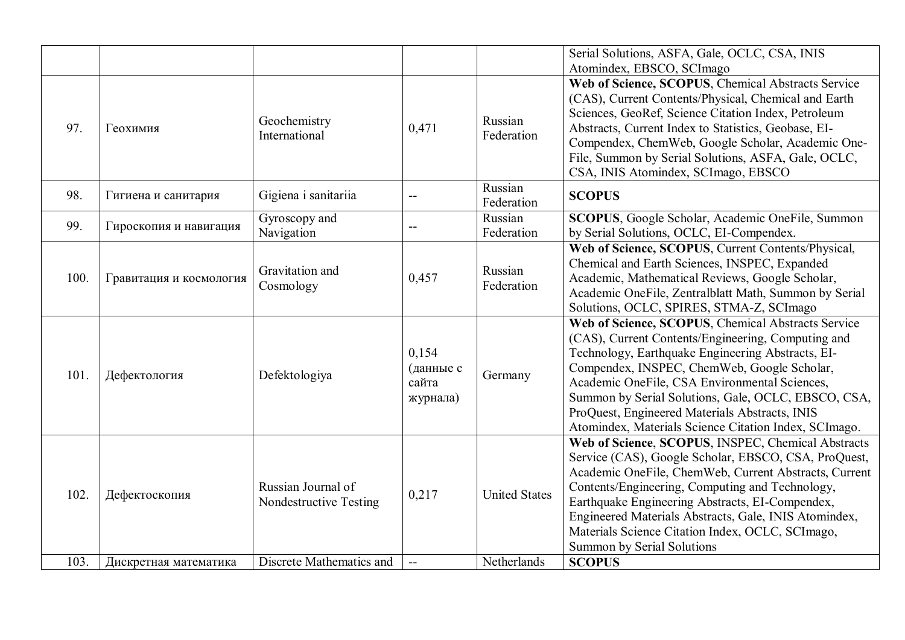|      |                         |                                              |                                         |                       | Serial Solutions, ASFA, Gale, OCLC, CSA, INIS<br>Atomindex, EBSCO, SCImago                                                                                                                                                                                                                                                                                                                                                      |
|------|-------------------------|----------------------------------------------|-----------------------------------------|-----------------------|---------------------------------------------------------------------------------------------------------------------------------------------------------------------------------------------------------------------------------------------------------------------------------------------------------------------------------------------------------------------------------------------------------------------------------|
| 97.  | Геохимия                | Geochemistry<br>International                | 0,471                                   | Russian<br>Federation | Web of Science, SCOPUS, Chemical Abstracts Service<br>(CAS), Current Contents/Physical, Chemical and Earth<br>Sciences, GeoRef, Science Citation Index, Petroleum<br>Abstracts, Current Index to Statistics, Geobase, EI-<br>Compendex, ChemWeb, Google Scholar, Academic One-<br>File, Summon by Serial Solutions, ASFA, Gale, OCLC,<br>CSA, INIS Atomindex, SCImago, EBSCO                                                    |
| 98.  | Гигиена и санитария     | Gigiena i sanitariia                         | $\overline{\phantom{a}}$                | Russian<br>Federation | <b>SCOPUS</b>                                                                                                                                                                                                                                                                                                                                                                                                                   |
| 99.  | Гироскопия и навигация  | Gyroscopy and<br>Navigation                  |                                         | Russian<br>Federation | SCOPUS, Google Scholar, Academic OneFile, Summon<br>by Serial Solutions, OCLC, EI-Compendex.                                                                                                                                                                                                                                                                                                                                    |
| 100. | Гравитация и космология | Gravitation and<br>Cosmology                 | 0,457                                   | Russian<br>Federation | Web of Science, SCOPUS, Current Contents/Physical,<br>Chemical and Earth Sciences, INSPEC, Expanded<br>Academic, Mathematical Reviews, Google Scholar,<br>Academic OneFile, Zentralblatt Math, Summon by Serial<br>Solutions, OCLC, SPIRES, STMA-Z, SCImago                                                                                                                                                                     |
| 101. | Дефектология            | Defektologiya                                | 0,154<br>(данные с<br>сайта<br>журнала) | Germany               | Web of Science, SCOPUS, Chemical Abstracts Service<br>(CAS), Current Contents/Engineering, Computing and<br>Technology, Earthquake Engineering Abstracts, EI-<br>Compendex, INSPEC, ChemWeb, Google Scholar,<br>Academic OneFile, CSA Environmental Sciences,<br>Summon by Serial Solutions, Gale, OCLC, EBSCO, CSA,<br>ProQuest, Engineered Materials Abstracts, INIS<br>Atomindex, Materials Science Citation Index, SCImago. |
| 102. | Дефектоскопия           | Russian Journal of<br>Nondestructive Testing | 0,217                                   | <b>United States</b>  | Web of Science, SCOPUS, INSPEC, Chemical Abstracts<br>Service (CAS), Google Scholar, EBSCO, CSA, ProQuest,<br>Academic OneFile, ChemWeb, Current Abstracts, Current<br>Contents/Engineering, Computing and Technology,<br>Earthquake Engineering Abstracts, EI-Compendex,<br>Engineered Materials Abstracts, Gale, INIS Atomindex,<br>Materials Science Citation Index, OCLC, SCImago,<br>Summon by Serial Solutions            |
| 103. | Дискретная математика   | Discrete Mathematics and                     | $\mathbf{u}$                            | Netherlands           | <b>SCOPUS</b>                                                                                                                                                                                                                                                                                                                                                                                                                   |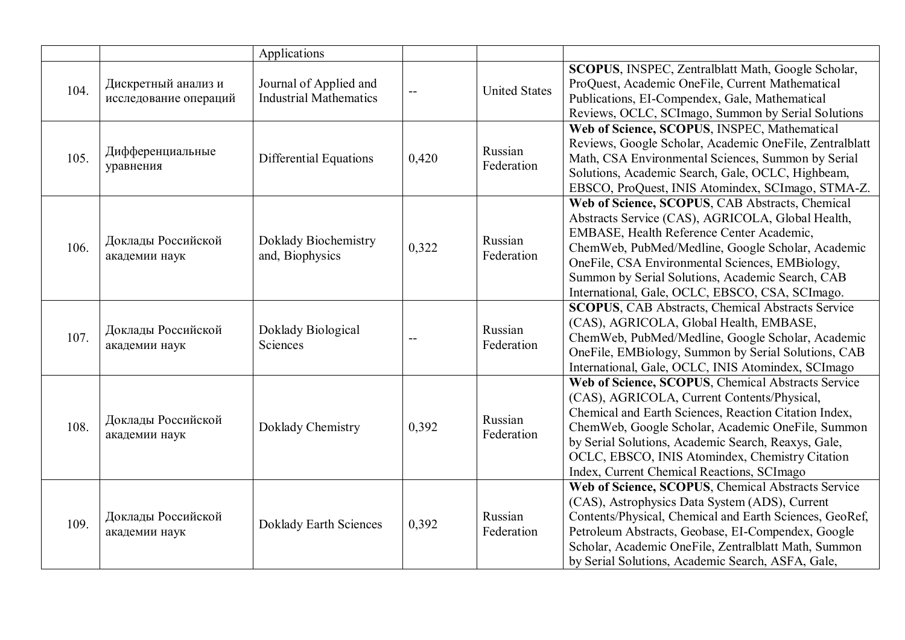|      |                                              | Applications                                            |       |                       |                                                                                                                                                                                                                                                                                                                                                                         |
|------|----------------------------------------------|---------------------------------------------------------|-------|-----------------------|-------------------------------------------------------------------------------------------------------------------------------------------------------------------------------------------------------------------------------------------------------------------------------------------------------------------------------------------------------------------------|
| 104. | Дискретный анализ и<br>исследование операций | Journal of Applied and<br><b>Industrial Mathematics</b> |       | <b>United States</b>  | SCOPUS, INSPEC, Zentralblatt Math, Google Scholar,<br>ProQuest, Academic OneFile, Current Mathematical<br>Publications, EI-Compendex, Gale, Mathematical<br>Reviews, OCLC, SCImago, Summon by Serial Solutions                                                                                                                                                          |
| 105. | Дифференциальные<br>уравнения                | Differential Equations                                  | 0,420 | Russian<br>Federation | Web of Science, SCOPUS, INSPEC, Mathematical<br>Reviews, Google Scholar, Academic OneFile, Zentralblatt<br>Math, CSA Environmental Sciences, Summon by Serial<br>Solutions, Academic Search, Gale, OCLC, Highbeam,<br>EBSCO, ProQuest, INIS Atomindex, SCImago, STMA-Z.                                                                                                 |
| 106. | Доклады Российской<br>академии наук          | Doklady Biochemistry<br>and, Biophysics                 | 0,322 | Russian<br>Federation | Web of Science, SCOPUS, CAB Abstracts, Chemical<br>Abstracts Service (CAS), AGRICOLA, Global Health,<br>EMBASE, Health Reference Center Academic,<br>ChemWeb, PubMed/Medline, Google Scholar, Academic<br>OneFile, CSA Environmental Sciences, EMBiology,<br>Summon by Serial Solutions, Academic Search, CAB<br>International, Gale, OCLC, EBSCO, CSA, SCImago.        |
| 107. | Доклады Российской<br>академии наук          | Doklady Biological<br>Sciences                          |       | Russian<br>Federation | <b>SCOPUS, CAB Abstracts, Chemical Abstracts Service</b><br>(CAS), AGRICOLA, Global Health, EMBASE,<br>ChemWeb, PubMed/Medline, Google Scholar, Academic<br>OneFile, EMBiology, Summon by Serial Solutions, CAB<br>International, Gale, OCLC, INIS Atomindex, SCImago                                                                                                   |
| 108. | Доклады Российской<br>академии наук          | Doklady Chemistry                                       | 0,392 | Russian<br>Federation | Web of Science, SCOPUS, Chemical Abstracts Service<br>(CAS), AGRICOLA, Current Contents/Physical,<br>Chemical and Earth Sciences, Reaction Citation Index,<br>ChemWeb, Google Scholar, Academic OneFile, Summon<br>by Serial Solutions, Academic Search, Reaxys, Gale,<br>OCLC, EBSCO, INIS Atomindex, Chemistry Citation<br>Index, Current Chemical Reactions, SCImago |
| 109. | Доклады Российской<br>академии наук          | <b>Doklady Earth Sciences</b>                           | 0,392 | Russian<br>Federation | Web of Science, SCOPUS, Chemical Abstracts Service<br>(CAS), Astrophysics Data System (ADS), Current<br>Contents/Physical, Chemical and Earth Sciences, GeoRef,<br>Petroleum Abstracts, Geobase, EI-Compendex, Google<br>Scholar, Academic OneFile, Zentralblatt Math, Summon<br>by Serial Solutions, Academic Search, ASFA, Gale,                                      |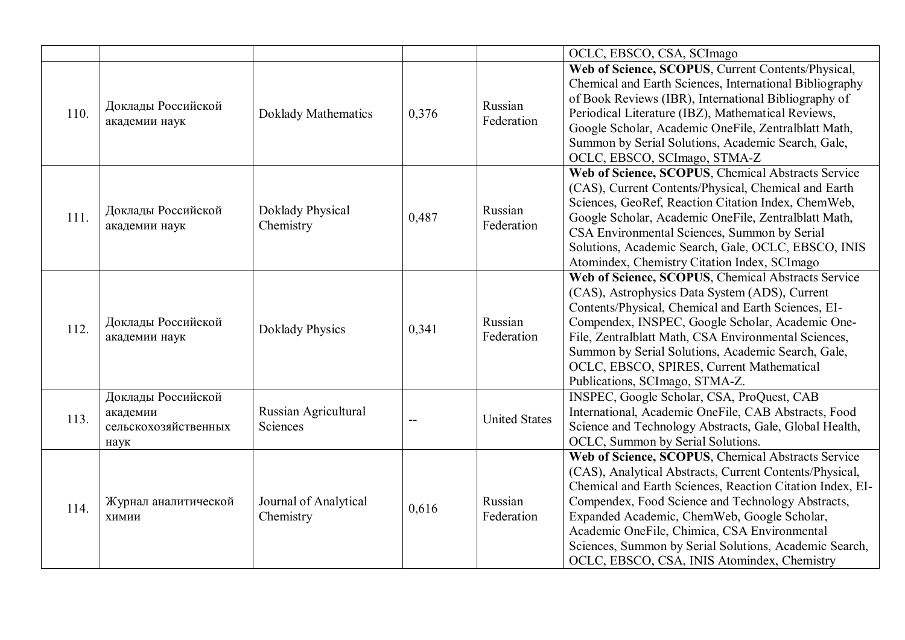|      |                                                                |                                    |       |                       | OCLC, EBSCO, CSA, SCImago                                                                                                                                                                                                                                                                                                                                                                                                               |
|------|----------------------------------------------------------------|------------------------------------|-------|-----------------------|-----------------------------------------------------------------------------------------------------------------------------------------------------------------------------------------------------------------------------------------------------------------------------------------------------------------------------------------------------------------------------------------------------------------------------------------|
| 110. | Доклады Российской<br>академии наук                            | Doklady Mathematics                | 0,376 | Russian<br>Federation | Web of Science, SCOPUS, Current Contents/Physical,<br>Chemical and Earth Sciences, International Bibliography<br>of Book Reviews (IBR), International Bibliography of<br>Periodical Literature (IBZ), Mathematical Reviews,<br>Google Scholar, Academic OneFile, Zentralblatt Math,<br>Summon by Serial Solutions, Academic Search, Gale,<br>OCLC, EBSCO, SCImago, STMA-Z                                                               |
| 111. | Доклады Российской<br>академии наук                            | Doklady Physical<br>Chemistry      | 0,487 | Russian<br>Federation | Web of Science, SCOPUS, Chemical Abstracts Service<br>(CAS), Current Contents/Physical, Chemical and Earth<br>Sciences, GeoRef, Reaction Citation Index, ChemWeb,<br>Google Scholar, Academic OneFile, Zentralblatt Math,<br>CSA Environmental Sciences, Summon by Serial<br>Solutions, Academic Search, Gale, OCLC, EBSCO, INIS<br>Atomindex, Chemistry Citation Index, SCImago                                                        |
| 112. | Доклады Российской<br>академии наук                            | <b>Doklady Physics</b>             | 0,341 | Russian<br>Federation | Web of Science, SCOPUS, Chemical Abstracts Service<br>(CAS), Astrophysics Data System (ADS), Current<br>Contents/Physical, Chemical and Earth Sciences, EI-<br>Compendex, INSPEC, Google Scholar, Academic One-<br>File, Zentralblatt Math, CSA Environmental Sciences,<br>Summon by Serial Solutions, Academic Search, Gale,<br>OCLC, EBSCO, SPIRES, Current Mathematical<br>Publications, SCImago, STMA-Z.                            |
| 113. | Доклады Российской<br>академии<br>сельскохозяйственных<br>наук | Russian Agricultural<br>Sciences   | $-$   | <b>United States</b>  | INSPEC, Google Scholar, CSA, ProQuest, CAB<br>International, Academic OneFile, CAB Abstracts, Food<br>Science and Technology Abstracts, Gale, Global Health,<br>OCLC, Summon by Serial Solutions.                                                                                                                                                                                                                                       |
| 114. | Журнал аналитической<br>ХИМИИ                                  | Journal of Analytical<br>Chemistry | 0,616 | Russian<br>Federation | Web of Science, SCOPUS, Chemical Abstracts Service<br>(CAS), Analytical Abstracts, Current Contents/Physical,<br>Chemical and Earth Sciences, Reaction Citation Index, EI-<br>Compendex, Food Science and Technology Abstracts,<br>Expanded Academic, ChemWeb, Google Scholar,<br>Academic OneFile, Chimica, CSA Environmental<br>Sciences, Summon by Serial Solutions, Academic Search,<br>OCLC, EBSCO, CSA, INIS Atomindex, Chemistry |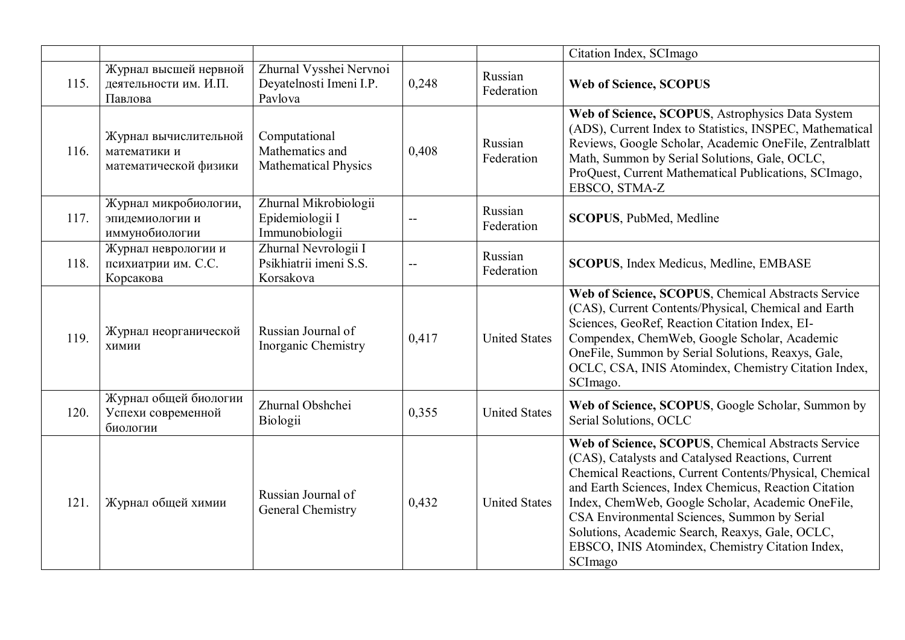|      |                                                                |                                                                 |       |                       | Citation Index, SCImago                                                                                                                                                                                                                                                                                                                                                                                                                            |
|------|----------------------------------------------------------------|-----------------------------------------------------------------|-------|-----------------------|----------------------------------------------------------------------------------------------------------------------------------------------------------------------------------------------------------------------------------------------------------------------------------------------------------------------------------------------------------------------------------------------------------------------------------------------------|
| 115. | Журнал высшей нервной<br>деятельности им. И.П.<br>Павлова      | Zhurnal Vysshei Nervnoi<br>Deyatelnosti Imeni I.P.<br>Pavlova   | 0,248 | Russian<br>Federation | <b>Web of Science, SCOPUS</b>                                                                                                                                                                                                                                                                                                                                                                                                                      |
| 116. | Журнал вычислительной<br>математики и<br>математической физики | Computational<br>Mathematics and<br><b>Mathematical Physics</b> | 0,408 | Russian<br>Federation | Web of Science, SCOPUS, Astrophysics Data System<br>(ADS), Current Index to Statistics, INSPEC, Mathematical<br>Reviews, Google Scholar, Academic OneFile, Zentralblatt<br>Math, Summon by Serial Solutions, Gale, OCLC,<br>ProQuest, Current Mathematical Publications, SCImago,<br>EBSCO, STMA-Z                                                                                                                                                 |
| 117. | Журнал микробиологии,<br>эпидемиологии и<br>иммунобиологии     | Zhurnal Mikrobiologii<br>Epidemiologii I<br>Immunobiologii      |       | Russian<br>Federation | <b>SCOPUS</b> , PubMed, Medline                                                                                                                                                                                                                                                                                                                                                                                                                    |
| 118. | Журнал неврологии и<br>психиатрии им. С.С.<br>Корсакова        | Zhurnal Nevrologii I<br>Psikhiatrii imeni S.S.<br>Korsakova     |       | Russian<br>Federation | <b>SCOPUS, Index Medicus, Medline, EMBASE</b>                                                                                                                                                                                                                                                                                                                                                                                                      |
| 119. | Журнал неорганической<br>химии                                 | Russian Journal of<br>Inorganic Chemistry                       | 0,417 | <b>United States</b>  | Web of Science, SCOPUS, Chemical Abstracts Service<br>(CAS), Current Contents/Physical, Chemical and Earth<br>Sciences, GeoRef, Reaction Citation Index, EI-<br>Compendex, ChemWeb, Google Scholar, Academic<br>OneFile, Summon by Serial Solutions, Reaxys, Gale,<br>OCLC, CSA, INIS Atomindex, Chemistry Citation Index,<br>SCImago.                                                                                                             |
| 120. | Журнал общей биологии<br>Успехи современной<br>биологии        | Zhurnal Obshchei<br>Biologii                                    | 0,355 | <b>United States</b>  | Web of Science, SCOPUS, Google Scholar, Summon by<br>Serial Solutions, OCLC                                                                                                                                                                                                                                                                                                                                                                        |
| 121. | Журнал общей химии                                             | Russian Journal of<br>General Chemistry                         | 0,432 | <b>United States</b>  | Web of Science, SCOPUS, Chemical Abstracts Service<br>(CAS), Catalysts and Catalysed Reactions, Current<br>Chemical Reactions, Current Contents/Physical, Chemical<br>and Earth Sciences, Index Chemicus, Reaction Citation<br>Index, ChemWeb, Google Scholar, Academic OneFile,<br>CSA Environmental Sciences, Summon by Serial<br>Solutions, Academic Search, Reaxys, Gale, OCLC,<br>EBSCO, INIS Atomindex, Chemistry Citation Index,<br>SCImago |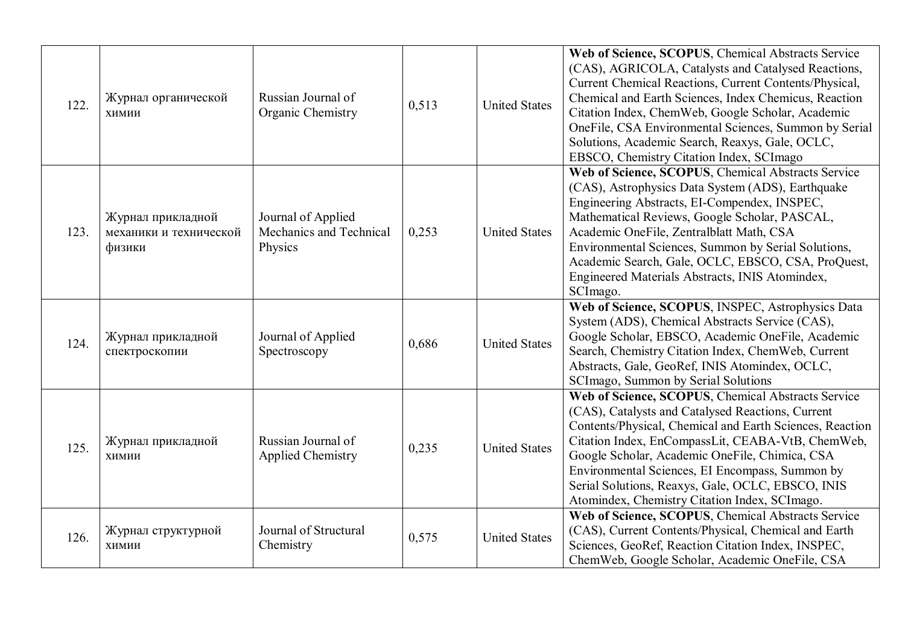| 122. | Журнал органической<br><b>ХИМИИ</b>                   | Russian Journal of<br>Organic Chemistry                  | 0,513 | <b>United States</b> | Web of Science, SCOPUS, Chemical Abstracts Service<br>(CAS), AGRICOLA, Catalysts and Catalysed Reactions,<br>Current Chemical Reactions, Current Contents/Physical,<br>Chemical and Earth Sciences, Index Chemicus, Reaction<br>Citation Index, ChemWeb, Google Scholar, Academic<br>OneFile, CSA Environmental Sciences, Summon by Serial<br>Solutions, Academic Search, Reaxys, Gale, OCLC,<br>EBSCO, Chemistry Citation Index, SCImago |
|------|-------------------------------------------------------|----------------------------------------------------------|-------|----------------------|-------------------------------------------------------------------------------------------------------------------------------------------------------------------------------------------------------------------------------------------------------------------------------------------------------------------------------------------------------------------------------------------------------------------------------------------|
| 123. | Журнал прикладной<br>механики и технической<br>физики | Journal of Applied<br>Mechanics and Technical<br>Physics | 0,253 | <b>United States</b> | Web of Science, SCOPUS, Chemical Abstracts Service<br>(CAS), Astrophysics Data System (ADS), Earthquake<br>Engineering Abstracts, EI-Compendex, INSPEC,<br>Mathematical Reviews, Google Scholar, PASCAL,<br>Academic OneFile, Zentralblatt Math, CSA<br>Environmental Sciences, Summon by Serial Solutions,<br>Academic Search, Gale, OCLC, EBSCO, CSA, ProQuest,<br>Engineered Materials Abstracts, INIS Atomindex,<br>SCImago.          |
| 124. | Журнал прикладной<br>спектроскопии                    | Journal of Applied<br>Spectroscopy                       | 0,686 | <b>United States</b> | Web of Science, SCOPUS, INSPEC, Astrophysics Data<br>System (ADS), Chemical Abstracts Service (CAS),<br>Google Scholar, EBSCO, Academic OneFile, Academic<br>Search, Chemistry Citation Index, ChemWeb, Current<br>Abstracts, Gale, GeoRef, INIS Atomindex, OCLC,<br>SCI mago, Summon by Serial Solutions                                                                                                                                 |
| 125. | Журнал прикладной<br>ХИМИИ                            | Russian Journal of<br><b>Applied Chemistry</b>           | 0,235 | <b>United States</b> | Web of Science, SCOPUS, Chemical Abstracts Service<br>(CAS), Catalysts and Catalysed Reactions, Current<br>Contents/Physical, Chemical and Earth Sciences, Reaction<br>Citation Index, EnCompassLit, CEABA-VtB, ChemWeb,<br>Google Scholar, Academic OneFile, Chimica, CSA<br>Environmental Sciences, EI Encompass, Summon by<br>Serial Solutions, Reaxys, Gale, OCLC, EBSCO, INIS<br>Atomindex, Chemistry Citation Index, SCImago.       |
| 126. | Журнал структурной<br>ХИМИИ                           | Journal of Structural<br>Chemistry                       | 0,575 | <b>United States</b> | Web of Science, SCOPUS, Chemical Abstracts Service<br>(CAS), Current Contents/Physical, Chemical and Earth<br>Sciences, GeoRef, Reaction Citation Index, INSPEC,<br>ChemWeb, Google Scholar, Academic OneFile, CSA                                                                                                                                                                                                                        |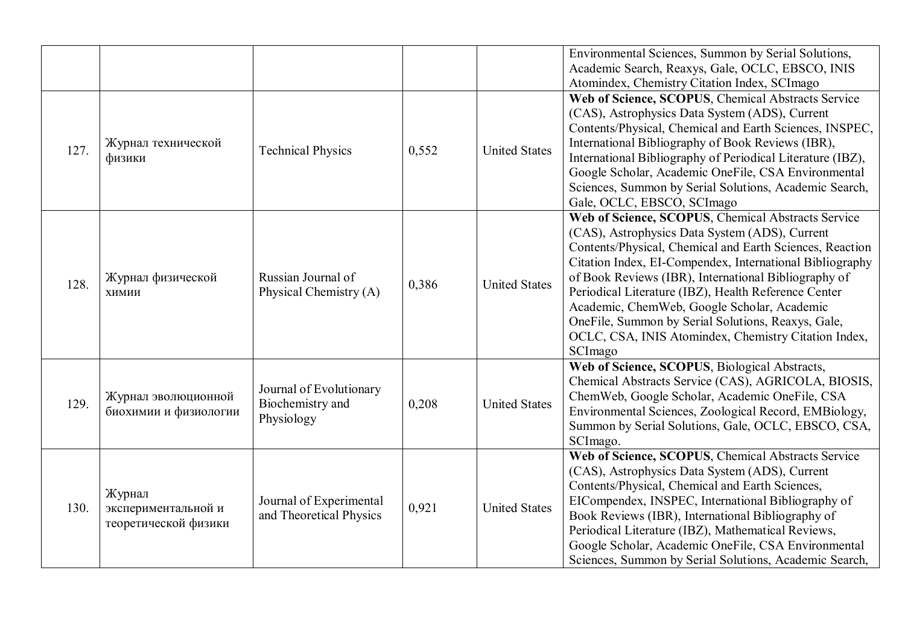|      |                                                       |                                                           |       |                      | Environmental Sciences, Summon by Serial Solutions,<br>Academic Search, Reaxys, Gale, OCLC, EBSCO, INIS<br>Atomindex, Chemistry Citation Index, SCImago                                                                                                                                                                                                                                                                                                                                                              |
|------|-------------------------------------------------------|-----------------------------------------------------------|-------|----------------------|----------------------------------------------------------------------------------------------------------------------------------------------------------------------------------------------------------------------------------------------------------------------------------------------------------------------------------------------------------------------------------------------------------------------------------------------------------------------------------------------------------------------|
| 127. | Журнал технической<br>физики                          | <b>Technical Physics</b>                                  | 0,552 | <b>United States</b> | Web of Science, SCOPUS, Chemical Abstracts Service<br>(CAS), Astrophysics Data System (ADS), Current<br>Contents/Physical, Chemical and Earth Sciences, INSPEC,<br>International Bibliography of Book Reviews (IBR),<br>International Bibliography of Periodical Literature (IBZ),<br>Google Scholar, Academic OneFile, CSA Environmental<br>Sciences, Summon by Serial Solutions, Academic Search,<br>Gale, OCLC, EBSCO, SCImago                                                                                    |
| 128. | Журнал физической<br>ХИМИИ                            | Russian Journal of<br>Physical Chemistry (A)              | 0,386 | <b>United States</b> | Web of Science, SCOPUS, Chemical Abstracts Service<br>(CAS), Astrophysics Data System (ADS), Current<br>Contents/Physical, Chemical and Earth Sciences, Reaction<br>Citation Index, EI-Compendex, International Bibliography<br>of Book Reviews (IBR), International Bibliography of<br>Periodical Literature (IBZ), Health Reference Center<br>Academic, ChemWeb, Google Scholar, Academic<br>OneFile, Summon by Serial Solutions, Reaxys, Gale,<br>OCLC, CSA, INIS Atomindex, Chemistry Citation Index,<br>SCImago |
| 129. | Журнал эволюционной<br>биохимии и физиологии          | Journal of Evolutionary<br>Biochemistry and<br>Physiology | 0,208 | <b>United States</b> | Web of Science, SCOPUS, Biological Abstracts,<br>Chemical Abstracts Service (CAS), AGRICOLA, BIOSIS,<br>ChemWeb, Google Scholar, Academic OneFile, CSA<br>Environmental Sciences, Zoological Record, EMBiology,<br>Summon by Serial Solutions, Gale, OCLC, EBSCO, CSA,<br>SCImago.                                                                                                                                                                                                                                   |
| 130. | Журнал<br>экспериментальной и<br>теоретической физики | Journal of Experimental<br>and Theoretical Physics        | 0,921 | <b>United States</b> | Web of Science, SCOPUS, Chemical Abstracts Service<br>(CAS), Astrophysics Data System (ADS), Current<br>Contents/Physical, Chemical and Earth Sciences,<br>EICompendex, INSPEC, International Bibliography of<br>Book Reviews (IBR), International Bibliography of<br>Periodical Literature (IBZ), Mathematical Reviews,<br>Google Scholar, Academic OneFile, CSA Environmental<br>Sciences, Summon by Serial Solutions, Academic Search,                                                                            |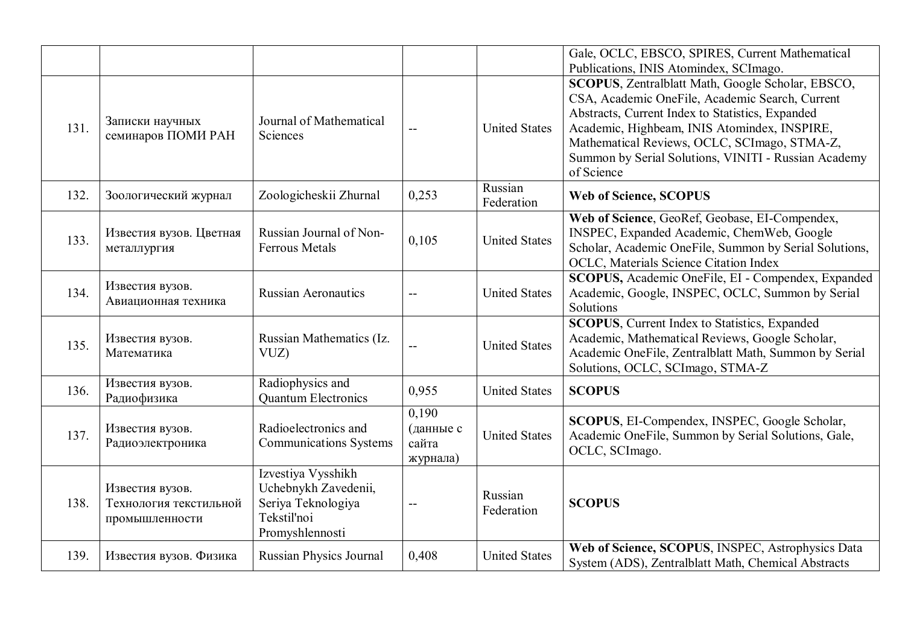|      |                                                             |                                                                                                    |                                         |                       | Gale, OCLC, EBSCO, SPIRES, Current Mathematical                                                                                                                                                                                                                                                                                                                          |
|------|-------------------------------------------------------------|----------------------------------------------------------------------------------------------------|-----------------------------------------|-----------------------|--------------------------------------------------------------------------------------------------------------------------------------------------------------------------------------------------------------------------------------------------------------------------------------------------------------------------------------------------------------------------|
| 131. | Записки научных<br>семинаров ПОМИ РАН                       | Journal of Mathematical<br><b>Sciences</b>                                                         |                                         | <b>United States</b>  | Publications, INIS Atomindex, SCImago.<br>SCOPUS, Zentralblatt Math, Google Scholar, EBSCO,<br>CSA, Academic OneFile, Academic Search, Current<br>Abstracts, Current Index to Statistics, Expanded<br>Academic, Highbeam, INIS Atomindex, INSPIRE,<br>Mathematical Reviews, OCLC, SCImago, STMA-Z,<br>Summon by Serial Solutions, VINITI - Russian Academy<br>of Science |
| 132. | Зоологический журнал                                        | Zoologicheskii Zhurnal                                                                             | 0,253                                   | Russian<br>Federation | <b>Web of Science, SCOPUS</b>                                                                                                                                                                                                                                                                                                                                            |
| 133. | Известия вузов. Цветная<br>металлургия                      | Russian Journal of Non-<br><b>Ferrous Metals</b>                                                   | 0,105                                   | <b>United States</b>  | Web of Science, GeoRef, Geobase, EI-Compendex,<br>INSPEC, Expanded Academic, ChemWeb, Google<br>Scholar, Academic OneFile, Summon by Serial Solutions,<br>OCLC, Materials Science Citation Index                                                                                                                                                                         |
| 134. | Известия вузов.<br>Авиационная техника                      | <b>Russian Aeronautics</b>                                                                         |                                         | <b>United States</b>  | SCOPUS, Academic OneFile, EI - Compendex, Expanded<br>Academic, Google, INSPEC, OCLC, Summon by Serial<br>Solutions                                                                                                                                                                                                                                                      |
| 135. | Известия вузов.<br>Математика                               | Russian Mathematics (Iz.<br>VUZ)                                                                   |                                         | <b>United States</b>  | <b>SCOPUS</b> , Current Index to Statistics, Expanded<br>Academic, Mathematical Reviews, Google Scholar,<br>Academic OneFile, Zentralblatt Math, Summon by Serial<br>Solutions, OCLC, SCImago, STMA-Z                                                                                                                                                                    |
| 136. | Известия вузов.<br>Радиофизика                              | Radiophysics and<br><b>Quantum Electronics</b>                                                     | 0,955                                   | <b>United States</b>  | <b>SCOPUS</b>                                                                                                                                                                                                                                                                                                                                                            |
| 137. | Известия вузов.<br>Радиоэлектроника                         | Radioelectronics and<br><b>Communications Systems</b>                                              | 0,190<br>(данные с<br>сайта<br>журнала) | <b>United States</b>  | SCOPUS, EI-Compendex, INSPEC, Google Scholar,<br>Academic OneFile, Summon by Serial Solutions, Gale,<br>OCLC, SCImago.                                                                                                                                                                                                                                                   |
| 138. | Известия вузов.<br>Технология текстильной<br>промышленности | Izvestiya Vysshikh<br>Uchebnykh Zavedenii,<br>Seriya Teknologiya<br>Tekstil'noi<br>Promyshlennosti |                                         | Russian<br>Federation | <b>SCOPUS</b>                                                                                                                                                                                                                                                                                                                                                            |
| 139. | Известия вузов. Физика                                      | <b>Russian Physics Journal</b>                                                                     | 0,408                                   | <b>United States</b>  | Web of Science, SCOPUS, INSPEC, Astrophysics Data<br>System (ADS), Zentralblatt Math, Chemical Abstracts                                                                                                                                                                                                                                                                 |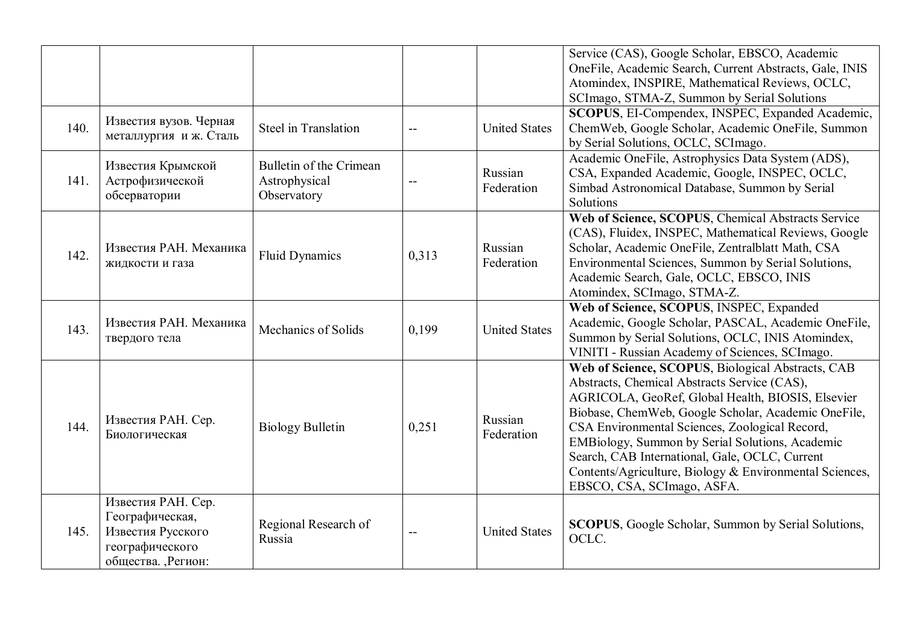| 140. | Известия вузов. Черная<br>металлургия и ж. Сталь                                                     | <b>Steel in Translation</b>                             |       | <b>United States</b>  | Service (CAS), Google Scholar, EBSCO, Academic<br>OneFile, Academic Search, Current Abstracts, Gale, INIS<br>Atomindex, INSPIRE, Mathematical Reviews, OCLC,<br>SCImago, STMA-Z, Summon by Serial Solutions<br>SCOPUS, EI-Compendex, INSPEC, Expanded Academic,<br>ChemWeb, Google Scholar, Academic OneFile, Summon<br>by Serial Solutions, OCLC, SCImago.                                                                                                   |
|------|------------------------------------------------------------------------------------------------------|---------------------------------------------------------|-------|-----------------------|---------------------------------------------------------------------------------------------------------------------------------------------------------------------------------------------------------------------------------------------------------------------------------------------------------------------------------------------------------------------------------------------------------------------------------------------------------------|
| 141. | Известия Крымской<br>Астрофизической<br>обсерватории                                                 | Bulletin of the Crimean<br>Astrophysical<br>Observatory | $-$   | Russian<br>Federation | Academic OneFile, Astrophysics Data System (ADS),<br>CSA, Expanded Academic, Google, INSPEC, OCLC,<br>Simbad Astronomical Database, Summon by Serial<br>Solutions                                                                                                                                                                                                                                                                                             |
| 142. | Известия РАН. Механика<br>жидкости и газа                                                            | <b>Fluid Dynamics</b>                                   | 0,313 | Russian<br>Federation | Web of Science, SCOPUS, Chemical Abstracts Service<br>(CAS), Fluidex, INSPEC, Mathematical Reviews, Google<br>Scholar, Academic OneFile, Zentralblatt Math, CSA<br>Environmental Sciences, Summon by Serial Solutions,<br>Academic Search, Gale, OCLC, EBSCO, INIS<br>Atomindex, SCImago, STMA-Z.                                                                                                                                                             |
| 143. | Известия РАН. Механика<br>твердого тела                                                              | Mechanics of Solids                                     | 0,199 | <b>United States</b>  | Web of Science, SCOPUS, INSPEC, Expanded<br>Academic, Google Scholar, PASCAL, Academic OneFile,<br>Summon by Serial Solutions, OCLC, INIS Atomindex,<br>VINITI - Russian Academy of Sciences, SCImago.                                                                                                                                                                                                                                                        |
| 144. | Известия РАН. Сер.<br>Биологическая                                                                  | <b>Biology Bulletin</b>                                 | 0,251 | Russian<br>Federation | Web of Science, SCOPUS, Biological Abstracts, CAB<br>Abstracts, Chemical Abstracts Service (CAS),<br>AGRICOLA, GeoRef, Global Health, BIOSIS, Elsevier<br>Biobase, ChemWeb, Google Scholar, Academic OneFile,<br>CSA Environmental Sciences, Zoological Record,<br>EMBiology, Summon by Serial Solutions, Academic<br>Search, CAB International, Gale, OCLC, Current<br>Contents/Agriculture, Biology & Environmental Sciences,<br>EBSCO, CSA, SCImago, ASFA. |
| 145. | Известия РАН. Сер.<br>Географическая,<br>Известия Русского<br>географического<br>общества. , Регион: | Regional Research of<br>Russia                          | $-$   | <b>United States</b>  | <b>SCOPUS</b> , Google Scholar, Summon by Serial Solutions,<br>OCLC.                                                                                                                                                                                                                                                                                                                                                                                          |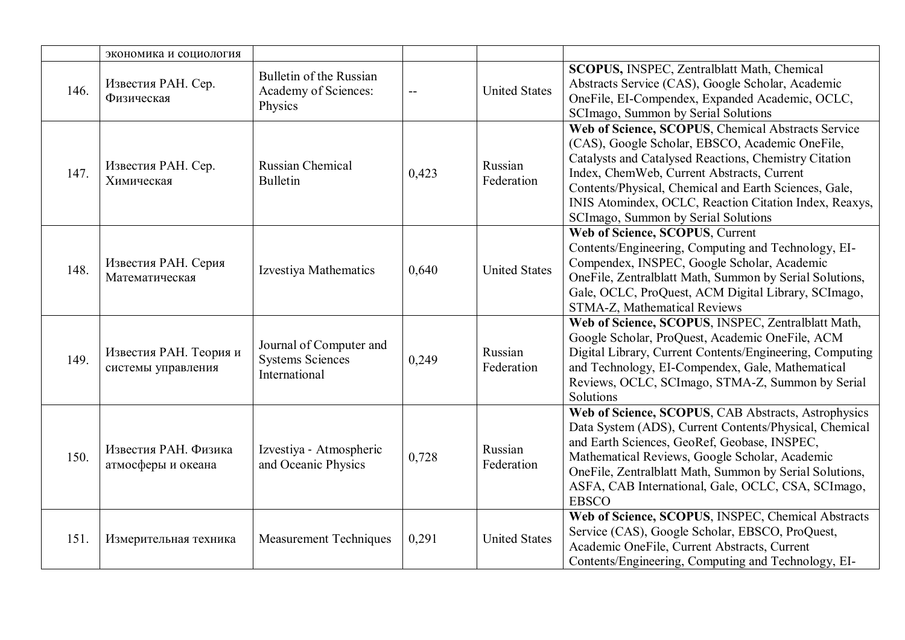|      | экономика и социология                       |                                                                     |       |                       |                                                                                                                                                                                                                                                                                                                                                                        |
|------|----------------------------------------------|---------------------------------------------------------------------|-------|-----------------------|------------------------------------------------------------------------------------------------------------------------------------------------------------------------------------------------------------------------------------------------------------------------------------------------------------------------------------------------------------------------|
| 146. | Известия РАН. Сер.<br>Физическая             | Bulletin of the Russian<br>Academy of Sciences:<br>Physics          |       | <b>United States</b>  | SCOPUS, INSPEC, Zentralblatt Math, Chemical<br>Abstracts Service (CAS), Google Scholar, Academic<br>OneFile, EI-Compendex, Expanded Academic, OCLC,<br>SCImago, Summon by Serial Solutions                                                                                                                                                                             |
| 147. | Известия РАН. Сер.<br>Химическая             | Russian Chemical<br><b>Bulletin</b>                                 | 0,423 | Russian<br>Federation | Web of Science, SCOPUS, Chemical Abstracts Service<br>(CAS), Google Scholar, EBSCO, Academic OneFile,<br>Catalysts and Catalysed Reactions, Chemistry Citation<br>Index, ChemWeb, Current Abstracts, Current<br>Contents/Physical, Chemical and Earth Sciences, Gale,<br>INIS Atomindex, OCLC, Reaction Citation Index, Reaxys,<br>SCImago, Summon by Serial Solutions |
| 148. | Известия РАН. Серия<br>Математическая        | Izvestiya Mathematics                                               | 0,640 | <b>United States</b>  | Web of Science, SCOPUS, Current<br>Contents/Engineering, Computing and Technology, EI-<br>Compendex, INSPEC, Google Scholar, Academic<br>OneFile, Zentralblatt Math, Summon by Serial Solutions,<br>Gale, OCLC, ProQuest, ACM Digital Library, SCImago,<br>STMA-Z, Mathematical Reviews                                                                                |
| 149. | Известия РАН. Теория и<br>системы управления | Journal of Computer and<br><b>Systems Sciences</b><br>International | 0,249 | Russian<br>Federation | Web of Science, SCOPUS, INSPEC, Zentralblatt Math,<br>Google Scholar, ProQuest, Academic OneFile, ACM<br>Digital Library, Current Contents/Engineering, Computing<br>and Technology, EI-Compendex, Gale, Mathematical<br>Reviews, OCLC, SCImago, STMA-Z, Summon by Serial<br>Solutions                                                                                 |
| 150. | Известия РАН. Физика<br>атмосферы и океана   | Izvestiya - Atmospheric<br>and Oceanic Physics                      | 0,728 | Russian<br>Federation | Web of Science, SCOPUS, CAB Abstracts, Astrophysics<br>Data System (ADS), Current Contents/Physical, Chemical<br>and Earth Sciences, GeoRef, Geobase, INSPEC,<br>Mathematical Reviews, Google Scholar, Academic<br>OneFile, Zentralblatt Math, Summon by Serial Solutions,<br>ASFA, CAB International, Gale, OCLC, CSA, SCImago,<br><b>EBSCO</b>                       |
| 151. | Измерительная техника                        | <b>Measurement Techniques</b>                                       | 0,291 | <b>United States</b>  | Web of Science, SCOPUS, INSPEC, Chemical Abstracts<br>Service (CAS), Google Scholar, EBSCO, ProQuest,<br>Academic OneFile, Current Abstracts, Current<br>Contents/Engineering, Computing and Technology, EI-                                                                                                                                                           |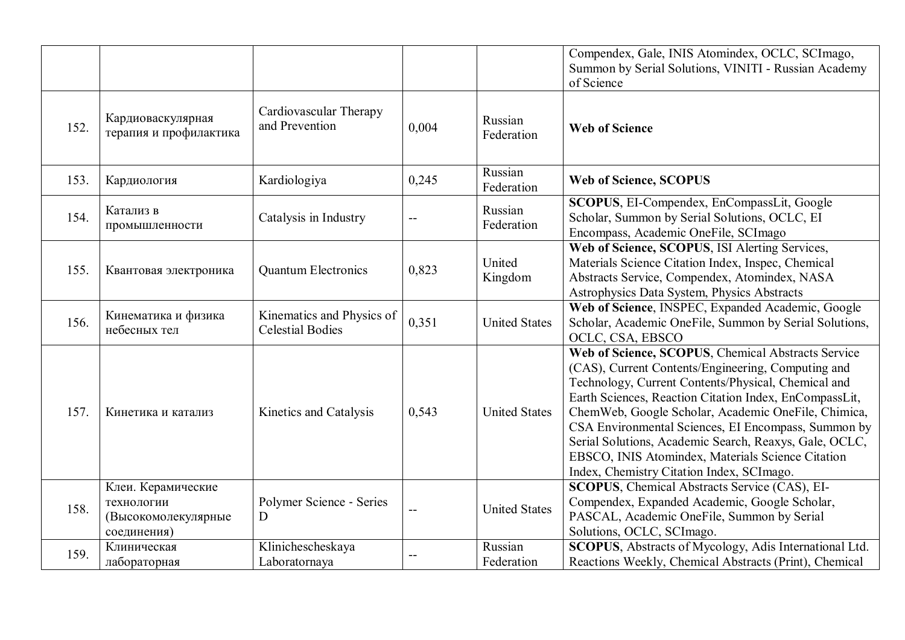|      |                                                                        |                                                      |                           |                       | Compendex, Gale, INIS Atomindex, OCLC, SCImago,<br>Summon by Serial Solutions, VINITI - Russian Academy<br>of Science                                                                                                                                                                                                                                                                                                                                                                               |
|------|------------------------------------------------------------------------|------------------------------------------------------|---------------------------|-----------------------|-----------------------------------------------------------------------------------------------------------------------------------------------------------------------------------------------------------------------------------------------------------------------------------------------------------------------------------------------------------------------------------------------------------------------------------------------------------------------------------------------------|
| 152. | Кардиоваскулярная<br>терапия и профилактика                            | Cardiovascular Therapy<br>and Prevention             | 0,004                     | Russian<br>Federation | <b>Web of Science</b>                                                                                                                                                                                                                                                                                                                                                                                                                                                                               |
| 153. | Кардиология                                                            | Kardiologiya                                         | 0,245                     | Russian<br>Federation | <b>Web of Science, SCOPUS</b>                                                                                                                                                                                                                                                                                                                                                                                                                                                                       |
| 154. | Катализ в<br>промышленности                                            | Catalysis in Industry                                |                           | Russian<br>Federation | SCOPUS, EI-Compendex, EnCompassLit, Google<br>Scholar, Summon by Serial Solutions, OCLC, EI<br>Encompass, Academic OneFile, SCImago                                                                                                                                                                                                                                                                                                                                                                 |
| 155. | Квантовая электроника                                                  | <b>Quantum Electronics</b>                           | 0,823                     | United<br>Kingdom     | Web of Science, SCOPUS, ISI Alerting Services,<br>Materials Science Citation Index, Inspec, Chemical<br>Abstracts Service, Compendex, Atomindex, NASA<br>Astrophysics Data System, Physics Abstracts                                                                                                                                                                                                                                                                                                |
| 156. | Кинематика и физика<br>небесных тел                                    | Kinematics and Physics of<br><b>Celestial Bodies</b> | 0,351                     | <b>United States</b>  | Web of Science, INSPEC, Expanded Academic, Google<br>Scholar, Academic OneFile, Summon by Serial Solutions,<br>OCLC, CSA, EBSCO                                                                                                                                                                                                                                                                                                                                                                     |
| 157. | Кинетика и катализ                                                     | Kinetics and Catalysis                               | 0,543                     | <b>United States</b>  | Web of Science, SCOPUS, Chemical Abstracts Service<br>(CAS), Current Contents/Engineering, Computing and<br>Technology, Current Contents/Physical, Chemical and<br>Earth Sciences, Reaction Citation Index, EnCompassLit,<br>ChemWeb, Google Scholar, Academic OneFile, Chimica,<br>CSA Environmental Sciences, EI Encompass, Summon by<br>Serial Solutions, Academic Search, Reaxys, Gale, OCLC,<br>EBSCO, INIS Atomindex, Materials Science Citation<br>Index, Chemistry Citation Index, SCImago. |
| 158. | Клеи. Керамические<br>технологии<br>(Высокомолекулярные<br>соединения) | Polymer Science - Series<br>D                        | $\mathbb{L}^{\mathbb{L}}$ | <b>United States</b>  | <b>SCOPUS</b> , Chemical Abstracts Service (CAS), EI-<br>Compendex, Expanded Academic, Google Scholar,<br>PASCAL, Academic OneFile, Summon by Serial<br>Solutions, OCLC, SCImago.                                                                                                                                                                                                                                                                                                                   |
| 159. | Клиническая<br>лабораторная                                            | Klinichescheskaya<br>Laboratornaya                   |                           | Russian<br>Federation | SCOPUS, Abstracts of Mycology, Adis International Ltd.<br>Reactions Weekly, Chemical Abstracts (Print), Chemical                                                                                                                                                                                                                                                                                                                                                                                    |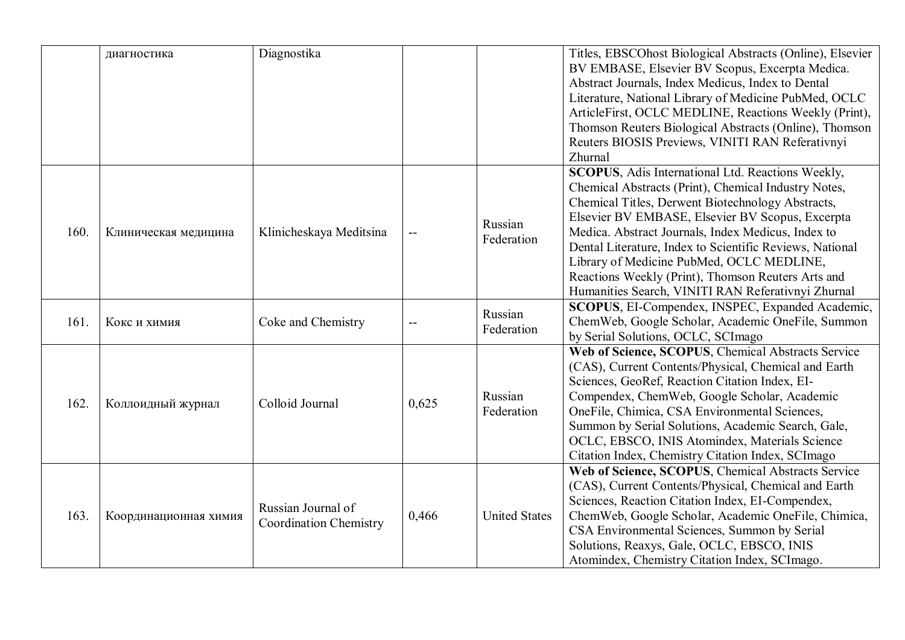|      | диагностика           | Diagnostika                                         |                          |                       | Titles, EBSCOhost Biological Abstracts (Online), Elsevier<br>BV EMBASE, Elsevier BV Scopus, Excerpta Medica.<br>Abstract Journals, Index Medicus, Index to Dental<br>Literature, National Library of Medicine PubMed, OCLC<br>ArticleFirst, OCLC MEDLINE, Reactions Weekly (Print),<br>Thomson Reuters Biological Abstracts (Online), Thomson<br>Reuters BIOSIS Previews, VINITI RAN Referativnyi<br>Zhurnal                                                                                  |
|------|-----------------------|-----------------------------------------------------|--------------------------|-----------------------|-----------------------------------------------------------------------------------------------------------------------------------------------------------------------------------------------------------------------------------------------------------------------------------------------------------------------------------------------------------------------------------------------------------------------------------------------------------------------------------------------|
| 160. | Клиническая медицина  | Klinicheskaya Meditsina                             | $\overline{\phantom{a}}$ | Russian<br>Federation | SCOPUS, Adis International Ltd. Reactions Weekly,<br>Chemical Abstracts (Print), Chemical Industry Notes,<br>Chemical Titles, Derwent Biotechnology Abstracts,<br>Elsevier BV EMBASE, Elsevier BV Scopus, Excerpta<br>Medica. Abstract Journals, Index Medicus, Index to<br>Dental Literature, Index to Scientific Reviews, National<br>Library of Medicine PubMed, OCLC MEDLINE,<br>Reactions Weekly (Print), Thomson Reuters Arts and<br>Humanities Search, VINITI RAN Referativnyi Zhurnal |
| 161. | Кокс и химия          | Coke and Chemistry                                  | --                       | Russian<br>Federation | SCOPUS, EI-Compendex, INSPEC, Expanded Academic,<br>ChemWeb, Google Scholar, Academic OneFile, Summon<br>by Serial Solutions, OCLC, SCImago                                                                                                                                                                                                                                                                                                                                                   |
| 162. | Коллоидный журнал     | Colloid Journal                                     | 0,625                    | Russian<br>Federation | Web of Science, SCOPUS, Chemical Abstracts Service<br>(CAS), Current Contents/Physical, Chemical and Earth<br>Sciences, GeoRef, Reaction Citation Index, EI-<br>Compendex, ChemWeb, Google Scholar, Academic<br>OneFile, Chimica, CSA Environmental Sciences,<br>Summon by Serial Solutions, Academic Search, Gale,<br>OCLC, EBSCO, INIS Atomindex, Materials Science<br>Citation Index, Chemistry Citation Index, SCImago                                                                    |
| 163. | Координационная химия | Russian Journal of<br><b>Coordination Chemistry</b> | 0,466                    | <b>United States</b>  | Web of Science, SCOPUS, Chemical Abstracts Service<br>(CAS), Current Contents/Physical, Chemical and Earth<br>Sciences, Reaction Citation Index, EI-Compendex,<br>ChemWeb, Google Scholar, Academic OneFile, Chimica,<br>CSA Environmental Sciences, Summon by Serial<br>Solutions, Reaxys, Gale, OCLC, EBSCO, INIS<br>Atomindex, Chemistry Citation Index, SCImago.                                                                                                                          |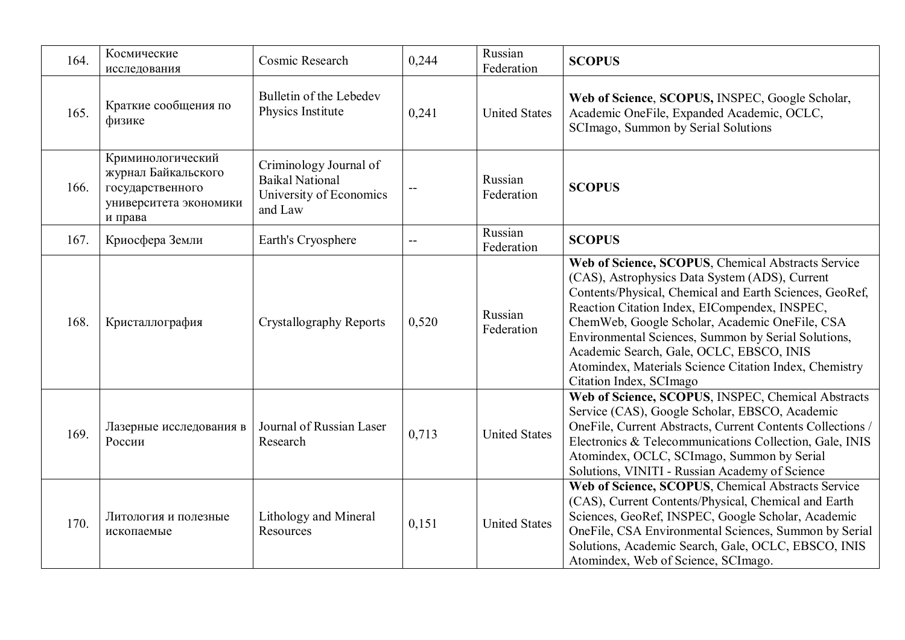| 164. | Космические<br>исследования                                                                       | Cosmic Research                                                                        | 0,244                                         | Russian<br>Federation | <b>SCOPUS</b>                                                                                                                                                                                                                                                                                                                                                                                                                                               |
|------|---------------------------------------------------------------------------------------------------|----------------------------------------------------------------------------------------|-----------------------------------------------|-----------------------|-------------------------------------------------------------------------------------------------------------------------------------------------------------------------------------------------------------------------------------------------------------------------------------------------------------------------------------------------------------------------------------------------------------------------------------------------------------|
| 165. | Краткие сообщения по<br>физике                                                                    | Bulletin of the Lebedev<br>Physics Institute                                           | 0,241                                         | <b>United States</b>  | Web of Science, SCOPUS, INSPEC, Google Scholar,<br>Academic OneFile, Expanded Academic, OCLC,<br>SCImago, Summon by Serial Solutions                                                                                                                                                                                                                                                                                                                        |
| 166. | Криминологический<br>журнал Байкальского<br>государственного<br>университета экономики<br>и права | Criminology Journal of<br><b>Baikal National</b><br>University of Economics<br>and Law | $\mathord{\hspace{1pt}\text{--}\hspace{1pt}}$ | Russian<br>Federation | <b>SCOPUS</b>                                                                                                                                                                                                                                                                                                                                                                                                                                               |
| 167. | Криосфера Земли                                                                                   | Earth's Cryosphere                                                                     | $\mathord{\hspace{1pt}\text{--}\hspace{1pt}}$ | Russian<br>Federation | <b>SCOPUS</b>                                                                                                                                                                                                                                                                                                                                                                                                                                               |
| 168. | Кристаллография                                                                                   | <b>Crystallography Reports</b>                                                         | 0,520                                         | Russian<br>Federation | Web of Science, SCOPUS, Chemical Abstracts Service<br>(CAS), Astrophysics Data System (ADS), Current<br>Contents/Physical, Chemical and Earth Sciences, GeoRef,<br>Reaction Citation Index, EICompendex, INSPEC,<br>ChemWeb, Google Scholar, Academic OneFile, CSA<br>Environmental Sciences, Summon by Serial Solutions,<br>Academic Search, Gale, OCLC, EBSCO, INIS<br>Atomindex, Materials Science Citation Index, Chemistry<br>Citation Index, SCI mago |
| 169. | Лазерные исследования в<br>России                                                                 | Journal of Russian Laser<br>Research                                                   | 0,713                                         | <b>United States</b>  | Web of Science, SCOPUS, INSPEC, Chemical Abstracts<br>Service (CAS), Google Scholar, EBSCO, Academic<br>OneFile, Current Abstracts, Current Contents Collections /<br>Electronics & Telecommunications Collection, Gale, INIS<br>Atomindex, OCLC, SCImago, Summon by Serial<br>Solutions, VINITI - Russian Academy of Science                                                                                                                               |
| 170. | Литология и полезные<br>ископаемые                                                                | Lithology and Mineral<br>Resources                                                     | 0,151                                         | <b>United States</b>  | Web of Science, SCOPUS, Chemical Abstracts Service<br>(CAS), Current Contents/Physical, Chemical and Earth<br>Sciences, GeoRef, INSPEC, Google Scholar, Academic<br>OneFile, CSA Environmental Sciences, Summon by Serial<br>Solutions, Academic Search, Gale, OCLC, EBSCO, INIS<br>Atomindex, Web of Science, SCImago.                                                                                                                                     |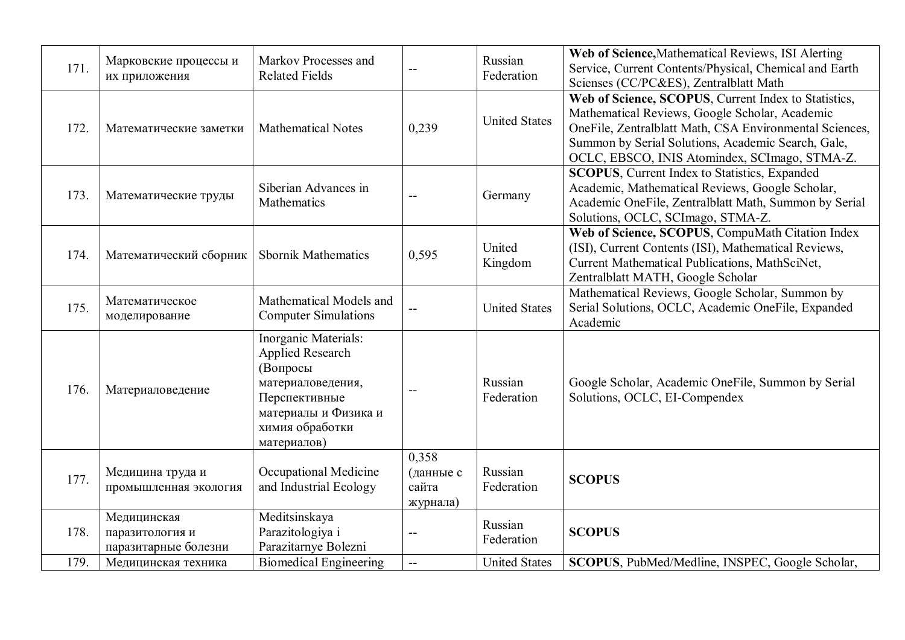| 171. | Марковские процессы и<br>их приложения                 | Markov Processes and<br><b>Related Fields</b>                                                                                                        |                                               | Russian<br>Federation | Web of Science, Mathematical Reviews, ISI Alerting<br>Service, Current Contents/Physical, Chemical and Earth<br>Scienses (CC/PC&ES), Zentralblatt Math                                                                                                                   |
|------|--------------------------------------------------------|------------------------------------------------------------------------------------------------------------------------------------------------------|-----------------------------------------------|-----------------------|--------------------------------------------------------------------------------------------------------------------------------------------------------------------------------------------------------------------------------------------------------------------------|
| 172. | Математические заметки                                 | <b>Mathematical Notes</b>                                                                                                                            | 0,239                                         | <b>United States</b>  | Web of Science, SCOPUS, Current Index to Statistics,<br>Mathematical Reviews, Google Scholar, Academic<br>OneFile, Zentralblatt Math, CSA Environmental Sciences,<br>Summon by Serial Solutions, Academic Search, Gale,<br>OCLC, EBSCO, INIS Atomindex, SCImago, STMA-Z. |
| 173. | Математические труды                                   | Siberian Advances in<br>Mathematics                                                                                                                  | $-$                                           | Germany               | <b>SCOPUS, Current Index to Statistics, Expanded</b><br>Academic, Mathematical Reviews, Google Scholar,<br>Academic OneFile, Zentralblatt Math, Summon by Serial<br>Solutions, OCLC, SCImago, STMA-Z.                                                                    |
| 174. | Математический сборник                                 | <b>Sbornik Mathematics</b>                                                                                                                           | 0,595                                         | United<br>Kingdom     | Web of Science, SCOPUS, CompuMath Citation Index<br>(ISI), Current Contents (ISI), Mathematical Reviews,<br>Current Mathematical Publications, MathSciNet,<br>Zentralblatt MATH, Google Scholar                                                                          |
| 175. | Математическое<br>моделирование                        | Mathematical Models and<br><b>Computer Simulations</b>                                                                                               |                                               | <b>United States</b>  | Mathematical Reviews, Google Scholar, Summon by<br>Serial Solutions, OCLC, Academic OneFile, Expanded<br>Academic                                                                                                                                                        |
| 176. | Материаловедение                                       | Inorganic Materials:<br>Applied Research<br>(Вопросы<br>материаловедения,<br>Перспективные<br>материалы и Физика и<br>химия обработки<br>материалов) | $-$                                           | Russian<br>Federation | Google Scholar, Academic OneFile, Summon by Serial<br>Solutions, OCLC, EI-Compendex                                                                                                                                                                                      |
| 177. | Медицина труда и<br>промышленная экология              | Occupational Medicine<br>and Industrial Ecology                                                                                                      | 0,358<br>(данные с<br>сайта<br>журнала)       | Russian<br>Federation | <b>SCOPUS</b>                                                                                                                                                                                                                                                            |
| 178. | Медицинская<br>паразитология и<br>паразитарные болезни | Meditsinskaya<br>Parazitologiya i<br>Parazitarnye Bolezni                                                                                            |                                               | Russian<br>Federation | <b>SCOPUS</b>                                                                                                                                                                                                                                                            |
| 179. | Медицинская техника                                    | <b>Biomedical Engineering</b>                                                                                                                        | $\mathord{\hspace{1pt}\text{--}\hspace{1pt}}$ | <b>United States</b>  | SCOPUS, PubMed/Medline, INSPEC, Google Scholar,                                                                                                                                                                                                                          |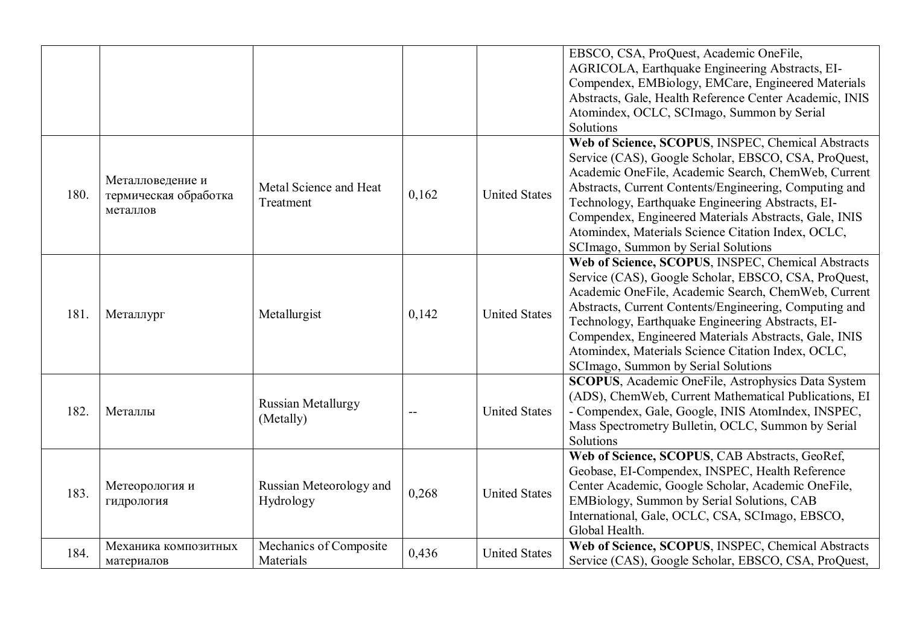|      |                                                       |                                        |       |                      | EBSCO, CSA, ProQuest, Academic OneFile,<br>AGRICOLA, Earthquake Engineering Abstracts, EI-<br>Compendex, EMBiology, EMCare, Engineered Materials<br>Abstracts, Gale, Health Reference Center Academic, INIS<br>Atomindex, OCLC, SCImago, Summon by Serial<br>Solutions                                                                                                                                                                  |
|------|-------------------------------------------------------|----------------------------------------|-------|----------------------|-----------------------------------------------------------------------------------------------------------------------------------------------------------------------------------------------------------------------------------------------------------------------------------------------------------------------------------------------------------------------------------------------------------------------------------------|
| 180. | Металловедение и<br>термическая обработка<br>металлов | Metal Science and Heat<br>Treatment    | 0,162 | <b>United States</b> | Web of Science, SCOPUS, INSPEC, Chemical Abstracts<br>Service (CAS), Google Scholar, EBSCO, CSA, ProQuest,<br>Academic OneFile, Academic Search, ChemWeb, Current<br>Abstracts, Current Contents/Engineering, Computing and<br>Technology, Earthquake Engineering Abstracts, EI-<br>Compendex, Engineered Materials Abstracts, Gale, INIS<br>Atomindex, Materials Science Citation Index, OCLC,<br>SCImago, Summon by Serial Solutions  |
| 181. | Металлург                                             | Metallurgist                           | 0,142 | <b>United States</b> | Web of Science, SCOPUS, INSPEC, Chemical Abstracts<br>Service (CAS), Google Scholar, EBSCO, CSA, ProQuest,<br>Academic OneFile, Academic Search, ChemWeb, Current<br>Abstracts, Current Contents/Engineering, Computing and<br>Technology, Earthquake Engineering Abstracts, EI-<br>Compendex, Engineered Materials Abstracts, Gale, INIS<br>Atomindex, Materials Science Citation Index, OCLC,<br>SCI mago, Summon by Serial Solutions |
| 182. | Металлы                                               | <b>Russian Metallurgy</b><br>(Metally) | $-$   | <b>United States</b> | <b>SCOPUS</b> , Academic OneFile, Astrophysics Data System<br>(ADS), ChemWeb, Current Mathematical Publications, EI<br>- Compendex, Gale, Google, INIS AtomIndex, INSPEC,<br>Mass Spectrometry Bulletin, OCLC, Summon by Serial<br>Solutions                                                                                                                                                                                            |
| 183. | Метеорология и<br>гидрология                          | Russian Meteorology and<br>Hydrology   | 0,268 | <b>United States</b> | Web of Science, SCOPUS, CAB Abstracts, GeoRef,<br>Geobase, EI-Compendex, INSPEC, Health Reference<br>Center Academic, Google Scholar, Academic OneFile,<br>EMBiology, Summon by Serial Solutions, CAB<br>International, Gale, OCLC, CSA, SCImago, EBSCO,<br>Global Health.                                                                                                                                                              |
| 184. | Механика композитных<br>материалов                    | Mechanics of Composite<br>Materials    | 0,436 | <b>United States</b> | Web of Science, SCOPUS, INSPEC, Chemical Abstracts<br>Service (CAS), Google Scholar, EBSCO, CSA, ProQuest,                                                                                                                                                                                                                                                                                                                              |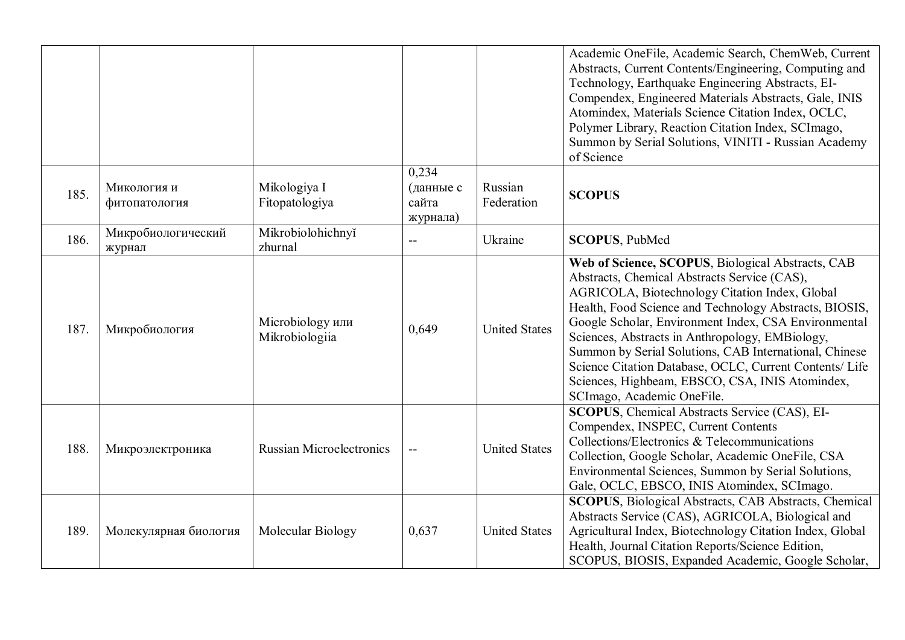|      |                              |                                    |                                         |                       | Academic OneFile, Academic Search, ChemWeb, Current<br>Abstracts, Current Contents/Engineering, Computing and<br>Technology, Earthquake Engineering Abstracts, EI-<br>Compendex, Engineered Materials Abstracts, Gale, INIS<br>Atomindex, Materials Science Citation Index, OCLC,<br>Polymer Library, Reaction Citation Index, SCImago,<br>Summon by Serial Solutions, VINITI - Russian Academy<br>of Science                                                                                                                  |
|------|------------------------------|------------------------------------|-----------------------------------------|-----------------------|--------------------------------------------------------------------------------------------------------------------------------------------------------------------------------------------------------------------------------------------------------------------------------------------------------------------------------------------------------------------------------------------------------------------------------------------------------------------------------------------------------------------------------|
| 185. | Микология и<br>фитопатология | Mikologiya I<br>Fitopatologiya     | 0.234<br>(данные с<br>сайта<br>журнала) | Russian<br>Federation | <b>SCOPUS</b>                                                                                                                                                                                                                                                                                                                                                                                                                                                                                                                  |
| 186. | Микробиологический<br>журнал | Mikrobiolohichnyĭ<br>zhurnal       |                                         | Ukraine               | <b>SCOPUS, PubMed</b>                                                                                                                                                                                                                                                                                                                                                                                                                                                                                                          |
| 187. | Микробиология                | Microbiology или<br>Mikrobiologiia | 0,649                                   | <b>United States</b>  | Web of Science, SCOPUS, Biological Abstracts, CAB<br>Abstracts, Chemical Abstracts Service (CAS),<br>AGRICOLA, Biotechnology Citation Index, Global<br>Health, Food Science and Technology Abstracts, BIOSIS,<br>Google Scholar, Environment Index, CSA Environmental<br>Sciences, Abstracts in Anthropology, EMBiology,<br>Summon by Serial Solutions, CAB International, Chinese<br>Science Citation Database, OCLC, Current Contents/ Life<br>Sciences, Highbeam, EBSCO, CSA, INIS Atomindex,<br>SCImago, Academic OneFile. |
| 188. | Микроэлектроника             | <b>Russian Microelectronics</b>    | $\mathbf{u}$                            | <b>United States</b>  | SCOPUS, Chemical Abstracts Service (CAS), EI-<br>Compendex, INSPEC, Current Contents<br>Collections/Electronics & Telecommunications<br>Collection, Google Scholar, Academic OneFile, CSA<br>Environmental Sciences, Summon by Serial Solutions,<br>Gale, OCLC, EBSCO, INIS Atomindex, SCImago.                                                                                                                                                                                                                                |
| 189. | Молекулярная биология        | Molecular Biology                  | 0,637                                   | <b>United States</b>  | <b>SCOPUS</b> , Biological Abstracts, CAB Abstracts, Chemical<br>Abstracts Service (CAS), AGRICOLA, Biological and<br>Agricultural Index, Biotechnology Citation Index, Global<br>Health, Journal Citation Reports/Science Edition,<br>SCOPUS, BIOSIS, Expanded Academic, Google Scholar,                                                                                                                                                                                                                                      |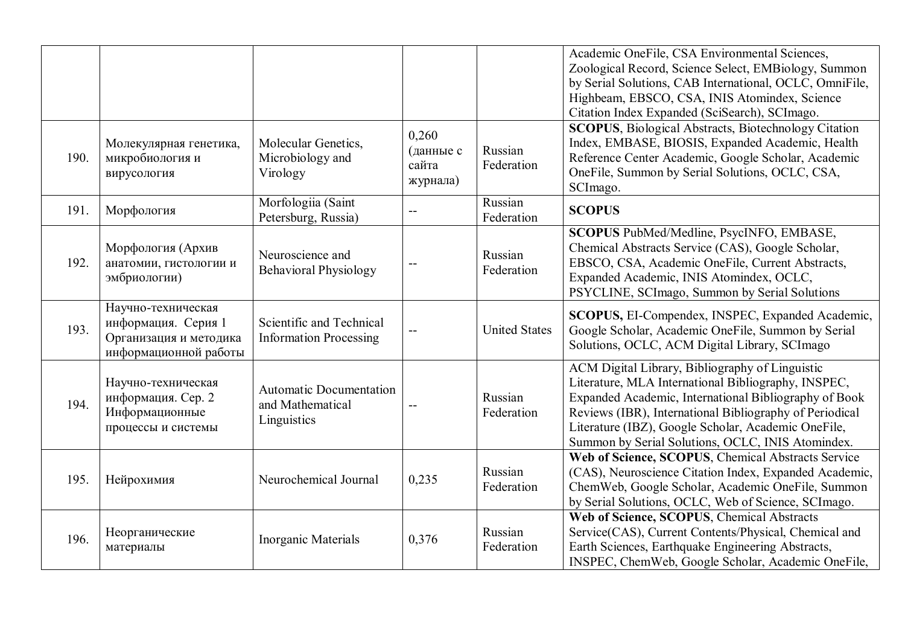|      |                                                                                              |                                                                   |                                         |                       | Academic OneFile, CSA Environmental Sciences,<br>Zoological Record, Science Select, EMBiology, Summon<br>by Serial Solutions, CAB International, OCLC, OmniFile,<br>Highbeam, EBSCO, CSA, INIS Atomindex, Science<br>Citation Index Expanded (SciSearch), SCImago.                                                                     |
|------|----------------------------------------------------------------------------------------------|-------------------------------------------------------------------|-----------------------------------------|-----------------------|----------------------------------------------------------------------------------------------------------------------------------------------------------------------------------------------------------------------------------------------------------------------------------------------------------------------------------------|
| 190. | Молекулярная генетика,<br>микробиология и<br>вирусология                                     | Molecular Genetics,<br>Microbiology and<br>Virology               | 0,260<br>(данные с<br>сайта<br>журнала) | Russian<br>Federation | <b>SCOPUS</b> , Biological Abstracts, Biotechnology Citation<br>Index, EMBASE, BIOSIS, Expanded Academic, Health<br>Reference Center Academic, Google Scholar, Academic<br>OneFile, Summon by Serial Solutions, OCLC, CSA,<br>SCImago.                                                                                                 |
| 191. | Морфология                                                                                   | Morfologiia (Saint<br>Petersburg, Russia)                         |                                         | Russian<br>Federation | <b>SCOPUS</b>                                                                                                                                                                                                                                                                                                                          |
| 192. | Морфология (Архив<br>анатомии, гистологии и<br>эмбриологии)                                  | Neuroscience and<br><b>Behavioral Physiology</b>                  |                                         | Russian<br>Federation | SCOPUS PubMed/Medline, PsycINFO, EMBASE,<br>Chemical Abstracts Service (CAS), Google Scholar,<br>EBSCO, CSA, Academic OneFile, Current Abstracts,<br>Expanded Academic, INIS Atomindex, OCLC,<br>PSYCLINE, SCImago, Summon by Serial Solutions                                                                                         |
| 193. | Научно-техническая<br>информация. Серия 1<br>Организация и методика<br>информационной работы | Scientific and Technical<br><b>Information Processing</b>         |                                         | <b>United States</b>  | SCOPUS, EI-Compendex, INSPEC, Expanded Academic,<br>Google Scholar, Academic OneFile, Summon by Serial<br>Solutions, OCLC, ACM Digital Library, SCImago                                                                                                                                                                                |
| 194. | Научно-техническая<br>информация. Сер. 2<br>Информационные<br>процессы и системы             | <b>Automatic Documentation</b><br>and Mathematical<br>Linguistics | $-$                                     | Russian<br>Federation | ACM Digital Library, Bibliography of Linguistic<br>Literature, MLA International Bibliography, INSPEC,<br>Expanded Academic, International Bibliography of Book<br>Reviews (IBR), International Bibliography of Periodical<br>Literature (IBZ), Google Scholar, Academic OneFile,<br>Summon by Serial Solutions, OCLC, INIS Atomindex. |
| 195. | Нейрохимия                                                                                   | Neurochemical Journal                                             | 0,235                                   | Russian<br>Federation | Web of Science, SCOPUS, Chemical Abstracts Service<br>(CAS), Neuroscience Citation Index, Expanded Academic,<br>ChemWeb, Google Scholar, Academic OneFile, Summon<br>by Serial Solutions, OCLC, Web of Science, SCImago.                                                                                                               |
| 196. | Неорганические<br>материалы                                                                  | Inorganic Materials                                               | 0,376                                   | Russian<br>Federation | Web of Science, SCOPUS, Chemical Abstracts<br>Service(CAS), Current Contents/Physical, Chemical and<br>Earth Sciences, Earthquake Engineering Abstracts,<br>INSPEC, ChemWeb, Google Scholar, Academic OneFile,                                                                                                                         |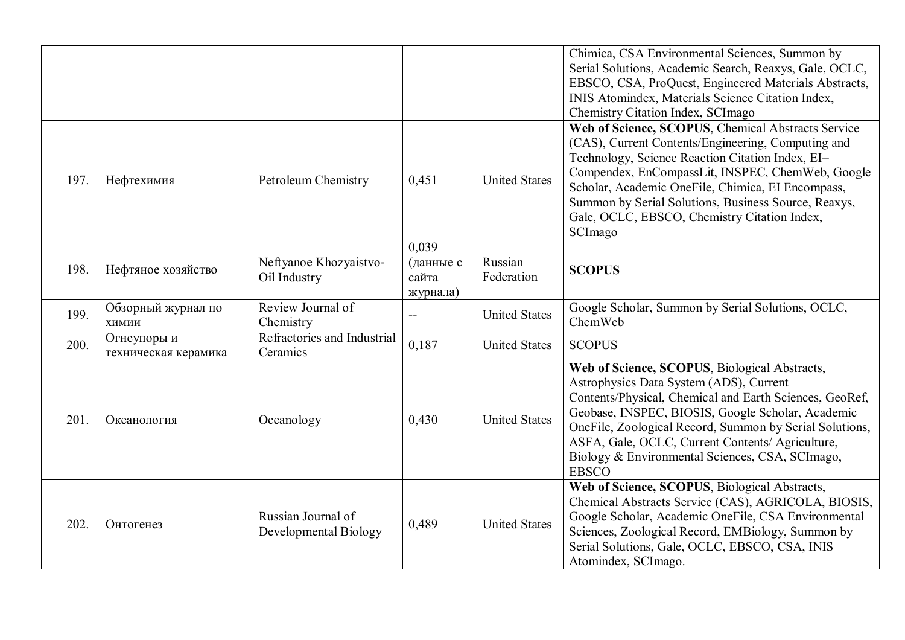|      |                                     |                                             |                                         |                       | Chimica, CSA Environmental Sciences, Summon by<br>Serial Solutions, Academic Search, Reaxys, Gale, OCLC,<br>EBSCO, CSA, ProQuest, Engineered Materials Abstracts,<br>INIS Atomindex, Materials Science Citation Index,<br>Chemistry Citation Index, SCI mago                                                                                                                               |
|------|-------------------------------------|---------------------------------------------|-----------------------------------------|-----------------------|--------------------------------------------------------------------------------------------------------------------------------------------------------------------------------------------------------------------------------------------------------------------------------------------------------------------------------------------------------------------------------------------|
| 197. | Нефтехимия                          | Petroleum Chemistry                         | 0,451                                   | <b>United States</b>  | Web of Science, SCOPUS, Chemical Abstracts Service<br>(CAS), Current Contents/Engineering, Computing and<br>Technology, Science Reaction Citation Index, EI-<br>Compendex, EnCompassLit, INSPEC, ChemWeb, Google<br>Scholar, Academic OneFile, Chimica, EI Encompass,<br>Summon by Serial Solutions, Business Source, Reaxys,<br>Gale, OCLC, EBSCO, Chemistry Citation Index,<br>SCImago   |
| 198. | Нефтяное хозяйство                  | Neftyanoe Khozyaistvo-<br>Oil Industry      | 0,039<br>(данные с<br>сайта<br>журнала) | Russian<br>Federation | <b>SCOPUS</b>                                                                                                                                                                                                                                                                                                                                                                              |
| 199. | Обзорный журнал по<br>ХИМИИ         | Review Journal of<br>Chemistry              | $\overline{a}$                          | <b>United States</b>  | Google Scholar, Summon by Serial Solutions, OCLC,<br>ChemWeb                                                                                                                                                                                                                                                                                                                               |
| 200. | Огнеупоры и<br>техническая керамика | Refractories and Industrial<br>Ceramics     | 0,187                                   | <b>United States</b>  | <b>SCOPUS</b>                                                                                                                                                                                                                                                                                                                                                                              |
| 201. | Океанология                         | Oceanology                                  | 0,430                                   | <b>United States</b>  | Web of Science, SCOPUS, Biological Abstracts,<br>Astrophysics Data System (ADS), Current<br>Contents/Physical, Chemical and Earth Sciences, GeoRef,<br>Geobase, INSPEC, BIOSIS, Google Scholar, Academic<br>OneFile, Zoological Record, Summon by Serial Solutions,<br>ASFA, Gale, OCLC, Current Contents/ Agriculture,<br>Biology & Environmental Sciences, CSA, SCImago,<br><b>EBSCO</b> |
| 202. | Онтогенез                           | Russian Journal of<br>Developmental Biology | 0,489                                   | <b>United States</b>  | Web of Science, SCOPUS, Biological Abstracts,<br>Chemical Abstracts Service (CAS), AGRICOLA, BIOSIS,<br>Google Scholar, Academic OneFile, CSA Environmental<br>Sciences, Zoological Record, EMBiology, Summon by<br>Serial Solutions, Gale, OCLC, EBSCO, CSA, INIS<br>Atomindex, SCImago.                                                                                                  |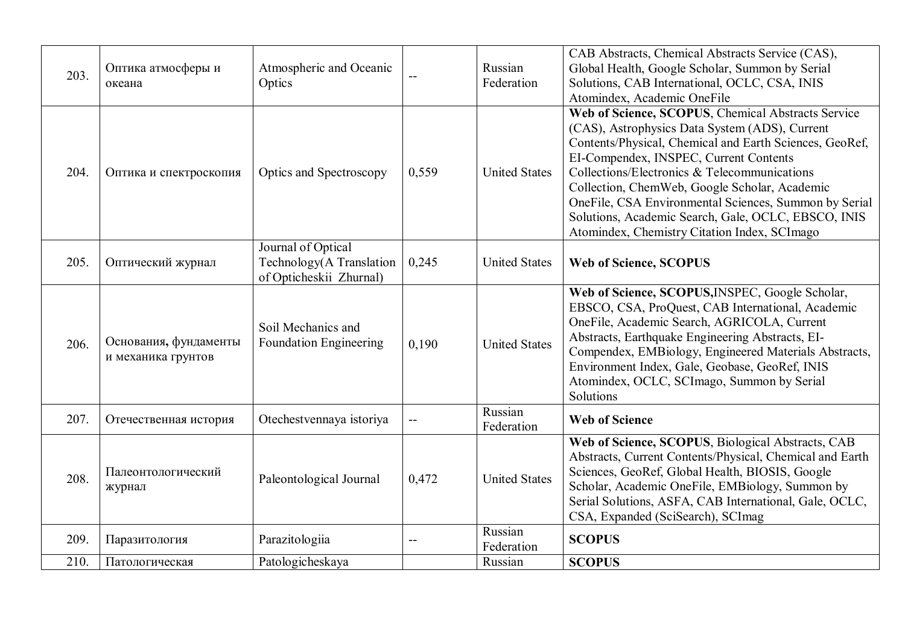| 203. | Оптика атмосферы и<br>океана                | Atmospheric and Oceanic<br>Optics                                         | $-$          | Russian<br>Federation | CAB Abstracts, Chemical Abstracts Service (CAS),<br>Global Health, Google Scholar, Summon by Serial<br>Solutions, CAB International, OCLC, CSA, INIS<br>Atomindex, Academic OneFile                                                                                                                                                                                                                                                                                        |
|------|---------------------------------------------|---------------------------------------------------------------------------|--------------|-----------------------|----------------------------------------------------------------------------------------------------------------------------------------------------------------------------------------------------------------------------------------------------------------------------------------------------------------------------------------------------------------------------------------------------------------------------------------------------------------------------|
| 204. | Оптика и спектроскопия                      | Optics and Spectroscopy                                                   | 0,559        | <b>United States</b>  | Web of Science, SCOPUS, Chemical Abstracts Service<br>(CAS), Astrophysics Data System (ADS), Current<br>Contents/Physical, Chemical and Earth Sciences, GeoRef,<br>EI-Compendex, INSPEC, Current Contents<br>Collections/Electronics & Telecommunications<br>Collection, ChemWeb, Google Scholar, Academic<br>OneFile, CSA Environmental Sciences, Summon by Serial<br>Solutions, Academic Search, Gale, OCLC, EBSCO, INIS<br>Atomindex, Chemistry Citation Index, SCImago |
| 205. | Оптический журнал                           | Journal of Optical<br>Technology(A Translation<br>of Opticheskii Zhurnal) | 0,245        | <b>United States</b>  | <b>Web of Science, SCOPUS</b>                                                                                                                                                                                                                                                                                                                                                                                                                                              |
| 206. | Основания, фундаменты<br>и механика грунтов | Soil Mechanics and<br><b>Foundation Engineering</b>                       | 0,190        | <b>United States</b>  | Web of Science, SCOPUS, INSPEC, Google Scholar,<br>EBSCO, CSA, ProQuest, CAB International, Academic<br>OneFile, Academic Search, AGRICOLA, Current<br>Abstracts, Earthquake Engineering Abstracts, EI-<br>Compendex, EMBiology, Engineered Materials Abstracts,<br>Environment Index, Gale, Geobase, GeoRef, INIS<br>Atomindex, OCLC, SCImago, Summon by Serial<br>Solutions                                                                                              |
| 207. | Отечественная история                       | Otechestvennaya istoriya                                                  | $\mathbf{u}$ | Russian<br>Federation | <b>Web of Science</b>                                                                                                                                                                                                                                                                                                                                                                                                                                                      |
| 208. | Палеонтологический<br>журнал                | Paleontological Journal                                                   | 0,472        | <b>United States</b>  | Web of Science, SCOPUS, Biological Abstracts, CAB<br>Abstracts, Current Contents/Physical, Chemical and Earth<br>Sciences, GeoRef, Global Health, BIOSIS, Google<br>Scholar, Academic OneFile, EMBiology, Summon by<br>Serial Solutions, ASFA, CAB International, Gale, OCLC,<br>CSA, Expanded (SciSearch), SCImag                                                                                                                                                         |
| 209. | Паразитология                               | Parazitologiia                                                            | $-$          | Russian<br>Federation | <b>SCOPUS</b>                                                                                                                                                                                                                                                                                                                                                                                                                                                              |
| 210. | Патологическая                              | Patologicheskaya                                                          |              | Russian               | <b>SCOPUS</b>                                                                                                                                                                                                                                                                                                                                                                                                                                                              |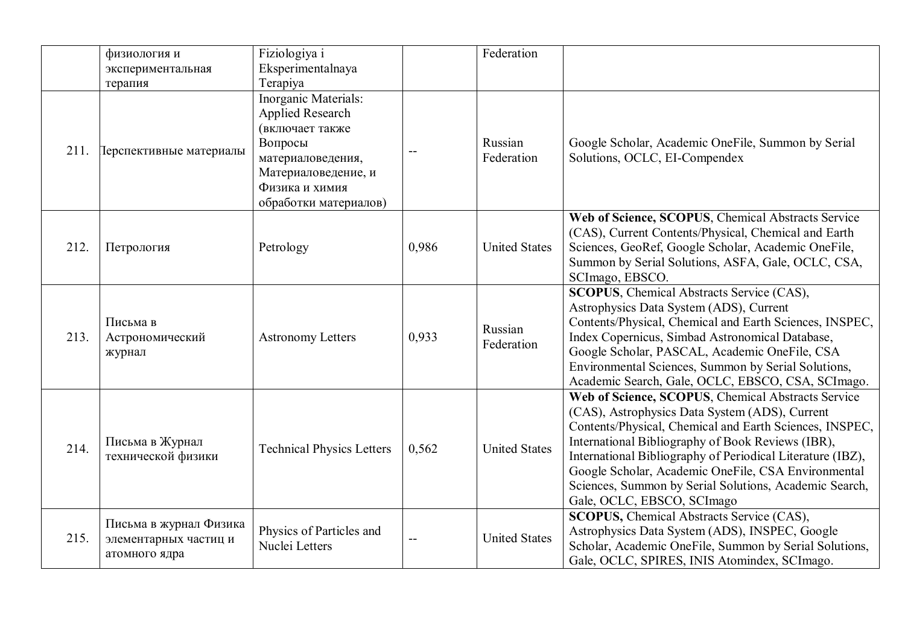|      | физиология и<br>экспериментальная<br>терапия                     | Fiziologiya i<br>Eksperimentalnaya<br>Terapiya                                                                                                                |       | Federation            |                                                                                                                                                                                                                                                                                                                                                                                                                                   |
|------|------------------------------------------------------------------|---------------------------------------------------------------------------------------------------------------------------------------------------------------|-------|-----------------------|-----------------------------------------------------------------------------------------------------------------------------------------------------------------------------------------------------------------------------------------------------------------------------------------------------------------------------------------------------------------------------------------------------------------------------------|
| 211. | Терспективные материалы                                          | Inorganic Materials:<br>Applied Research<br>(включает также<br>Вопросы<br>материаловедения,<br>Материаловедение, и<br>Физика и химия<br>обработки материалов) | --    | Russian<br>Federation | Google Scholar, Academic OneFile, Summon by Serial<br>Solutions, OCLC, EI-Compendex                                                                                                                                                                                                                                                                                                                                               |
| 212. | Петрология                                                       | Petrology                                                                                                                                                     | 0,986 | <b>United States</b>  | Web of Science, SCOPUS, Chemical Abstracts Service<br>(CAS), Current Contents/Physical, Chemical and Earth<br>Sciences, GeoRef, Google Scholar, Academic OneFile,<br>Summon by Serial Solutions, ASFA, Gale, OCLC, CSA,<br>SCImago, EBSCO.                                                                                                                                                                                        |
| 213. | Письма в<br>Астрономический<br>журнал                            | <b>Astronomy Letters</b>                                                                                                                                      | 0,933 | Russian<br>Federation | <b>SCOPUS</b> , Chemical Abstracts Service (CAS),<br>Astrophysics Data System (ADS), Current<br>Contents/Physical, Chemical and Earth Sciences, INSPEC,<br>Index Copernicus, Simbad Astronomical Database,<br>Google Scholar, PASCAL, Academic OneFile, CSA<br>Environmental Sciences, Summon by Serial Solutions,<br>Academic Search, Gale, OCLC, EBSCO, CSA, SCImago.                                                           |
| 214. | Письма в Журнал<br>технической физики                            | <b>Technical Physics Letters</b>                                                                                                                              | 0,562 | <b>United States</b>  | Web of Science, SCOPUS, Chemical Abstracts Service<br>(CAS), Astrophysics Data System (ADS), Current<br>Contents/Physical, Chemical and Earth Sciences, INSPEC,<br>International Bibliography of Book Reviews (IBR),<br>International Bibliography of Periodical Literature (IBZ),<br>Google Scholar, Academic OneFile, CSA Environmental<br>Sciences, Summon by Serial Solutions, Academic Search,<br>Gale, OCLC, EBSCO, SCImago |
| 215. | Письма в журнал Физика<br>элементарных частиц и<br>атомного ядра | Physics of Particles and<br>Nuclei Letters                                                                                                                    | $-$   | <b>United States</b>  | <b>SCOPUS, Chemical Abstracts Service (CAS),</b><br>Astrophysics Data System (ADS), INSPEC, Google<br>Scholar, Academic OneFile, Summon by Serial Solutions,<br>Gale, OCLC, SPIRES, INIS Atomindex, SCImago.                                                                                                                                                                                                                      |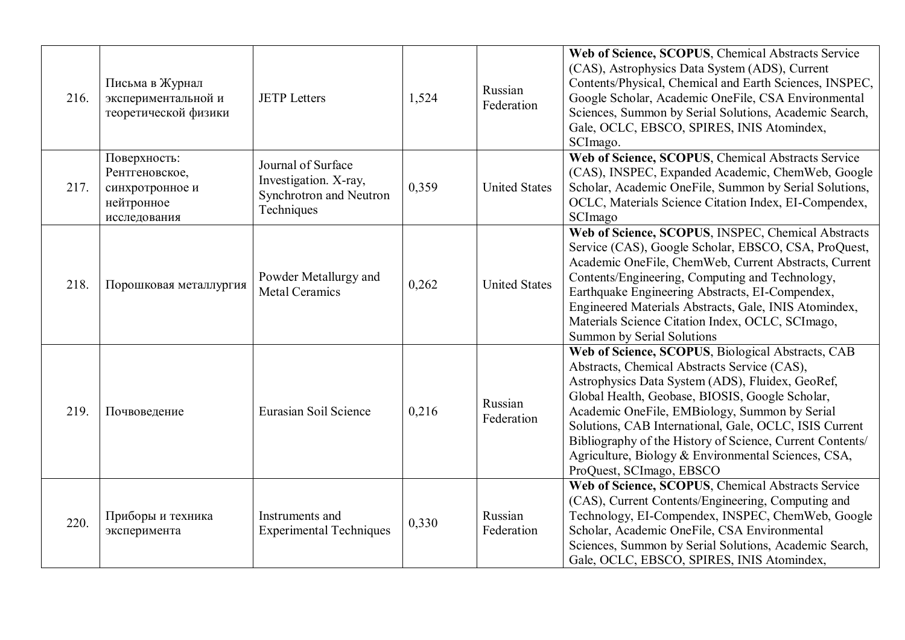| 216. | Письма в Журнал<br>экспериментальной и<br>теоретической физики                  | <b>JETP</b> Letters                                                                  | 1,524 | Russian<br>Federation | Web of Science, SCOPUS, Chemical Abstracts Service<br>(CAS), Astrophysics Data System (ADS), Current<br>Contents/Physical, Chemical and Earth Sciences, INSPEC,<br>Google Scholar, Academic OneFile, CSA Environmental<br>Sciences, Summon by Serial Solutions, Academic Search,<br>Gale, OCLC, EBSCO, SPIRES, INIS Atomindex,<br>SCImago.                                                                                                                          |
|------|---------------------------------------------------------------------------------|--------------------------------------------------------------------------------------|-------|-----------------------|---------------------------------------------------------------------------------------------------------------------------------------------------------------------------------------------------------------------------------------------------------------------------------------------------------------------------------------------------------------------------------------------------------------------------------------------------------------------|
| 217. | Поверхность:<br>Рентгеновское,<br>синхротронное и<br>нейтронное<br>исследования | Journal of Surface<br>Investigation. X-ray,<br>Synchrotron and Neutron<br>Techniques | 0,359 | <b>United States</b>  | Web of Science, SCOPUS, Chemical Abstracts Service<br>(CAS), INSPEC, Expanded Academic, ChemWeb, Google<br>Scholar, Academic OneFile, Summon by Serial Solutions,<br>OCLC, Materials Science Citation Index, EI-Compendex,<br>SCImago                                                                                                                                                                                                                               |
| 218. | Порошковая металлургия                                                          | Powder Metallurgy and<br><b>Metal Ceramics</b>                                       | 0,262 | <b>United States</b>  | Web of Science, SCOPUS, INSPEC, Chemical Abstracts<br>Service (CAS), Google Scholar, EBSCO, CSA, ProQuest,<br>Academic OneFile, ChemWeb, Current Abstracts, Current<br>Contents/Engineering, Computing and Technology,<br>Earthquake Engineering Abstracts, EI-Compendex,<br>Engineered Materials Abstracts, Gale, INIS Atomindex,<br>Materials Science Citation Index, OCLC, SCImago,<br><b>Summon by Serial Solutions</b>                                         |
| 219. | Почвоведение                                                                    | Eurasian Soil Science                                                                | 0,216 | Russian<br>Federation | Web of Science, SCOPUS, Biological Abstracts, CAB<br>Abstracts, Chemical Abstracts Service (CAS),<br>Astrophysics Data System (ADS), Fluidex, GeoRef,<br>Global Health, Geobase, BIOSIS, Google Scholar,<br>Academic OneFile, EMBiology, Summon by Serial<br>Solutions, CAB International, Gale, OCLC, ISIS Current<br>Bibliography of the History of Science, Current Contents/<br>Agriculture, Biology & Environmental Sciences, CSA,<br>ProQuest, SCImago, EBSCO |
| 220. | Приборы и техника<br>эксперимента                                               | Instruments and<br><b>Experimental Techniques</b>                                    | 0,330 | Russian<br>Federation | Web of Science, SCOPUS, Chemical Abstracts Service<br>(CAS), Current Contents/Engineering, Computing and<br>Technology, EI-Compendex, INSPEC, ChemWeb, Google<br>Scholar, Academic OneFile, CSA Environmental<br>Sciences, Summon by Serial Solutions, Academic Search,<br>Gale, OCLC, EBSCO, SPIRES, INIS Atomindex,                                                                                                                                               |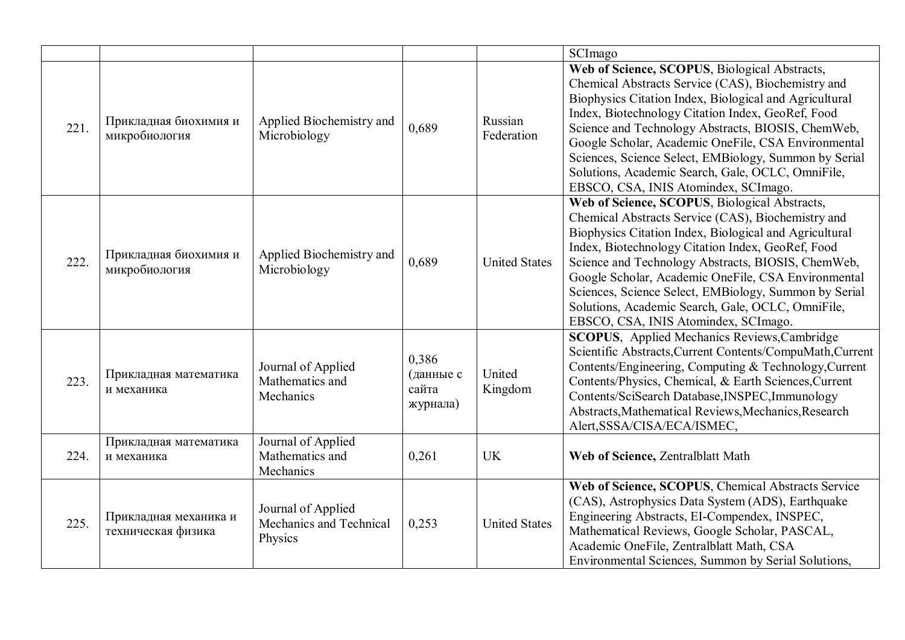|      |                                             |                                                          |                                         |                       | SCImago                                                                                                                                                                                                                                                                                                                                                                                                                                                                               |
|------|---------------------------------------------|----------------------------------------------------------|-----------------------------------------|-----------------------|---------------------------------------------------------------------------------------------------------------------------------------------------------------------------------------------------------------------------------------------------------------------------------------------------------------------------------------------------------------------------------------------------------------------------------------------------------------------------------------|
| 221. | Прикладная биохимия и<br>микробиология      | Applied Biochemistry and<br>Microbiology                 | 0,689                                   | Russian<br>Federation | Web of Science, SCOPUS, Biological Abstracts,<br>Chemical Abstracts Service (CAS), Biochemistry and<br>Biophysics Citation Index, Biological and Agricultural<br>Index, Biotechnology Citation Index, GeoRef, Food<br>Science and Technology Abstracts, BIOSIS, ChemWeb,<br>Google Scholar, Academic OneFile, CSA Environmental<br>Sciences, Science Select, EMBiology, Summon by Serial<br>Solutions, Academic Search, Gale, OCLC, OmniFile,<br>EBSCO, CSA, INIS Atomindex, SCImago. |
| 222. | Прикладная биохимия и<br>микробиология      | Applied Biochemistry and<br>Microbiology                 | 0,689                                   | <b>United States</b>  | Web of Science, SCOPUS, Biological Abstracts,<br>Chemical Abstracts Service (CAS), Biochemistry and<br>Biophysics Citation Index, Biological and Agricultural<br>Index, Biotechnology Citation Index, GeoRef, Food<br>Science and Technology Abstracts, BIOSIS, ChemWeb,<br>Google Scholar, Academic OneFile, CSA Environmental<br>Sciences, Science Select, EMBiology, Summon by Serial<br>Solutions, Academic Search, Gale, OCLC, OmniFile,<br>EBSCO, CSA, INIS Atomindex, SCImago. |
| 223. | Прикладная математика<br>и механика         | Journal of Applied<br>Mathematics and<br>Mechanics       | 0,386<br>(данные с<br>сайта<br>журнала) | United<br>Kingdom     | <b>SCOPUS</b> , Applied Mechanics Reviews, Cambridge<br>Scientific Abstracts, Current Contents/CompuMath, Current<br>Contents/Engineering, Computing & Technology, Current<br>Contents/Physics, Chemical, & Earth Sciences, Current<br>Contents/SciSearch Database, INSPEC, Immunology<br>Abstracts, Mathematical Reviews, Mechanics, Research<br>Alert, SSSA/CISA/ECA/ISMEC,                                                                                                         |
| 224. | Прикладная математика<br>и механика         | Journal of Applied<br>Mathematics and<br>Mechanics       | 0,261                                   | <b>UK</b>             | Web of Science, Zentralblatt Math                                                                                                                                                                                                                                                                                                                                                                                                                                                     |
| 225. | Прикладная механика и<br>техническая физика | Journal of Applied<br>Mechanics and Technical<br>Physics | 0,253                                   | <b>United States</b>  | Web of Science, SCOPUS, Chemical Abstracts Service<br>(CAS), Astrophysics Data System (ADS), Earthquake<br>Engineering Abstracts, EI-Compendex, INSPEC,<br>Mathematical Reviews, Google Scholar, PASCAL,<br>Academic OneFile, Zentralblatt Math, CSA<br>Environmental Sciences, Summon by Serial Solutions,                                                                                                                                                                           |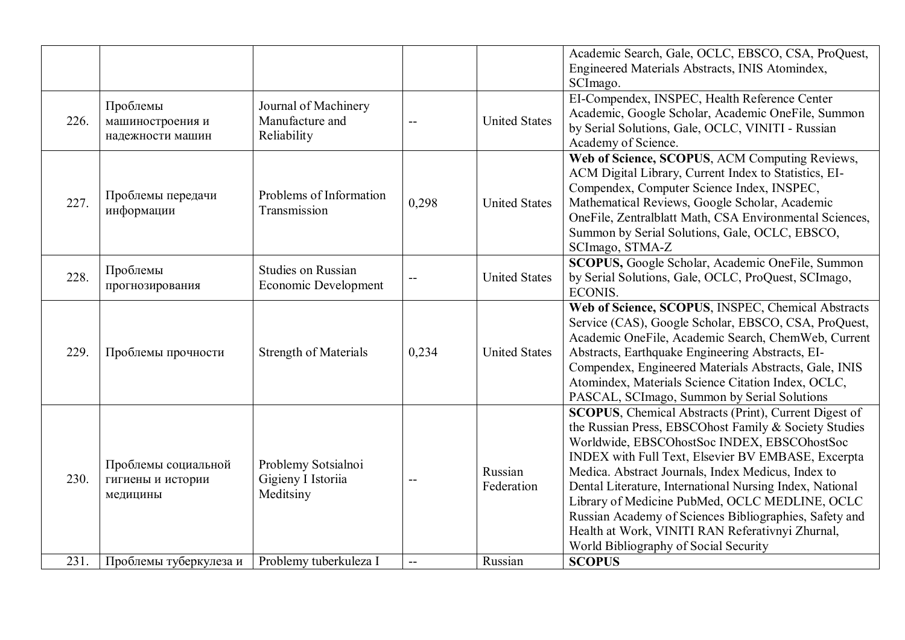|      |                                                      |                                                        |                |                       | Academic Search, Gale, OCLC, EBSCO, CSA, ProQuest,<br>Engineered Materials Abstracts, INIS Atomindex,<br>SCImago.                                                                                                                                                                                                                                                                                                                                                                                                                                      |
|------|------------------------------------------------------|--------------------------------------------------------|----------------|-----------------------|--------------------------------------------------------------------------------------------------------------------------------------------------------------------------------------------------------------------------------------------------------------------------------------------------------------------------------------------------------------------------------------------------------------------------------------------------------------------------------------------------------------------------------------------------------|
| 226. | Проблемы<br>машиностроения и<br>надежности машин     | Journal of Machinery<br>Manufacture and<br>Reliability |                | <b>United States</b>  | EI-Compendex, INSPEC, Health Reference Center<br>Academic, Google Scholar, Academic OneFile, Summon<br>by Serial Solutions, Gale, OCLC, VINITI - Russian<br>Academy of Science.                                                                                                                                                                                                                                                                                                                                                                        |
| 227. | Проблемы передачи<br>информации                      | Problems of Information<br>Transmission                | 0,298          | <b>United States</b>  | Web of Science, SCOPUS, ACM Computing Reviews,<br>ACM Digital Library, Current Index to Statistics, EI-<br>Compendex, Computer Science Index, INSPEC,<br>Mathematical Reviews, Google Scholar, Academic<br>OneFile, Zentralblatt Math, CSA Environmental Sciences,<br>Summon by Serial Solutions, Gale, OCLC, EBSCO,<br>SCImago, STMA-Z                                                                                                                                                                                                                |
| 228. | Проблемы<br>прогнозирования                          | <b>Studies on Russian</b><br>Economic Development      |                | <b>United States</b>  | SCOPUS, Google Scholar, Academic OneFile, Summon<br>by Serial Solutions, Gale, OCLC, ProQuest, SCImago,<br><b>ECONIS.</b>                                                                                                                                                                                                                                                                                                                                                                                                                              |
| 229. | Проблемы прочности                                   | <b>Strength of Materials</b>                           | 0,234          | <b>United States</b>  | Web of Science, SCOPUS, INSPEC, Chemical Abstracts<br>Service (CAS), Google Scholar, EBSCO, CSA, ProQuest,<br>Academic OneFile, Academic Search, ChemWeb, Current<br>Abstracts, Earthquake Engineering Abstracts, EI-<br>Compendex, Engineered Materials Abstracts, Gale, INIS<br>Atomindex, Materials Science Citation Index, OCLC,<br>PASCAL, SCImago, Summon by Serial Solutions                                                                                                                                                                    |
| 230. | Проблемы социальной<br>гигиены и истории<br>медицины | Problemy Sotsialnoi<br>Gigieny I Istoriia<br>Meditsiny |                | Russian<br>Federation | <b>SCOPUS</b> , Chemical Abstracts (Print), Current Digest of<br>the Russian Press, EBSCOhost Family & Society Studies<br>Worldwide, EBSCOhostSoc INDEX, EBSCOhostSoc<br>INDEX with Full Text, Elsevier BV EMBASE, Excerpta<br>Medica. Abstract Journals, Index Medicus, Index to<br>Dental Literature, International Nursing Index, National<br>Library of Medicine PubMed, OCLC MEDLINE, OCLC<br>Russian Academy of Sciences Bibliographies, Safety and<br>Health at Work, VINITI RAN Referativnyi Zhurnal,<br>World Bibliography of Social Security |
| 231. | Проблемы туберкулеза и                               | Problemy tuberkuleza I                                 | $\overline{a}$ | Russian               | <b>SCOPUS</b>                                                                                                                                                                                                                                                                                                                                                                                                                                                                                                                                          |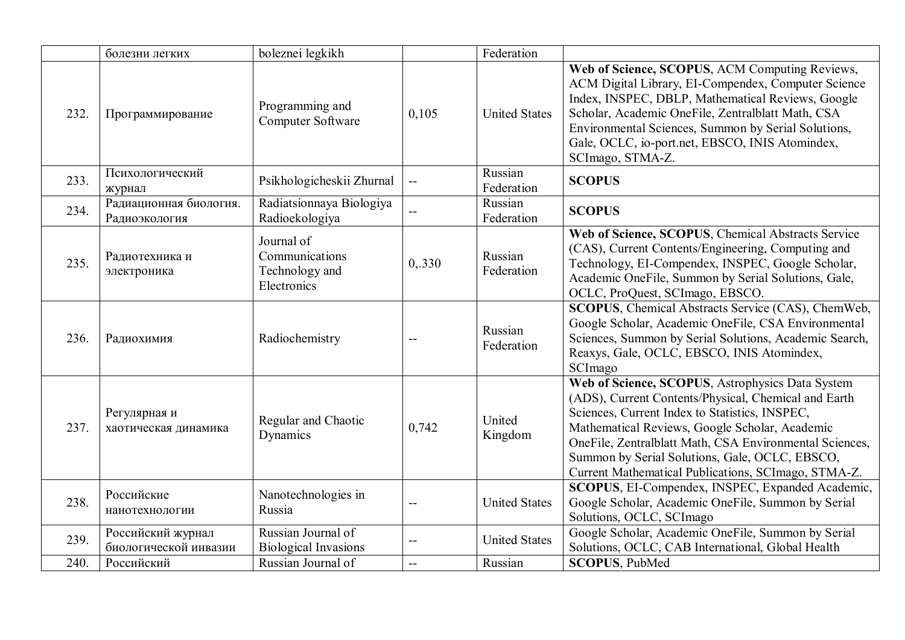|      | болезни легких                             | boleznei legkikh                                              |        | Federation            |                                                                                                                                                                                                                                                                                                                                                                                  |
|------|--------------------------------------------|---------------------------------------------------------------|--------|-----------------------|----------------------------------------------------------------------------------------------------------------------------------------------------------------------------------------------------------------------------------------------------------------------------------------------------------------------------------------------------------------------------------|
| 232. | Программирование                           | Programming and<br>Computer Software                          | 0,105  | <b>United States</b>  | Web of Science, SCOPUS, ACM Computing Reviews,<br>ACM Digital Library, EI-Compendex, Computer Science<br>Index, INSPEC, DBLP, Mathematical Reviews, Google<br>Scholar, Academic OneFile, Zentralblatt Math, CSA<br>Environmental Sciences, Summon by Serial Solutions,<br>Gale, OCLC, io-port.net, EBSCO, INIS Atomindex,<br>SCImago, STMA-Z.                                    |
| 233. | Психологический<br>журнал                  | Psikhologicheskii Zhurnal                                     | --     | Russian<br>Federation | <b>SCOPUS</b>                                                                                                                                                                                                                                                                                                                                                                    |
| 234. | Радиационная биология.<br>Радиоэкология    | Radiatsionnaya Biologiya<br>Radioekologiya                    |        | Russian<br>Federation | <b>SCOPUS</b>                                                                                                                                                                                                                                                                                                                                                                    |
| 235. | Радиотехника и<br>электроника              | Journal of<br>Communications<br>Technology and<br>Electronics | 0,.330 | Russian<br>Federation | Web of Science, SCOPUS, Chemical Abstracts Service<br>(CAS), Current Contents/Engineering, Computing and<br>Technology, EI-Compendex, INSPEC, Google Scholar,<br>Academic OneFile, Summon by Serial Solutions, Gale,<br>OCLC, ProQuest, SCImago, EBSCO.                                                                                                                          |
| 236. | Радиохимия                                 | Radiochemistry                                                |        | Russian<br>Federation | SCOPUS, Chemical Abstracts Service (CAS), ChemWeb,<br>Google Scholar, Academic OneFile, CSA Environmental<br>Sciences, Summon by Serial Solutions, Academic Search,<br>Reaxys, Gale, OCLC, EBSCO, INIS Atomindex,<br>SCImago                                                                                                                                                     |
| 237. | Регулярная и<br>хаотическая динамика       | Regular and Chaotic<br>Dynamics                               | 0,742  | United<br>Kingdom     | Web of Science, SCOPUS, Astrophysics Data System<br>(ADS), Current Contents/Physical, Chemical and Earth<br>Sciences, Current Index to Statistics, INSPEC,<br>Mathematical Reviews, Google Scholar, Academic<br>OneFile, Zentralblatt Math, CSA Environmental Sciences,<br>Summon by Serial Solutions, Gale, OCLC, EBSCO,<br>Current Mathematical Publications, SCImago, STMA-Z. |
| 238. | Российские<br>нанотехнологии               | Nanotechnologies in<br>Russia                                 |        | <b>United States</b>  | SCOPUS, EI-Compendex, INSPEC, Expanded Academic,<br>Google Scholar, Academic OneFile, Summon by Serial<br>Solutions, OCLC, SCImago                                                                                                                                                                                                                                               |
| 239. | Российский журнал<br>биологической инвазии | Russian Journal of<br><b>Biological Invasions</b>             |        | <b>United States</b>  | Google Scholar, Academic OneFile, Summon by Serial<br>Solutions, OCLC, CAB International, Global Health                                                                                                                                                                                                                                                                          |
| 240. | Российский                                 | Russian Journal of                                            | --     | Russian               | <b>SCOPUS, PubMed</b>                                                                                                                                                                                                                                                                                                                                                            |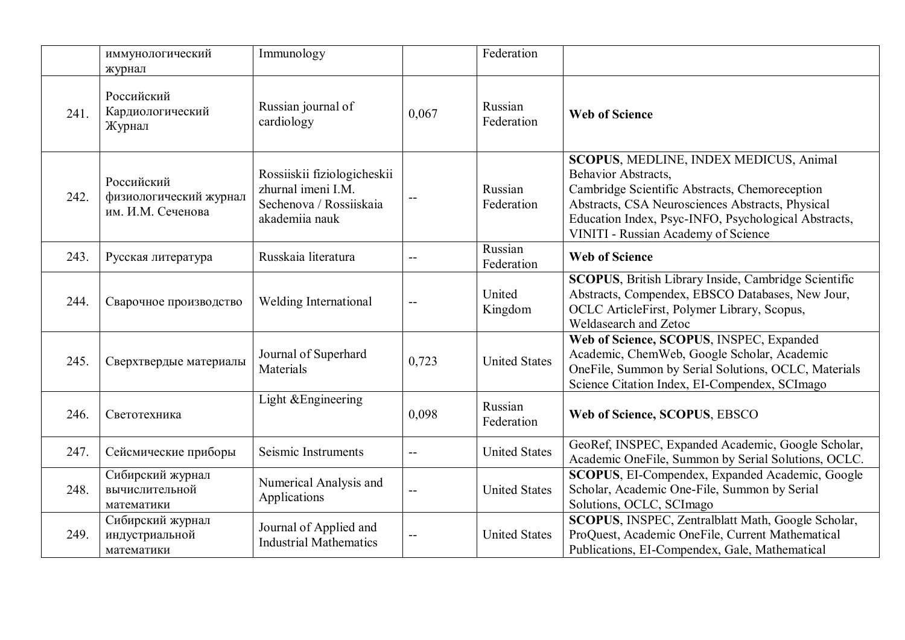|      | иммунологический<br>журнал                                | Immunology                                                                                     |       | Federation            |                                                                                                                                                                                                                                                                    |
|------|-----------------------------------------------------------|------------------------------------------------------------------------------------------------|-------|-----------------------|--------------------------------------------------------------------------------------------------------------------------------------------------------------------------------------------------------------------------------------------------------------------|
| 241. | Российский<br>Кардиологический<br>Журнал                  | Russian journal of<br>cardiology                                                               | 0,067 | Russian<br>Federation | <b>Web of Science</b>                                                                                                                                                                                                                                              |
| 242. | Российский<br>физиологический журнал<br>им. И.М. Сеченова | Rossiiskii fiziologicheskii<br>zhurnal imeni I.M.<br>Sechenova / Rossiiskaia<br>akademiia nauk | --    | Russian<br>Federation | SCOPUS, MEDLINE, INDEX MEDICUS, Animal<br>Behavior Abstracts,<br>Cambridge Scientific Abstracts, Chemoreception<br>Abstracts, CSA Neurosciences Abstracts, Physical<br>Education Index, Psyc-INFO, Psychological Abstracts,<br>VINITI - Russian Academy of Science |
| 243. | Русская литература                                        | Russkaia literatura                                                                            | $- -$ | Russian<br>Federation | <b>Web of Science</b>                                                                                                                                                                                                                                              |
| 244. | Сварочное производство                                    | <b>Welding International</b>                                                                   | $- -$ | United<br>Kingdom     | <b>SCOPUS</b> , British Library Inside, Cambridge Scientific<br>Abstracts, Compendex, EBSCO Databases, New Jour,<br>OCLC ArticleFirst, Polymer Library, Scopus,<br>Weldasearch and Zetoc                                                                           |
| 245. | Сверхтвердые материалы                                    | Journal of Superhard<br>Materials                                                              | 0,723 | <b>United States</b>  | Web of Science, SCOPUS, INSPEC, Expanded<br>Academic, ChemWeb, Google Scholar, Academic<br>OneFile, Summon by Serial Solutions, OCLC, Materials<br>Science Citation Index, EI-Compendex, SCImago                                                                   |
| 246. | Светотехника                                              | Light & Engineering                                                                            | 0,098 | Russian<br>Federation | Web of Science, SCOPUS, EBSCO                                                                                                                                                                                                                                      |
| 247. | Сейсмические приборы                                      | Seismic Instruments                                                                            | --    | <b>United States</b>  | GeoRef, INSPEC, Expanded Academic, Google Scholar,<br>Academic OneFile, Summon by Serial Solutions, OCLC.                                                                                                                                                          |
| 248. | Сибирский журнал<br>вычислительной<br>математики          | Numerical Analysis and<br>Applications                                                         |       | <b>United States</b>  | <b>SCOPUS, EI-Compendex, Expanded Academic, Google</b><br>Scholar, Academic One-File, Summon by Serial<br>Solutions, OCLC, SCImago                                                                                                                                 |
| 249. | Сибирский журнал<br>индустриальной<br>математики          | Journal of Applied and<br><b>Industrial Mathematics</b>                                        | --    | <b>United States</b>  | SCOPUS, INSPEC, Zentralblatt Math, Google Scholar,<br>ProQuest, Academic OneFile, Current Mathematical<br>Publications, EI-Compendex, Gale, Mathematical                                                                                                           |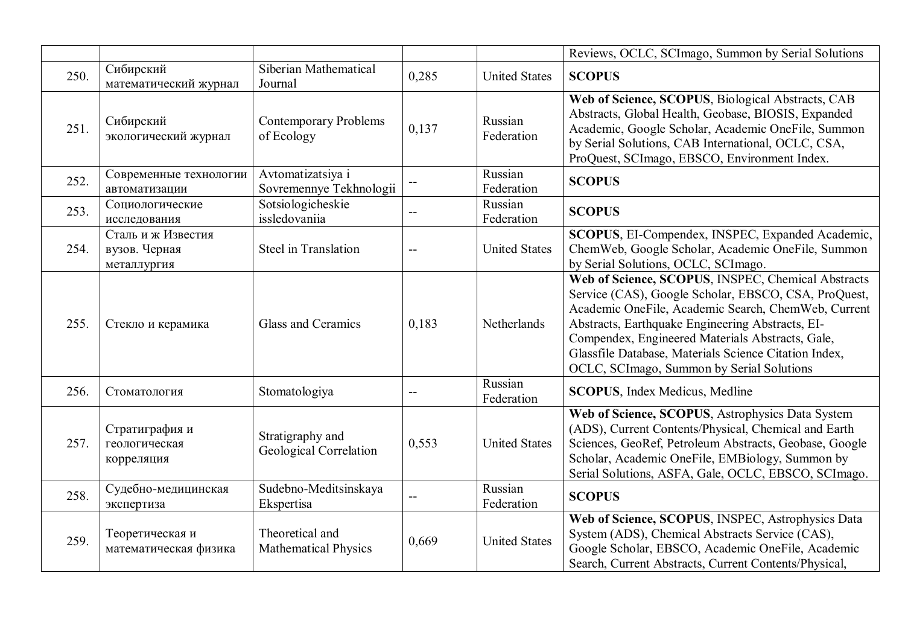|      |                                                    |                                                |       |                       | Reviews, OCLC, SCImago, Summon by Serial Solutions                                                                                                                                                                                                                                                                                                                              |
|------|----------------------------------------------------|------------------------------------------------|-------|-----------------------|---------------------------------------------------------------------------------------------------------------------------------------------------------------------------------------------------------------------------------------------------------------------------------------------------------------------------------------------------------------------------------|
| 250. | Сибирский<br>математический журнал                 | Siberian Mathematical<br>Journal               | 0,285 | <b>United States</b>  | <b>SCOPUS</b>                                                                                                                                                                                                                                                                                                                                                                   |
| 251. | Сибирский<br>экологический журнал                  | <b>Contemporary Problems</b><br>of Ecology     | 0,137 | Russian<br>Federation | Web of Science, SCOPUS, Biological Abstracts, CAB<br>Abstracts, Global Health, Geobase, BIOSIS, Expanded<br>Academic, Google Scholar, Academic OneFile, Summon<br>by Serial Solutions, CAB International, OCLC, CSA,<br>ProQuest, SCImago, EBSCO, Environment Index.                                                                                                            |
| 252. | Современные технологии<br>автоматизации            | Avtomatizatsiya i<br>Sovremennye Tekhnologii   |       | Russian<br>Federation | <b>SCOPUS</b>                                                                                                                                                                                                                                                                                                                                                                   |
| 253. | Социологические<br>исследования                    | Sotsiologicheskie<br>issledovaniia             |       | Russian<br>Federation | <b>SCOPUS</b>                                                                                                                                                                                                                                                                                                                                                                   |
| 254. | Сталь и ж Известия<br>вузов. Черная<br>металлургия | Steel in Translation                           | --    | <b>United States</b>  | SCOPUS, EI-Compendex, INSPEC, Expanded Academic,<br>ChemWeb, Google Scholar, Academic OneFile, Summon<br>by Serial Solutions, OCLC, SCImago.                                                                                                                                                                                                                                    |
| 255. | Стекло и керамика                                  | Glass and Ceramics                             | 0,183 | Netherlands           | Web of Science, SCOPUS, INSPEC, Chemical Abstracts<br>Service (CAS), Google Scholar, EBSCO, CSA, ProQuest,<br>Academic OneFile, Academic Search, ChemWeb, Current<br>Abstracts, Earthquake Engineering Abstracts, EI-<br>Compendex, Engineered Materials Abstracts, Gale,<br>Glassfile Database, Materials Science Citation Index,<br>OCLC, SCImago, Summon by Serial Solutions |
| 256. | Стоматология                                       | Stomatologiya                                  | --    | Russian<br>Federation | <b>SCOPUS</b> , Index Medicus, Medline                                                                                                                                                                                                                                                                                                                                          |
| 257. | Стратиграфия и<br>геологическая<br>корреляция      | Stratigraphy and<br>Geological Correlation     | 0,553 | <b>United States</b>  | Web of Science, SCOPUS, Astrophysics Data System<br>(ADS), Current Contents/Physical, Chemical and Earth<br>Sciences, GeoRef, Petroleum Abstracts, Geobase, Google<br>Scholar, Academic OneFile, EMBiology, Summon by<br>Serial Solutions, ASFA, Gale, OCLC, EBSCO, SCImago.                                                                                                    |
| 258. | Судебно-медицинская<br>экспертиза                  | Sudebno-Meditsinskaya<br>Ekspertisa            | --    | Russian<br>Federation | <b>SCOPUS</b>                                                                                                                                                                                                                                                                                                                                                                   |
| 259. | Теоретическая и<br>математическая физика           | Theoretical and<br><b>Mathematical Physics</b> | 0,669 | <b>United States</b>  | Web of Science, SCOPUS, INSPEC, Astrophysics Data<br>System (ADS), Chemical Abstracts Service (CAS),<br>Google Scholar, EBSCO, Academic OneFile, Academic<br>Search, Current Abstracts, Current Contents/Physical,                                                                                                                                                              |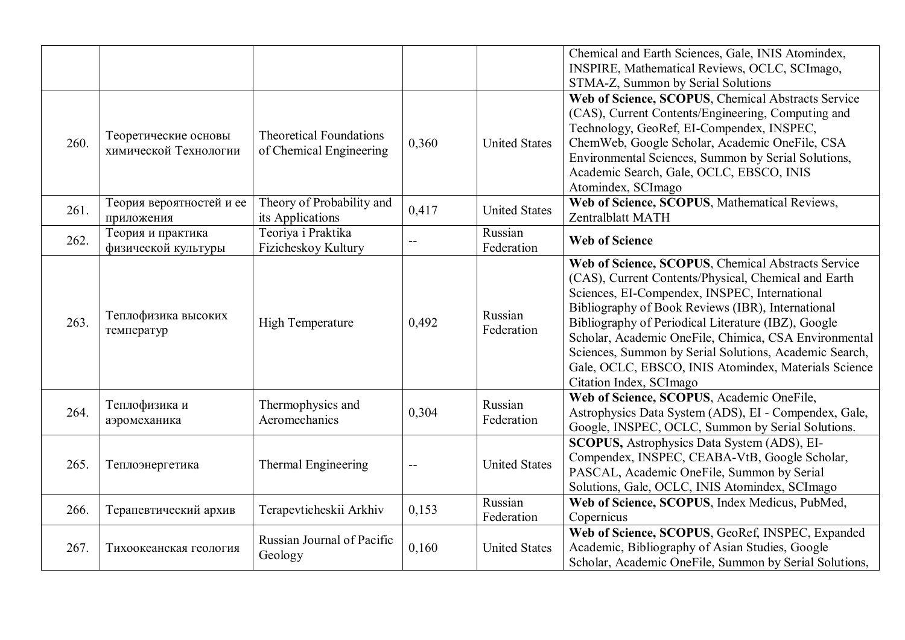|      |                                               |                                                           |       |                       | Chemical and Earth Sciences, Gale, INIS Atomindex,<br>INSPIRE, Mathematical Reviews, OCLC, SCImago,<br>STMA-Z, Summon by Serial Solutions                                                                                                                                                                                                                                                                                                                                     |
|------|-----------------------------------------------|-----------------------------------------------------------|-------|-----------------------|-------------------------------------------------------------------------------------------------------------------------------------------------------------------------------------------------------------------------------------------------------------------------------------------------------------------------------------------------------------------------------------------------------------------------------------------------------------------------------|
| 260. | Теоретические основы<br>химической Технологии | <b>Theoretical Foundations</b><br>of Chemical Engineering | 0,360 | <b>United States</b>  | Web of Science, SCOPUS, Chemical Abstracts Service<br>(CAS), Current Contents/Engineering, Computing and<br>Technology, GeoRef, EI-Compendex, INSPEC,<br>ChemWeb, Google Scholar, Academic OneFile, CSA<br>Environmental Sciences, Summon by Serial Solutions,<br>Academic Search, Gale, OCLC, EBSCO, INIS<br>Atomindex, SCImago                                                                                                                                              |
| 261. | Теория вероятностей и ее<br>приложения        | Theory of Probability and<br>its Applications             | 0,417 | <b>United States</b>  | Web of Science, SCOPUS, Mathematical Reviews,<br>Zentralblatt MATH                                                                                                                                                                                                                                                                                                                                                                                                            |
| 262. | Теория и практика<br>физической культуры      | Teoriya i Praktika<br>Fizicheskoy Kultury                 |       | Russian<br>Federation | <b>Web of Science</b>                                                                                                                                                                                                                                                                                                                                                                                                                                                         |
| 263. | Теплофизика высоких<br>температур             | <b>High Temperature</b>                                   | 0,492 | Russian<br>Federation | Web of Science, SCOPUS, Chemical Abstracts Service<br>(CAS), Current Contents/Physical, Chemical and Earth<br>Sciences, EI-Compendex, INSPEC, International<br>Bibliography of Book Reviews (IBR), International<br>Bibliography of Periodical Literature (IBZ), Google<br>Scholar, Academic OneFile, Chimica, CSA Environmental<br>Sciences, Summon by Serial Solutions, Academic Search,<br>Gale, OCLC, EBSCO, INIS Atomindex, Materials Science<br>Citation Index, SCImago |
| 264. | Теплофизика и<br>аэромеханика                 | Thermophysics and<br>Aeromechanics                        | 0,304 | Russian<br>Federation | Web of Science, SCOPUS, Academic OneFile,<br>Astrophysics Data System (ADS), EI - Compendex, Gale,<br>Google, INSPEC, OCLC, Summon by Serial Solutions.                                                                                                                                                                                                                                                                                                                       |
| 265. | Теплоэнергетика                               | <b>Thermal Engineering</b>                                |       | <b>United States</b>  | <b>SCOPUS, Astrophysics Data System (ADS), EI-</b><br>Compendex, INSPEC, CEABA-VtB, Google Scholar,<br>PASCAL, Academic OneFile, Summon by Serial<br>Solutions, Gale, OCLC, INIS Atomindex, SCImago                                                                                                                                                                                                                                                                           |
| 266. | Терапевтический архив                         | Terapevticheskii Arkhiv                                   | 0,153 | Russian<br>Federation | Web of Science, SCOPUS, Index Medicus, PubMed,<br>Copernicus                                                                                                                                                                                                                                                                                                                                                                                                                  |
| 267. | Тихоокеанская геология                        | Russian Journal of Pacific<br>Geology                     | 0,160 | <b>United States</b>  | Web of Science, SCOPUS, GeoRef, INSPEC, Expanded<br>Academic, Bibliography of Asian Studies, Google<br>Scholar, Academic OneFile, Summon by Serial Solutions,                                                                                                                                                                                                                                                                                                                 |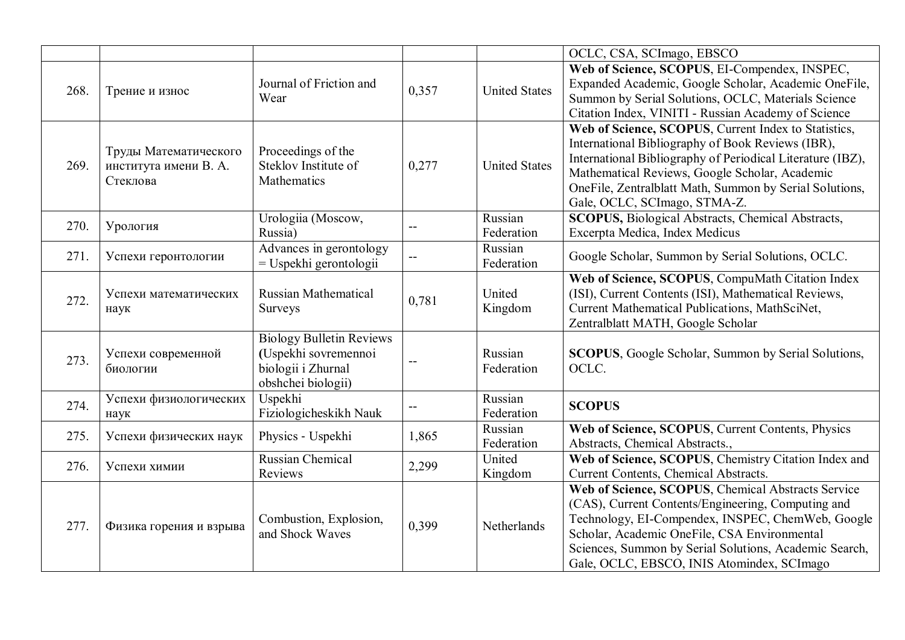|      |                                                            |                                                                                                     |       |                       | OCLC, CSA, SCImago, EBSCO                                                                                                                                                                                                                                                                                             |
|------|------------------------------------------------------------|-----------------------------------------------------------------------------------------------------|-------|-----------------------|-----------------------------------------------------------------------------------------------------------------------------------------------------------------------------------------------------------------------------------------------------------------------------------------------------------------------|
| 268. | Трение и износ                                             | Journal of Friction and<br>Wear                                                                     | 0,357 | <b>United States</b>  | Web of Science, SCOPUS, EI-Compendex, INSPEC,<br>Expanded Academic, Google Scholar, Academic OneFile,<br>Summon by Serial Solutions, OCLC, Materials Science<br>Citation Index, VINITI - Russian Academy of Science                                                                                                   |
| 269. | Труды Математического<br>института имени В. А.<br>Стеклова | Proceedings of the<br>Steklov Institute of<br>Mathematics                                           | 0,277 | <b>United States</b>  | Web of Science, SCOPUS, Current Index to Statistics,<br>International Bibliography of Book Reviews (IBR),<br>International Bibliography of Periodical Literature (IBZ),<br>Mathematical Reviews, Google Scholar, Academic<br>OneFile, Zentralblatt Math, Summon by Serial Solutions,<br>Gale, OCLC, SCImago, STMA-Z.  |
| 270. | Урология                                                   | Urologiia (Moscow,<br>Russia)                                                                       |       | Russian<br>Federation | <b>SCOPUS</b> , Biological Abstracts, Chemical Abstracts,<br>Excerpta Medica, Index Medicus                                                                                                                                                                                                                           |
| 271. | Успехи геронтологии                                        | Advances in gerontology<br>$=$ Uspekhi gerontologii                                                 |       | Russian<br>Federation | Google Scholar, Summon by Serial Solutions, OCLC.                                                                                                                                                                                                                                                                     |
| 272. | Успехи математических<br>наук                              | <b>Russian Mathematical</b><br>Surveys                                                              | 0,781 | United<br>Kingdom     | Web of Science, SCOPUS, CompuMath Citation Index<br>(ISI), Current Contents (ISI), Mathematical Reviews,<br>Current Mathematical Publications, MathSciNet,<br>Zentralblatt MATH, Google Scholar                                                                                                                       |
| 273. | Успехи современной<br>биологии                             | <b>Biology Bulletin Reviews</b><br>(Uspekhi sovremennoi<br>biologii i Zhurnal<br>obshchei biologii) | $-$   | Russian<br>Federation | <b>SCOPUS</b> , Google Scholar, Summon by Serial Solutions,<br>OCLC.                                                                                                                                                                                                                                                  |
| 274. | Успехи физиологических<br>наук                             | Uspekhi<br>Fiziologicheskikh Nauk                                                                   | $- -$ | Russian<br>Federation | <b>SCOPUS</b>                                                                                                                                                                                                                                                                                                         |
| 275. | Успехи физических наук                                     | Physics - Uspekhi                                                                                   | 1,865 | Russian<br>Federation | Web of Science, SCOPUS, Current Contents, Physics<br>Abstracts, Chemical Abstracts.,                                                                                                                                                                                                                                  |
| 276. | Успехи химии                                               | Russian Chemical<br>Reviews                                                                         | 2,299 | United<br>Kingdom     | Web of Science, SCOPUS, Chemistry Citation Index and<br>Current Contents, Chemical Abstracts.                                                                                                                                                                                                                         |
| 277. | Физика горения и взрыва                                    | Combustion, Explosion,<br>and Shock Waves                                                           | 0,399 | Netherlands           | Web of Science, SCOPUS, Chemical Abstracts Service<br>(CAS), Current Contents/Engineering, Computing and<br>Technology, EI-Compendex, INSPEC, ChemWeb, Google<br>Scholar, Academic OneFile, CSA Environmental<br>Sciences, Summon by Serial Solutions, Academic Search,<br>Gale, OCLC, EBSCO, INIS Atomindex, SCImago |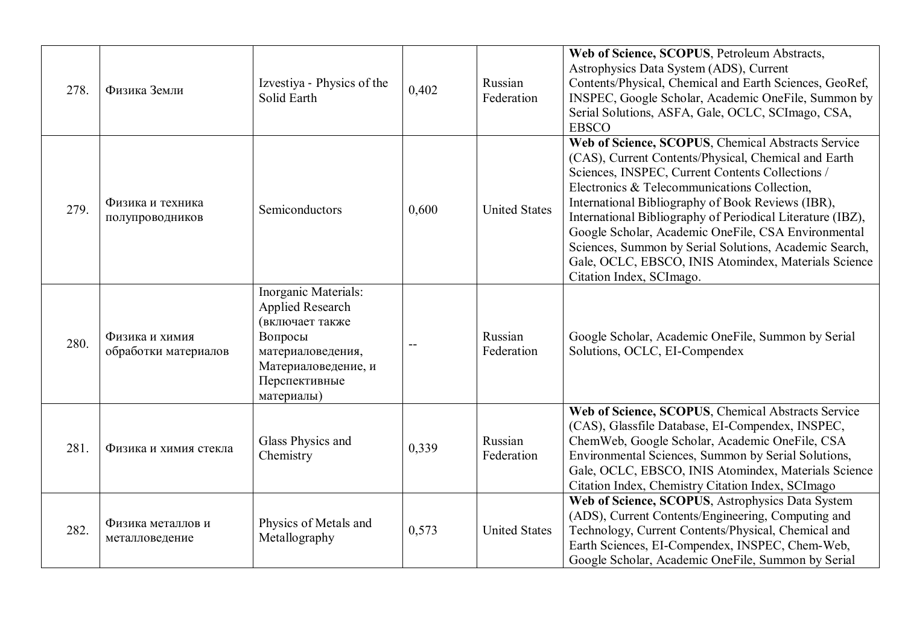| 278. | Физика Земли                           | Izvestiya - Physics of the<br>Solid Earth                                                                                                                | 0,402 | Russian<br>Federation | Web of Science, SCOPUS, Petroleum Abstracts,<br>Astrophysics Data System (ADS), Current<br>Contents/Physical, Chemical and Earth Sciences, GeoRef,<br>INSPEC, Google Scholar, Academic OneFile, Summon by<br>Serial Solutions, ASFA, Gale, OCLC, SCImago, CSA,<br><b>EBSCO</b>                                                                                                                                                                                                                                                         |
|------|----------------------------------------|----------------------------------------------------------------------------------------------------------------------------------------------------------|-------|-----------------------|----------------------------------------------------------------------------------------------------------------------------------------------------------------------------------------------------------------------------------------------------------------------------------------------------------------------------------------------------------------------------------------------------------------------------------------------------------------------------------------------------------------------------------------|
| 279. | Физика и техника<br>полупроводников    | Semiconductors                                                                                                                                           | 0,600 | <b>United States</b>  | Web of Science, SCOPUS, Chemical Abstracts Service<br>(CAS), Current Contents/Physical, Chemical and Earth<br>Sciences, INSPEC, Current Contents Collections /<br>Electronics & Telecommunications Collection,<br>International Bibliography of Book Reviews (IBR),<br>International Bibliography of Periodical Literature (IBZ),<br>Google Scholar, Academic OneFile, CSA Environmental<br>Sciences, Summon by Serial Solutions, Academic Search,<br>Gale, OCLC, EBSCO, INIS Atomindex, Materials Science<br>Citation Index, SCImago. |
| 280. | Физика и химия<br>обработки материалов | Inorganic Materials:<br><b>Applied Research</b><br>(включает также<br>Вопросы<br>материаловедения,<br>Материаловедение, и<br>Перспективные<br>материалы) |       | Russian<br>Federation | Google Scholar, Academic OneFile, Summon by Serial<br>Solutions, OCLC, EI-Compendex                                                                                                                                                                                                                                                                                                                                                                                                                                                    |
| 281. | Физика и химия стекла                  | Glass Physics and<br>Chemistry                                                                                                                           | 0,339 | Russian<br>Federation | Web of Science, SCOPUS, Chemical Abstracts Service<br>(CAS), Glassfile Database, EI-Compendex, INSPEC,<br>ChemWeb, Google Scholar, Academic OneFile, CSA<br>Environmental Sciences, Summon by Serial Solutions,<br>Gale, OCLC, EBSCO, INIS Atomindex, Materials Science<br>Citation Index, Chemistry Citation Index, SCImago                                                                                                                                                                                                           |
| 282. | Физика металлов и<br>металловедение    | Physics of Metals and<br>Metallography                                                                                                                   | 0,573 | <b>United States</b>  | Web of Science, SCOPUS, Astrophysics Data System<br>(ADS), Current Contents/Engineering, Computing and<br>Technology, Current Contents/Physical, Chemical and<br>Earth Sciences, EI-Compendex, INSPEC, Chem-Web,<br>Google Scholar, Academic OneFile, Summon by Serial                                                                                                                                                                                                                                                                 |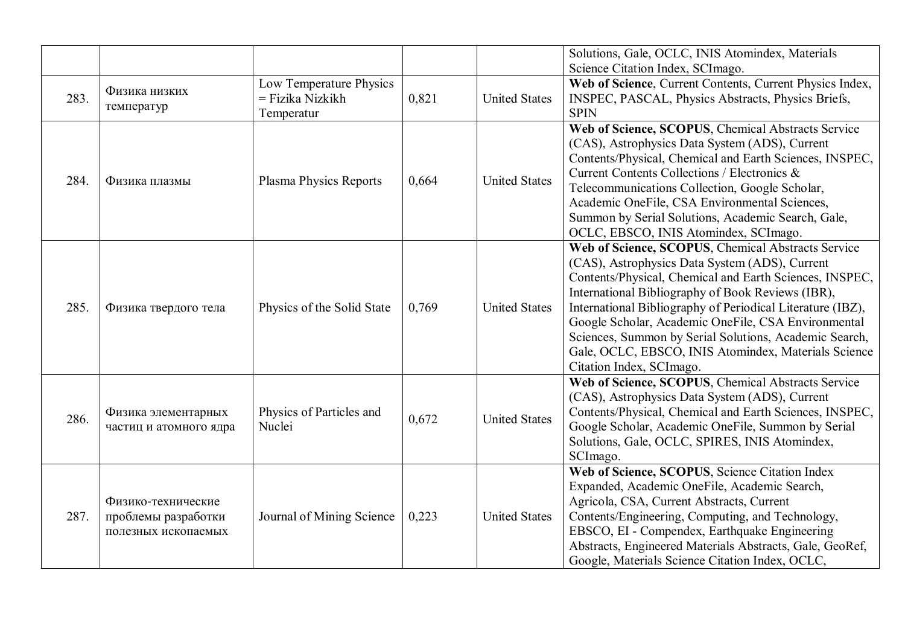|      |                        |                               |       |                      | Solutions, Gale, OCLC, INIS Atomindex, Materials           |
|------|------------------------|-------------------------------|-------|----------------------|------------------------------------------------------------|
|      |                        |                               |       |                      | Science Citation Index, SCImago.                           |
|      | Физика низких          | Low Temperature Physics       |       |                      | Web of Science, Current Contents, Current Physics Index,   |
| 283. | температур             | = Fizika Nizkikh              | 0,821 | <b>United States</b> | INSPEC, PASCAL, Physics Abstracts, Physics Briefs,         |
|      |                        | Temperatur                    |       |                      | <b>SPIN</b>                                                |
|      |                        |                               |       |                      | Web of Science, SCOPUS, Chemical Abstracts Service         |
|      |                        |                               |       |                      | (CAS), Astrophysics Data System (ADS), Current             |
|      |                        |                               |       |                      | Contents/Physical, Chemical and Earth Sciences, INSPEC,    |
| 284. | Физика плазмы          | <b>Plasma Physics Reports</b> | 0,664 | <b>United States</b> | Current Contents Collections / Electronics &               |
|      |                        |                               |       |                      | Telecommunications Collection, Google Scholar,             |
|      |                        |                               |       |                      | Academic OneFile, CSA Environmental Sciences,              |
|      |                        |                               |       |                      | Summon by Serial Solutions, Academic Search, Gale,         |
|      |                        |                               |       |                      | OCLC, EBSCO, INIS Atomindex, SCImago.                      |
|      |                        |                               |       |                      | Web of Science, SCOPUS, Chemical Abstracts Service         |
|      |                        |                               |       |                      | (CAS), Astrophysics Data System (ADS), Current             |
|      |                        |                               |       |                      | Contents/Physical, Chemical and Earth Sciences, INSPEC,    |
|      |                        |                               |       |                      | International Bibliography of Book Reviews (IBR),          |
| 285. | Физика твердого тела   | Physics of the Solid State    | 0,769 | <b>United States</b> | International Bibliography of Periodical Literature (IBZ), |
|      |                        |                               |       |                      | Google Scholar, Academic OneFile, CSA Environmental        |
|      |                        |                               |       |                      | Sciences, Summon by Serial Solutions, Academic Search,     |
|      |                        |                               |       |                      | Gale, OCLC, EBSCO, INIS Atomindex, Materials Science       |
|      |                        |                               |       |                      | Citation Index, SCImago.                                   |
|      |                        |                               |       |                      | Web of Science, SCOPUS, Chemical Abstracts Service         |
|      |                        |                               |       |                      | (CAS), Astrophysics Data System (ADS), Current             |
|      | Физика элементарных    | Physics of Particles and      |       |                      | Contents/Physical, Chemical and Earth Sciences, INSPEC,    |
| 286. | частиц и атомного ядра | Nuclei                        | 0,672 | <b>United States</b> | Google Scholar, Academic OneFile, Summon by Serial         |
|      |                        |                               |       |                      | Solutions, Gale, OCLC, SPIRES, INIS Atomindex,             |
|      |                        |                               |       |                      | SCImago.                                                   |
|      |                        |                               |       |                      | Web of Science, SCOPUS, Science Citation Index             |
|      |                        |                               |       |                      | Expanded, Academic OneFile, Academic Search,               |
|      | Физико-технические     |                               |       |                      | Agricola, CSA, Current Abstracts, Current                  |
| 287. | проблемы разработки    | Journal of Mining Science     | 0,223 | <b>United States</b> | Contents/Engineering, Computing, and Technology,           |
|      | полезных ископаемых    |                               |       |                      | EBSCO, EI - Compendex, Earthquake Engineering              |
|      |                        |                               |       |                      | Abstracts, Engineered Materials Abstracts, Gale, GeoRef,   |
|      |                        |                               |       |                      | Google, Materials Science Citation Index, OCLC,            |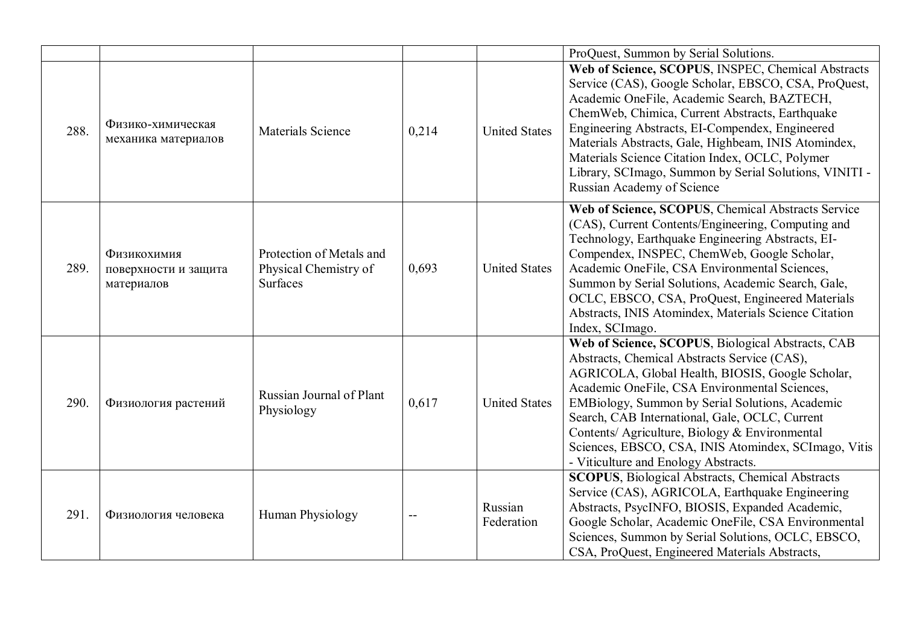|      |                                                   |                                                                      |       |                       | ProQuest, Summon by Serial Solutions.                                                                                                                                                                                                                                                                                                                                                                                                                              |
|------|---------------------------------------------------|----------------------------------------------------------------------|-------|-----------------------|--------------------------------------------------------------------------------------------------------------------------------------------------------------------------------------------------------------------------------------------------------------------------------------------------------------------------------------------------------------------------------------------------------------------------------------------------------------------|
| 288. | Физико-химическая<br>механика материалов          | <b>Materials Science</b>                                             | 0,214 | <b>United States</b>  | Web of Science, SCOPUS, INSPEC, Chemical Abstracts<br>Service (CAS), Google Scholar, EBSCO, CSA, ProQuest,<br>Academic OneFile, Academic Search, BAZTECH,<br>ChemWeb, Chimica, Current Abstracts, Earthquake<br>Engineering Abstracts, EI-Compendex, Engineered<br>Materials Abstracts, Gale, Highbeam, INIS Atomindex,<br>Materials Science Citation Index, OCLC, Polymer<br>Library, SCImago, Summon by Serial Solutions, VINITI -<br>Russian Academy of Science |
| 289. | Физикохимия<br>поверхности и защита<br>материалов | Protection of Metals and<br>Physical Chemistry of<br><b>Surfaces</b> | 0,693 | <b>United States</b>  | Web of Science, SCOPUS, Chemical Abstracts Service<br>(CAS), Current Contents/Engineering, Computing and<br>Technology, Earthquake Engineering Abstracts, EI-<br>Compendex, INSPEC, ChemWeb, Google Scholar,<br>Academic OneFile, CSA Environmental Sciences,<br>Summon by Serial Solutions, Academic Search, Gale,<br>OCLC, EBSCO, CSA, ProQuest, Engineered Materials<br>Abstracts, INIS Atomindex, Materials Science Citation<br>Index, SCImago.                |
| 290. | Физиология растений                               | Russian Journal of Plant<br>Physiology                               | 0,617 | <b>United States</b>  | Web of Science, SCOPUS, Biological Abstracts, CAB<br>Abstracts, Chemical Abstracts Service (CAS),<br>AGRICOLA, Global Health, BIOSIS, Google Scholar,<br>Academic OneFile, CSA Environmental Sciences,<br>EMBiology, Summon by Serial Solutions, Academic<br>Search, CAB International, Gale, OCLC, Current<br>Contents/ Agriculture, Biology & Environmental<br>Sciences, EBSCO, CSA, INIS Atomindex, SCImago, Vitis<br>- Viticulture and Enology Abstracts.      |
| 291. | Физиология человека                               | Human Physiology                                                     |       | Russian<br>Federation | <b>SCOPUS</b> , Biological Abstracts, Chemical Abstracts<br>Service (CAS), AGRICOLA, Earthquake Engineering<br>Abstracts, PsycINFO, BIOSIS, Expanded Academic,<br>Google Scholar, Academic OneFile, CSA Environmental<br>Sciences, Summon by Serial Solutions, OCLC, EBSCO,<br>CSA, ProQuest, Engineered Materials Abstracts,                                                                                                                                      |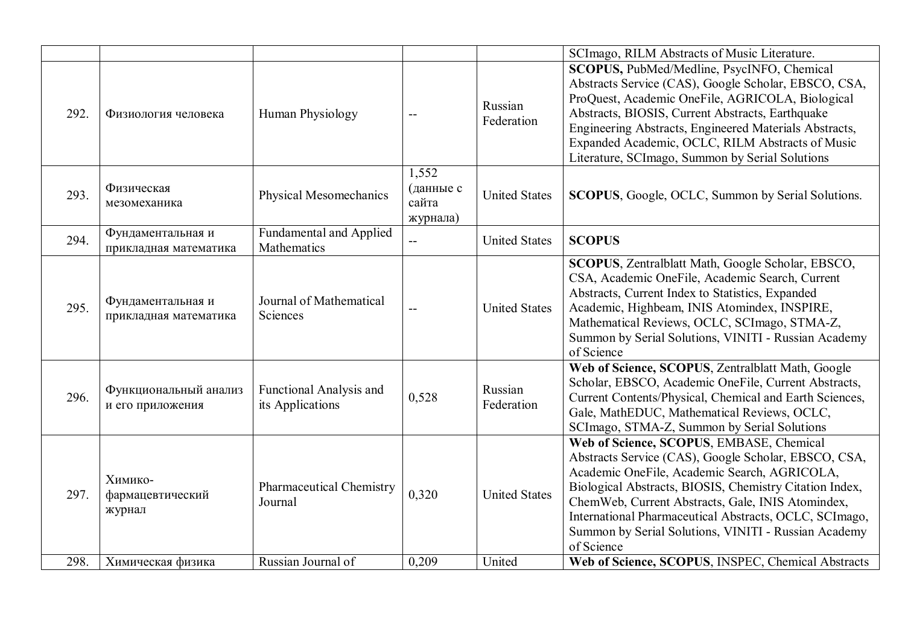|      |                                            |                                               |                                         |                       | SCImago, RILM Abstracts of Music Literature.                                                                                                                                                                                                                                                                                                                                                     |
|------|--------------------------------------------|-----------------------------------------------|-----------------------------------------|-----------------------|--------------------------------------------------------------------------------------------------------------------------------------------------------------------------------------------------------------------------------------------------------------------------------------------------------------------------------------------------------------------------------------------------|
| 292. | Физиология человека                        | Human Physiology                              |                                         | Russian<br>Federation | SCOPUS, PubMed/Medline, PsycINFO, Chemical<br>Abstracts Service (CAS), Google Scholar, EBSCO, CSA,<br>ProQuest, Academic OneFile, AGRICOLA, Biological<br>Abstracts, BIOSIS, Current Abstracts, Earthquake<br>Engineering Abstracts, Engineered Materials Abstracts,<br>Expanded Academic, OCLC, RILM Abstracts of Music<br>Literature, SCImago, Summon by Serial Solutions                      |
| 293. | Физическая<br>мезомеханика                 | Physical Mesomechanics                        | 1,552<br>(данные с<br>сайта<br>журнала) | <b>United States</b>  | <b>SCOPUS</b> , Google, OCLC, Summon by Serial Solutions.                                                                                                                                                                                                                                                                                                                                        |
| 294. | Фундаментальная и<br>прикладная математика | <b>Fundamental and Applied</b><br>Mathematics | $-$                                     | <b>United States</b>  | <b>SCOPUS</b>                                                                                                                                                                                                                                                                                                                                                                                    |
| 295. | Фундаментальная и<br>прикладная математика | Journal of Mathematical<br>Sciences           |                                         | <b>United States</b>  | SCOPUS, Zentralblatt Math, Google Scholar, EBSCO,<br>CSA, Academic OneFile, Academic Search, Current<br>Abstracts, Current Index to Statistics, Expanded<br>Academic, Highbeam, INIS Atomindex, INSPIRE,<br>Mathematical Reviews, OCLC, SCImago, STMA-Z,<br>Summon by Serial Solutions, VINITI - Russian Academy<br>of Science                                                                   |
| 296. | Функциональный анализ<br>и его приложения  | Functional Analysis and<br>its Applications   | 0,528                                   | Russian<br>Federation | Web of Science, SCOPUS, Zentralblatt Math, Google<br>Scholar, EBSCO, Academic OneFile, Current Abstracts,<br>Current Contents/Physical, Chemical and Earth Sciences,<br>Gale, MathEDUC, Mathematical Reviews, OCLC,<br>SCImago, STMA-Z, Summon by Serial Solutions                                                                                                                               |
| 297. | Химико-<br>фармацевтический<br>журнал      | <b>Pharmaceutical Chemistry</b><br>Journal    | 0,320                                   | <b>United States</b>  | Web of Science, SCOPUS, EMBASE, Chemical<br>Abstracts Service (CAS), Google Scholar, EBSCO, CSA,<br>Academic OneFile, Academic Search, AGRICOLA,<br>Biological Abstracts, BIOSIS, Chemistry Citation Index,<br>ChemWeb, Current Abstracts, Gale, INIS Atomindex,<br>International Pharmaceutical Abstracts, OCLC, SCImago,<br>Summon by Serial Solutions, VINITI - Russian Academy<br>of Science |
| 298. | Химическая физика                          | Russian Journal of                            | 0.209                                   | United                | Web of Science, SCOPUS, INSPEC, Chemical Abstracts                                                                                                                                                                                                                                                                                                                                               |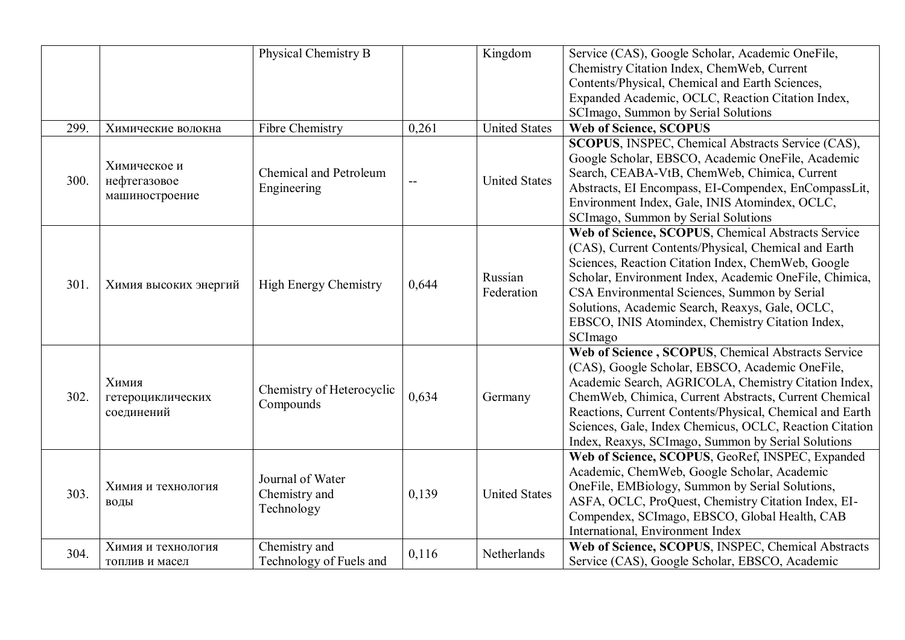|      |                                                | Physical Chemistry B                            |       | Kingdom               | Service (CAS), Google Scholar, Academic OneFile,<br>Chemistry Citation Index, ChemWeb, Current<br>Contents/Physical, Chemical and Earth Sciences,<br>Expanded Academic, OCLC, Reaction Citation Index,<br>SCImago, Summon by Serial Solutions                                                                                                                                                       |
|------|------------------------------------------------|-------------------------------------------------|-------|-----------------------|-----------------------------------------------------------------------------------------------------------------------------------------------------------------------------------------------------------------------------------------------------------------------------------------------------------------------------------------------------------------------------------------------------|
| 299. | Химические волокна                             | Fibre Chemistry                                 | 0,261 | <b>United States</b>  | <b>Web of Science, SCOPUS</b>                                                                                                                                                                                                                                                                                                                                                                       |
| 300. | Химическое и<br>нефтегазовое<br>машиностроение | <b>Chemical and Petroleum</b><br>Engineering    |       | <b>United States</b>  | SCOPUS, INSPEC, Chemical Abstracts Service (CAS),<br>Google Scholar, EBSCO, Academic OneFile, Academic<br>Search, CEABA-VtB, ChemWeb, Chimica, Current<br>Abstracts, EI Encompass, EI-Compendex, EnCompassLit,<br>Environment Index, Gale, INIS Atomindex, OCLC,<br>SCImago, Summon by Serial Solutions                                                                                             |
| 301. | Химия высоких энергий                          | <b>High Energy Chemistry</b>                    | 0,644 | Russian<br>Federation | Web of Science, SCOPUS, Chemical Abstracts Service<br>(CAS), Current Contents/Physical, Chemical and Earth<br>Sciences, Reaction Citation Index, ChemWeb, Google<br>Scholar, Environment Index, Academic OneFile, Chimica,<br>CSA Environmental Sciences, Summon by Serial<br>Solutions, Academic Search, Reaxys, Gale, OCLC,<br>EBSCO, INIS Atomindex, Chemistry Citation Index,<br>SCImago        |
| 302. | Химия<br>гетероциклических<br>соединений       | Chemistry of Heterocyclic<br>Compounds          | 0,634 | Germany               | Web of Science, SCOPUS, Chemical Abstracts Service<br>(CAS), Google Scholar, EBSCO, Academic OneFile,<br>Academic Search, AGRICOLA, Chemistry Citation Index,<br>ChemWeb, Chimica, Current Abstracts, Current Chemical<br>Reactions, Current Contents/Physical, Chemical and Earth<br>Sciences, Gale, Index Chemicus, OCLC, Reaction Citation<br>Index, Reaxys, SCImago, Summon by Serial Solutions |
| 303. | Химия и технология<br>воды                     | Journal of Water<br>Chemistry and<br>Technology | 0,139 | <b>United States</b>  | Web of Science, SCOPUS, GeoRef, INSPEC, Expanded<br>Academic, ChemWeb, Google Scholar, Academic<br>OneFile, EMBiology, Summon by Serial Solutions,<br>ASFA, OCLC, ProQuest, Chemistry Citation Index, EI-<br>Compendex, SCImago, EBSCO, Global Health, CAB<br>International, Environment Index                                                                                                      |
| 304. | Химия и технология<br>топлив и масел           | Chemistry and<br>Technology of Fuels and        | 0,116 | Netherlands           | Web of Science, SCOPUS, INSPEC, Chemical Abstracts<br>Service (CAS), Google Scholar, EBSCO, Academic                                                                                                                                                                                                                                                                                                |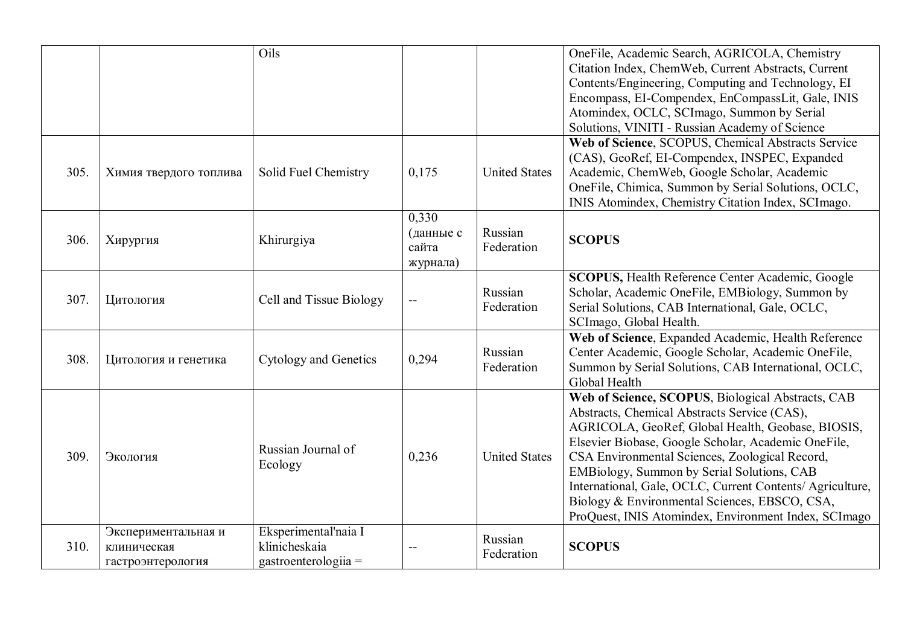|      |                                                         | Oils                                                          |                                         |                       | OneFile, Academic Search, AGRICOLA, Chemistry<br>Citation Index, ChemWeb, Current Abstracts, Current<br>Contents/Engineering, Computing and Technology, EI<br>Encompass, EI-Compendex, EnCompassLit, Gale, INIS                                                                                                                                                                                                                                                                     |
|------|---------------------------------------------------------|---------------------------------------------------------------|-----------------------------------------|-----------------------|-------------------------------------------------------------------------------------------------------------------------------------------------------------------------------------------------------------------------------------------------------------------------------------------------------------------------------------------------------------------------------------------------------------------------------------------------------------------------------------|
|      |                                                         |                                                               |                                         |                       | Atomindex, OCLC, SCImago, Summon by Serial<br>Solutions, VINITI - Russian Academy of Science                                                                                                                                                                                                                                                                                                                                                                                        |
| 305. | Химия твердого топлива                                  | Solid Fuel Chemistry                                          | 0,175                                   | <b>United States</b>  | Web of Science, SCOPUS, Chemical Abstracts Service<br>(CAS), GeoRef, EI-Compendex, INSPEC, Expanded<br>Academic, ChemWeb, Google Scholar, Academic<br>OneFile, Chimica, Summon by Serial Solutions, OCLC,<br>INIS Atomindex, Chemistry Citation Index, SCImago.                                                                                                                                                                                                                     |
| 306. | Хирургия                                                | Khirurgiya                                                    | 0,330<br>(данные с<br>сайта<br>журнала) | Russian<br>Federation | <b>SCOPUS</b>                                                                                                                                                                                                                                                                                                                                                                                                                                                                       |
| 307. | Цитология                                               | Cell and Tissue Biology                                       |                                         | Russian<br>Federation | SCOPUS, Health Reference Center Academic, Google<br>Scholar, Academic OneFile, EMBiology, Summon by<br>Serial Solutions, CAB International, Gale, OCLC,<br>SCImago, Global Health.                                                                                                                                                                                                                                                                                                  |
| 308. | Цитология и генетика                                    | Cytology and Genetics                                         | 0,294                                   | Russian<br>Federation | Web of Science, Expanded Academic, Health Reference<br>Center Academic, Google Scholar, Academic OneFile,<br>Summon by Serial Solutions, CAB International, OCLC,<br>Global Health                                                                                                                                                                                                                                                                                                  |
| 309. | Экология                                                | Russian Journal of<br>Ecology                                 | 0,236                                   | <b>United States</b>  | Web of Science, SCOPUS, Biological Abstracts, CAB<br>Abstracts, Chemical Abstracts Service (CAS),<br>AGRICOLA, GeoRef, Global Health, Geobase, BIOSIS,<br>Elsevier Biobase, Google Scholar, Academic OneFile,<br>CSA Environmental Sciences, Zoological Record,<br>EMBiology, Summon by Serial Solutions, CAB<br>International, Gale, OCLC, Current Contents/ Agriculture,<br>Biology & Environmental Sciences, EBSCO, CSA,<br>ProQuest, INIS Atomindex, Environment Index, SCImago |
| 310. | Экспериментальная и<br>клиническая<br>гастроэнтерология | Eksperimental'naia I<br>klinicheskaia<br>gastroenterologiia = |                                         | Russian<br>Federation | <b>SCOPUS</b>                                                                                                                                                                                                                                                                                                                                                                                                                                                                       |